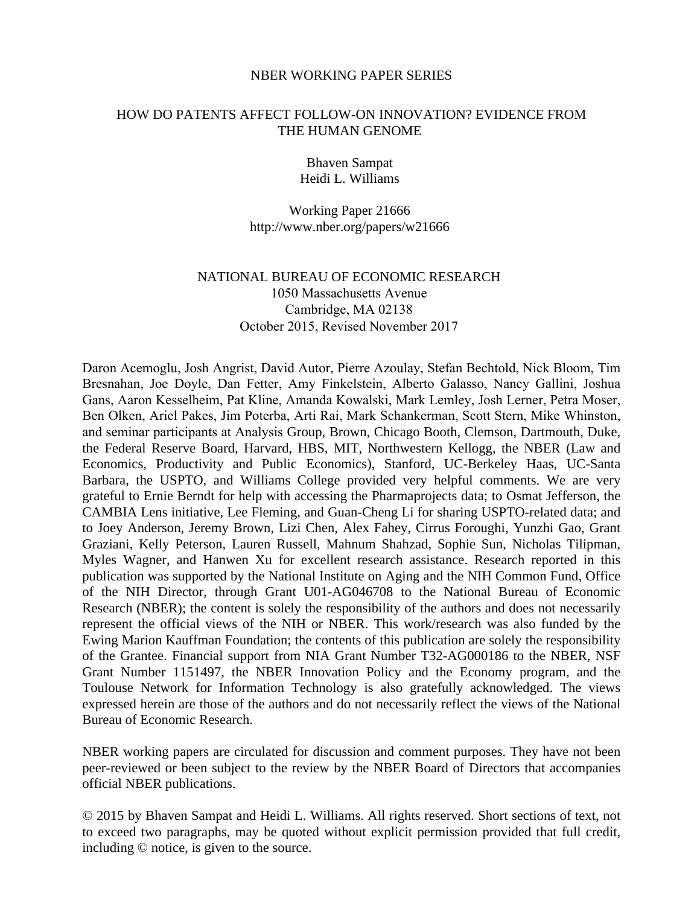## NBER WORKING PAPER SERIES

# HOW DO PATENTS AFFECT FOLLOW-ON INNOVATION? EVIDENCE FROM THE HUMAN GENOME

Bhaven Sampat Heidi L. Williams

Working Paper 21666 http://www.nber.org/papers/w21666

# NATIONAL BUREAU OF ECONOMIC RESEARCH 1050 Massachusetts Avenue Cambridge, MA 02138 October 2015, Revised November 2017

Daron Acemoglu, Josh Angrist, David Autor, Pierre Azoulay, Stefan Bechtold, Nick Bloom, Tim Bresnahan, Joe Doyle, Dan Fetter, Amy Finkelstein, Alberto Galasso, Nancy Gallini, Joshua Gans, Aaron Kesselheim, Pat Kline, Amanda Kowalski, Mark Lemley, Josh Lerner, Petra Moser, Ben Olken, Ariel Pakes, Jim Poterba, Arti Rai, Mark Schankerman, Scott Stern, Mike Whinston, and seminar participants at Analysis Group, Brown, Chicago Booth, Clemson, Dartmouth, Duke, the Federal Reserve Board, Harvard, HBS, MIT, Northwestern Kellogg, the NBER (Law and Economics, Productivity and Public Economics), Stanford, UC-Berkeley Haas, UC-Santa Barbara, the USPTO, and Williams College provided very helpful comments. We are very grateful to Ernie Berndt for help with accessing the Pharmaprojects data; to Osmat Jefferson, the CAMBIA Lens initiative, Lee Fleming, and Guan-Cheng Li for sharing USPTO-related data; and to Joey Anderson, Jeremy Brown, Lizi Chen, Alex Fahey, Cirrus Foroughi, Yunzhi Gao, Grant Graziani, Kelly Peterson, Lauren Russell, Mahnum Shahzad, Sophie Sun, Nicholas Tilipman, Myles Wagner, and Hanwen Xu for excellent research assistance. Research reported in this publication was supported by the National Institute on Aging and the NIH Common Fund, Office of the NIH Director, through Grant U01-AG046708 to the National Bureau of Economic Research (NBER); the content is solely the responsibility of the authors and does not necessarily represent the official views of the NIH or NBER. This work/research was also funded by the Ewing Marion Kauffman Foundation; the contents of this publication are solely the responsibility of the Grantee. Financial support from NIA Grant Number T32-AG000186 to the NBER, NSF Grant Number 1151497, the NBER Innovation Policy and the Economy program, and the Toulouse Network for Information Technology is also gratefully acknowledged. The views expressed herein are those of the authors and do not necessarily reflect the views of the National Bureau of Economic Research.

NBER working papers are circulated for discussion and comment purposes. They have not been peer-reviewed or been subject to the review by the NBER Board of Directors that accompanies official NBER publications.

© 2015 by Bhaven Sampat and Heidi L. Williams. All rights reserved. Short sections of text, not to exceed two paragraphs, may be quoted without explicit permission provided that full credit, including © notice, is given to the source.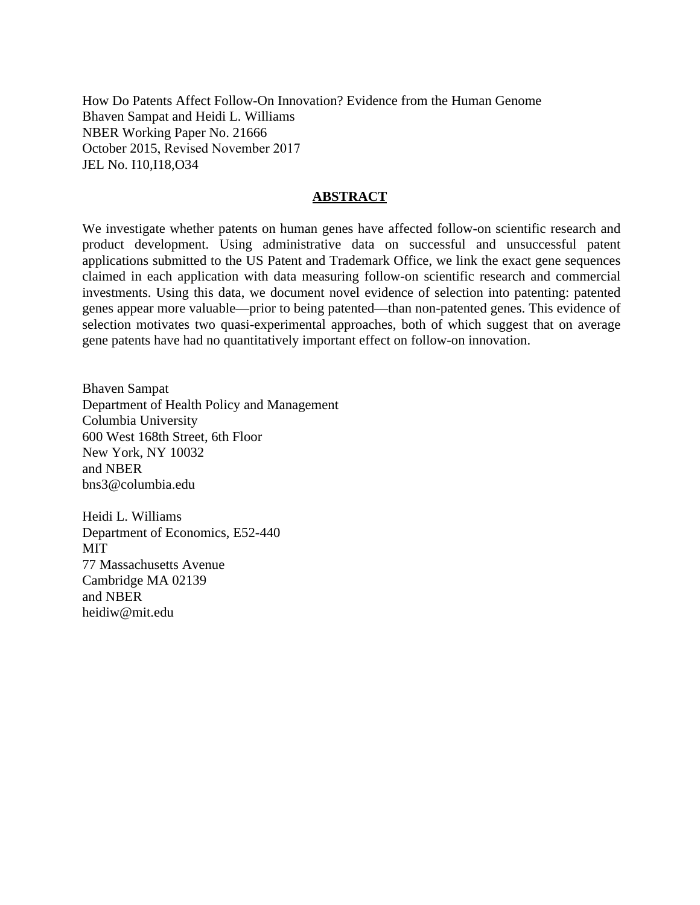How Do Patents Affect Follow-On Innovation? Evidence from the Human Genome Bhaven Sampat and Heidi L. Williams NBER Working Paper No. 21666 October 2015, Revised November 2017 JEL No. I10,I18,O34

# **ABSTRACT**

We investigate whether patents on human genes have affected follow-on scientific research and product development. Using administrative data on successful and unsuccessful patent applications submitted to the US Patent and Trademark Office, we link the exact gene sequences claimed in each application with data measuring follow-on scientific research and commercial investments. Using this data, we document novel evidence of selection into patenting: patented genes appear more valuable—prior to being patented—than non-patented genes. This evidence of selection motivates two quasi-experimental approaches, both of which suggest that on average gene patents have had no quantitatively important effect on follow-on innovation.

Bhaven Sampat Department of Health Policy and Management Columbia University 600 West 168th Street, 6th Floor New York, NY 10032 and NBER bns3@columbia.edu

Heidi L. Williams Department of Economics, E52-440 MIT 77 Massachusetts Avenue Cambridge MA 02139 and NBER heidiw@mit.edu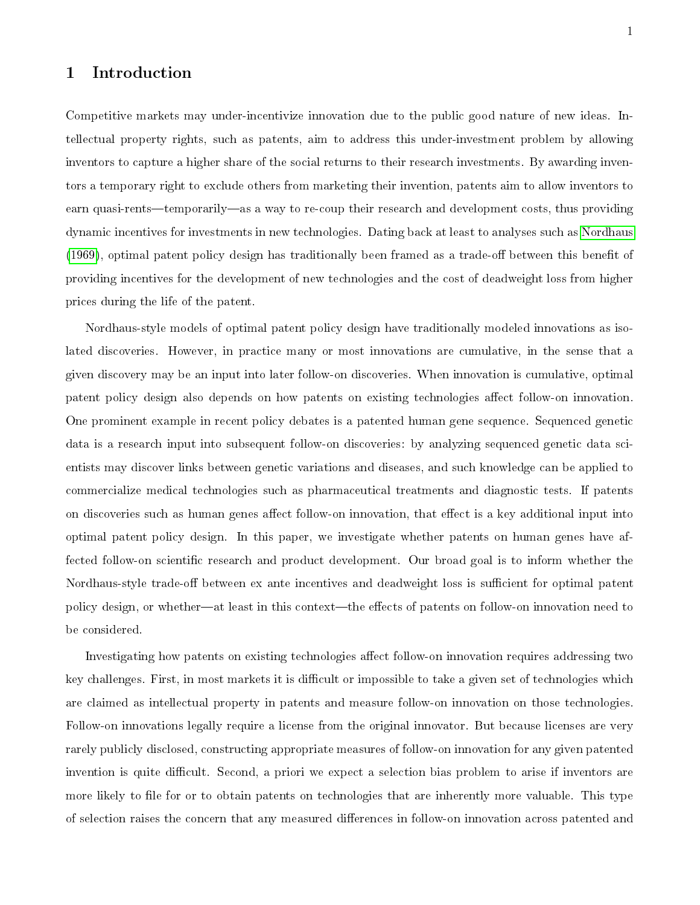# 1 Introduction

Competitive markets may under-incentivize innovation due to the public good nature of new ideas. Intellectual property rights, such as patents, aim to address this under-investment problem by allowing inventors to capture a higher share of the social returns to their research investments. By awarding inventors a temporary right to exclude others from marketing their invention, patents aim to allow inventors to earn quasi-rents—temporarily—as a way to re-coup their research and development costs, thus providing dynamic incentives for investments in new technologies. Dating back at least to analyses such as [Nordhaus](#page-34-0) [\(1969\)](#page-34-0), optimal patent policy design has traditionally been framed as a trade-off between this benefit of providing incentives for the development of new technologies and the cost of deadweight loss from higher prices during the life of the patent.

Nordhaus-style models of optimal patent policy design have traditionally modeled innovations as isolated discoveries. However, in practice many or most innovations are cumulative, in the sense that a given discovery may be an input into later follow-on discoveries. When innovation is cumulative, optimal patent policy design also depends on how patents on existing technologies affect follow-on innovation. One prominent example in recent policy debates is a patented human gene sequence. Sequenced genetic data is a research input into subsequent follow-on discoveries: by analyzing sequenced genetic data scientists may discover links between genetic variations and diseases, and such knowledge can be applied to commercialize medical technologies such as pharmaceutical treatments and diagnostic tests. If patents on discoveries such as human genes affect follow-on innovation, that effect is a key additional input into optimal patent policy design. In this paper, we investigate whether patents on human genes have affected follow-on scientific research and product development. Our broad goal is to inform whether the Nordhaus-style trade-off between ex ante incentives and deadweight loss is sufficient for optimal patent policy design, or whether—at least in this context—the effects of patents on follow-on innovation need to be considered.

Investigating how patents on existing technologies affect follow-on innovation requires addressing two key challenges. First, in most markets it is difficult or impossible to take a given set of technologies which are claimed as intellectual property in patents and measure follow-on innovation on those technologies. Follow-on innovations legally require a license from the original innovator. But because licenses are very rarely publicly disclosed, constructing appropriate measures of follow-on innovation for any given patented invention is quite difficult. Second, a priori we expect a selection bias problem to arise if inventors are more likely to file for or to obtain patents on technologies that are inherently more valuable. This type of selection raises the concern that any measured dierences in follow-on innovation across patented and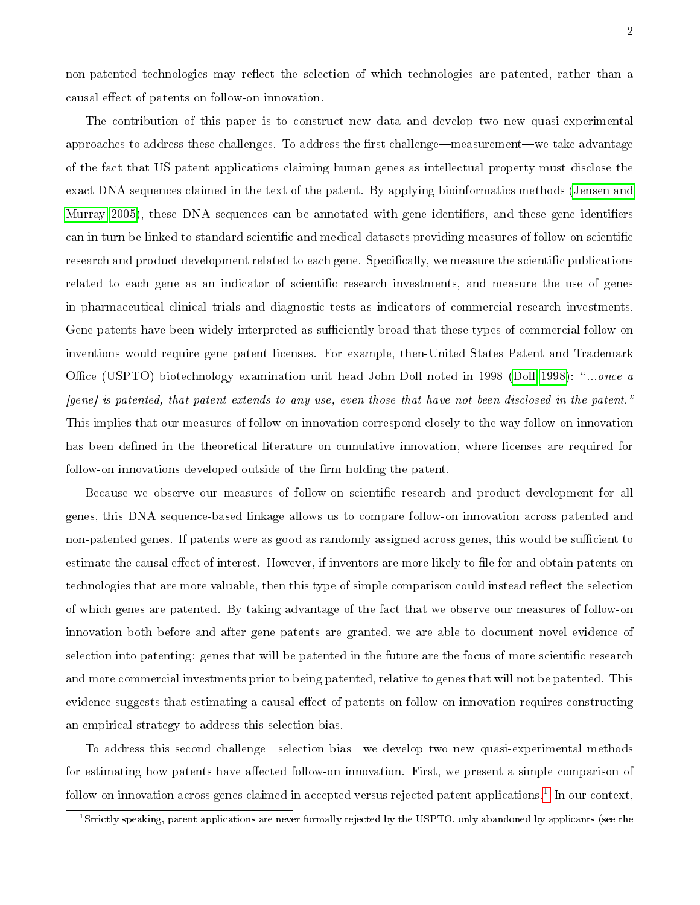non-patented technologies may reflect the selection of which technologies are patented, rather than a causal effect of patents on follow-on innovation.

The contribution of this paper is to construct new data and develop two new quasi-experimental approaches to address these challenges. To address the first challenge—measurement—we take advantage of the fact that US patent applications claiming human genes as intellectual property must disclose the exact DNA sequences claimed in the text of the patent. By applying bioinformatics methods [\(Jensen and](#page-33-0) [Murray 2005\)](#page-33-0), these DNA sequences can be annotated with gene identifiers, and these gene identifiers can in turn be linked to standard scientific and medical datasets providing measures of follow-on scientific research and product development related to each gene. Specifically, we measure the scientific publications related to each gene as an indicator of scientific research investments, and measure the use of genes in pharmaceutical clinical trials and diagnostic tests as indicators of commercial research investments. Gene patents have been widely interpreted as sufficiently broad that these types of commercial follow-on inventions would require gene patent licenses. For example, then-United States Patent and Trademark Office (USPTO) biotechnology examination unit head John Doll noted in 1998 [\(Doll 1998\)](#page-32-0): "...once a [gene] is patented, that patent extends to any use, even those that have not been disclosed in the patent." This implies that our measures of follow-on innovation correspond closely to the way follow-on innovation has been defined in the theoretical literature on cumulative innovation, where licenses are required for follow-on innovations developed outside of the firm holding the patent.

Because we observe our measures of follow-on scientific research and product development for all genes, this DNA sequence-based linkage allows us to compare follow-on innovation across patented and non-patented genes. If patents were as good as randomly assigned across genes, this would be sufficient to estimate the causal effect of interest. However, if inventors are more likely to file for and obtain patents on technologies that are more valuable, then this type of simple comparison could instead reflect the selection of which genes are patented. By taking advantage of the fact that we observe our measures of follow-on innovation both before and after gene patents are granted, we are able to document novel evidence of selection into patenting: genes that will be patented in the future are the focus of more scientific research and more commercial investments prior to being patented, relative to genes that will not be patented. This evidence suggests that estimating a causal effect of patents on follow-on innovation requires constructing an empirical strategy to address this selection bias.

To address this second challenge—selection bias—we develop two new quasi-experimental methods for estimating how patents have affected follow-on innovation. First, we present a simple comparison of follow-on innovation across genes claimed in accepted versus rejected patent applications. $^1\,$  $^1\,$  $^1\,$  In our context,

<span id="page-3-0"></span><sup>1</sup>Strictly speaking, patent applications are never formally rejected by the USPTO, only abandoned by applicants (see the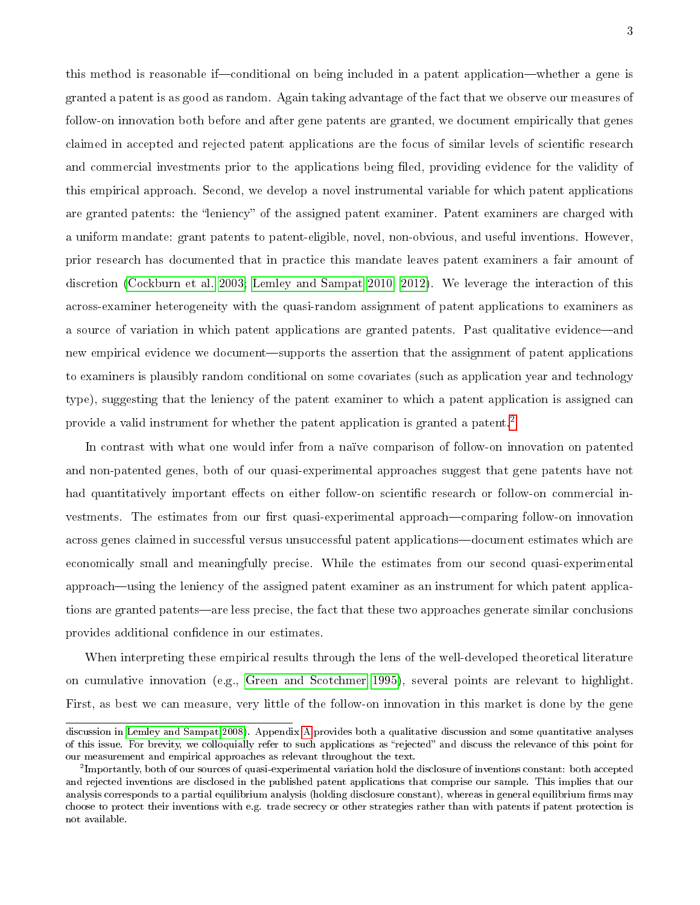this method is reasonable if—conditional on being included in a patent application—whether a gene is granted a patent is as good as random. Again taking advantage of the fact that we observe our measures of follow-on innovation both before and after gene patents are granted, we document empirically that genes claimed in accepted and rejected patent applications are the focus of similar levels of scientic research and commercial investments prior to the applications being filed, providing evidence for the validity of this empirical approach. Second, we develop a novel instrumental variable for which patent applications are granted patents: the "leniency" of the assigned patent examiner. Patent examiners are charged with a uniform mandate: grant patents to patent-eligible, novel, non-obvious, and useful inventions. However, prior research has documented that in practice this mandate leaves patent examiners a fair amount of discretion [\(Cockburn et al. 2003;](#page-31-0) [Lemley and Sampat 2010,](#page-33-1) [2012\)](#page-33-2). We leverage the interaction of this across-examiner heterogeneity with the quasi-random assignment of patent applications to examiners as a source of variation in which patent applications are granted patents. Past qualitative evidence—and new empirical evidence we document—supports the assertion that the assignment of patent applications to examiners is plausibly random conditional on some covariates (such as application year and technology type), suggesting that the leniency of the patent examiner to which a patent application is assigned can provide a valid instrument for whether the patent application is granted a patent.[2](#page-4-0)

In contrast with what one would infer from a naïve comparison of follow-on innovation on patented and non-patented genes, both of our quasi-experimental approaches suggest that gene patents have not had quantitatively important effects on either follow-on scientific research or follow-on commercial investments. The estimates from our first quasi-experimental approach—comparing follow-on innovation across genes claimed in successful versus unsuccessful patent applications—document estimates which are economically small and meaningfully precise. While the estimates from our second quasi-experimental approach—using the leniency of the assigned patent examiner as an instrument for which patent applications are granted patents—are less precise, the fact that these two approaches generate similar conclusions provides additional confidence in our estimates.

When interpreting these empirical results through the lens of the well-developed theoretical literature on cumulative innovation (e.g., [Green and Scotchmer 1995\)](#page-32-1), several points are relevant to highlight. First, as best we can measure, very little of the follow-on innovation in this market is done by the gene

discussion in [Lemley and Sampat 2008\)](#page-33-3). Appendix [A](#page-42-0) provides both a qualitative discussion and some quantitative analyses of this issue. For brevity, we colloquially refer to such applications as "rejected" and discuss the relevance of this point for our measurement and empirical approaches as relevant throughout the text.

<span id="page-4-0"></span><sup>&</sup>lt;sup>2</sup>Importantly, both of our sources of quasi-experimental variation hold the disclosure of inventions constant: both accepted and rejected inventions are disclosed in the published patent applications that comprise our sample. This implies that our analysis corresponds to a partial equilibrium analysis (holding disclosure constant), whereas in general equilibrium firms may choose to protect their inventions with e.g. trade secrecy or other strategies rather than with patents if patent protection is not available.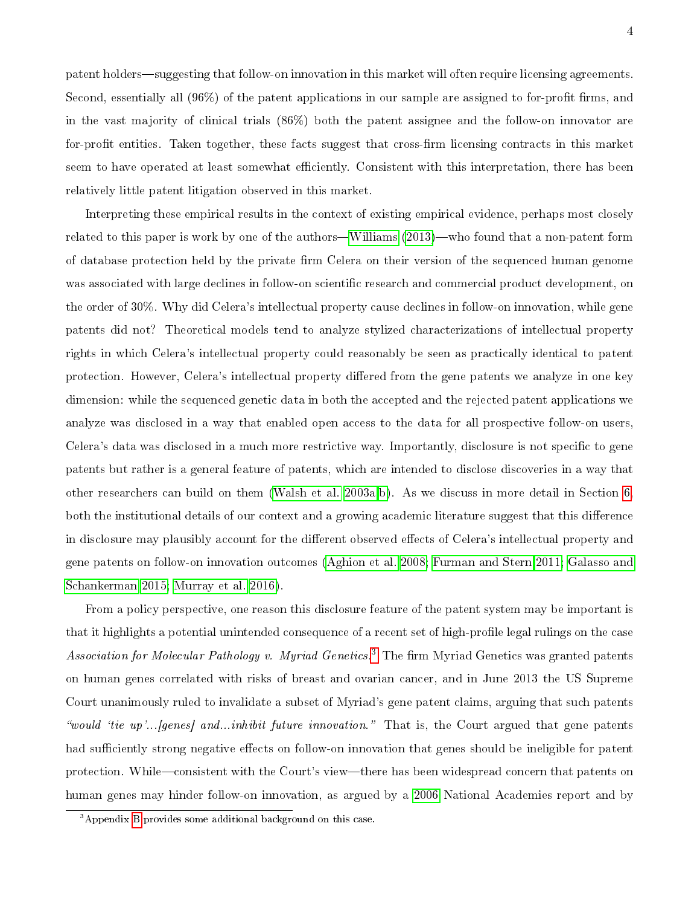4

patent holders—suggesting that follow-on innovation in this market will often require licensing agreements. Second, essentially all  $(96\%)$  of the patent applications in our sample are assigned to for-profit firms, and in the vast majority of clinical trials (86%) both the patent assignee and the follow-on innovator are for-profit entities. Taken together, these facts suggest that cross-firm licensing contracts in this market seem to have operated at least somewhat efficiently. Consistent with this interpretation, there has been relatively little patent litigation observed in this market.

Interpreting these empirical results in the context of existing empirical evidence, perhaps most closely related to this paper is work by one of the authors—[Williams](#page-35-0)  $(2013)$ —who found that a non-patent form of database protection held by the private firm Celera on their version of the sequenced human genome was associated with large declines in follow-on scientific research and commercial product development, on the order of 30%. Why did Celera's intellectual property cause declines in follow-on innovation, while gene patents did not? Theoretical models tend to analyze stylized characterizations of intellectual property rights in which Celera's intellectual property could reasonably be seen as practically identical to patent protection. However, Celera's intellectual property differed from the gene patents we analyze in one key dimension: while the sequenced genetic data in both the accepted and the rejected patent applications we analyze was disclosed in a way that enabled open access to the data for all prospective follow-on users, Celera's data was disclosed in a much more restrictive way. Importantly, disclosure is not specific to gene patents but rather is a general feature of patents, which are intended to disclose discoveries in a way that other researchers can build on them [\(Walsh et al. 2003a,](#page-35-1)[b\)](#page-35-2). As we discuss in more detail in Section [6,](#page-23-0) both the institutional details of our context and a growing academic literature suggest that this difference in disclosure may plausibly account for the different observed effects of Celera's intellectual property and gene patents on follow-on innovation outcomes [\(Aghion et al. 2008;](#page-31-1) [Furman and Stern 2011;](#page-32-2) [Galasso and](#page-32-3) [Schankerman 2015;](#page-32-3) [Murray et al. 2016\)](#page-34-1).

From a policy perspective, one reason this disclosure feature of the patent system may be important is that it highlights a potential unintended consequence of a recent set of high-profile legal rulings on the case Association for Molecular Pathology v. Myriad Genetics.<sup>[3](#page-5-0)</sup> The firm Myriad Genetics was granted patents on human genes correlated with risks of breast and ovarian cancer, and in June 2013 the US Supreme Court unanimously ruled to invalidate a subset of Myriad's gene patent claims, arguing that such patents "would 'tie up'... [genes] and...inhibit future innovation." That is, the Court argued that gene patents had sufficiently strong negative effects on follow-on innovation that genes should be ineligible for patent protection. While—consistent with the Court's view—there has been widespread concern that patents on human genes may hinder follow-on innovation, as argued by a [2006](#page-34-2) National Academies report and by

<span id="page-5-0"></span><sup>3</sup>Appendix [B](#page-48-0) provides some additional background on this case.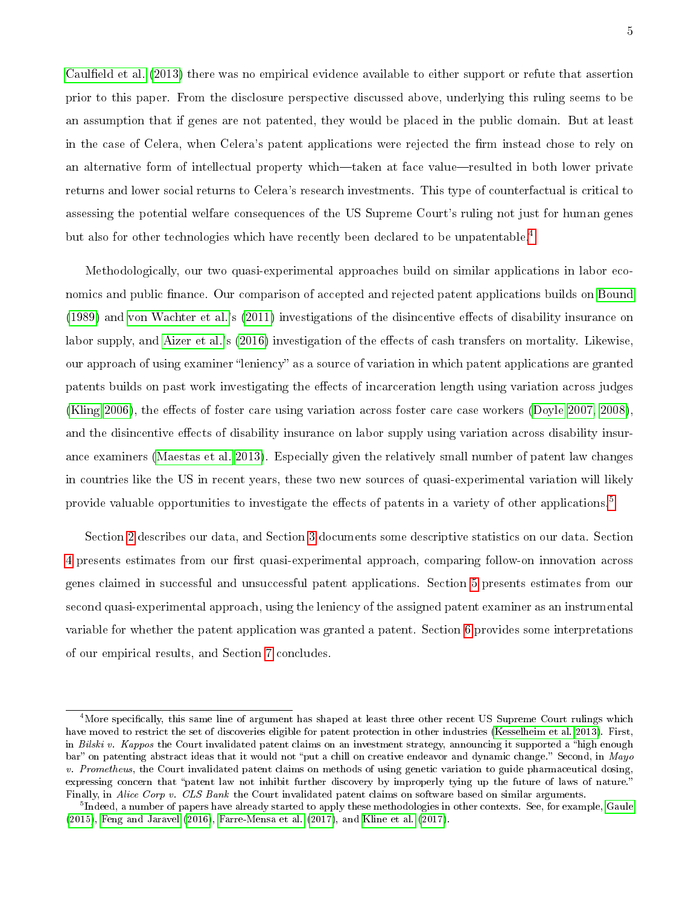Caulfield et al. [\(2013\)](#page-31-2) there was no empirical evidence available to either support or refute that assertion prior to this paper. From the disclosure perspective discussed above, underlying this ruling seems to be an assumption that if genes are not patented, they would be placed in the public domain. But at least in the case of Celera, when Celera's patent applications were rejected the firm instead chose to rely on an alternative form of intellectual property which—taken at face value—resulted in both lower private returns and lower social returns to Celera's research investments. This type of counterfactual is critical to assessing the potential welfare consequences of the US Supreme Court's ruling not just for human genes but also for other technologies which have recently been declared to be unpatentable.<sup>[4](#page-6-0)</sup>

Methodologically, our two quasi-experimental approaches build on similar applications in labor eco-nomics and public finance. Our comparison of accepted and rejected patent applications builds on [Bound](#page-31-3)  $(1989)$  and [von Wachter et al.'](#page-35-3)s  $(2011)$  investigations of the disincentive effects of disability insurance on labor supply, and [Aizer et al.'](#page-31-4)s [\(2016\)](#page-31-4) investigation of the effects of cash transfers on mortality. Likewise, our approach of using examiner "leniency" as a source of variation in which patent applications are granted patents builds on past work investigating the effects of incarceration length using variation across judges [\(Kling 2006\)](#page-33-4), the effects of foster care using variation across foster care case workers (Doyle  $2007, 2008$ ), and the disincentive effects of disability insurance on labor supply using variation across disability insurance examiners [\(Maestas et al. 2013\)](#page-34-3). Especially given the relatively small number of patent law changes in countries like the US in recent years, these two new sources of quasi-experimental variation will likely provide valuable opportunities to investigate the effects of patents in a variety of other applications.<sup>[5](#page-6-1)</sup>

Section [2](#page-7-0) describes our data, and Section [3](#page-10-0) documents some descriptive statistics on our data. Section [4](#page-13-0) presents estimates from our first quasi-experimental approach, comparing follow-on innovation across genes claimed in successful and unsuccessful patent applications. Section [5](#page-17-0) presents estimates from our second quasi-experimental approach, using the leniency of the assigned patent examiner as an instrumental variable for whether the patent application was granted a patent. Section [6](#page-23-0) provides some interpretations of our empirical results, and Section [7](#page-29-0) concludes.

<span id="page-6-0"></span><sup>&</sup>lt;sup>4</sup>More specifically, this same line of argument has shaped at least three other recent US Supreme Court rulings which have moved to restrict the set of discoveries eligible for patent protection in other industries [\(Kesselheim et al. 2013\)](#page-33-5). First, in Bilski v. Kappos the Court invalidated patent claims on an investment strategy, announcing it supported a "high enough bar" on patenting abstract ideas that it would not "put a chill on creative endeavor and dynamic change." Second, in Mayo v. Prometheus, the Court invalidated patent claims on methods of using genetic variation to guide pharmaceutical dosing, expressing concern that "patent law not inhibit further discovery by improperly tying up the future of laws of nature." Finally, in Alice Corp v. CLS Bank the Court invalidated patent claims on software based on similar arguments.

<span id="page-6-1"></span><sup>&</sup>lt;sup>5</sup>Indeed, a number of papers have already started to apply these methodologies in other contexts. See, for example, [Gaule](#page-32-6) [\(2015\)](#page-32-6), [Feng and Jaravel](#page-32-7) [\(2016\)](#page-32-7), [Farre-Mensa et al.](#page-32-8) [\(2017\)](#page-32-8), and [Kline et al.](#page-33-6) [\(2017\)](#page-33-6).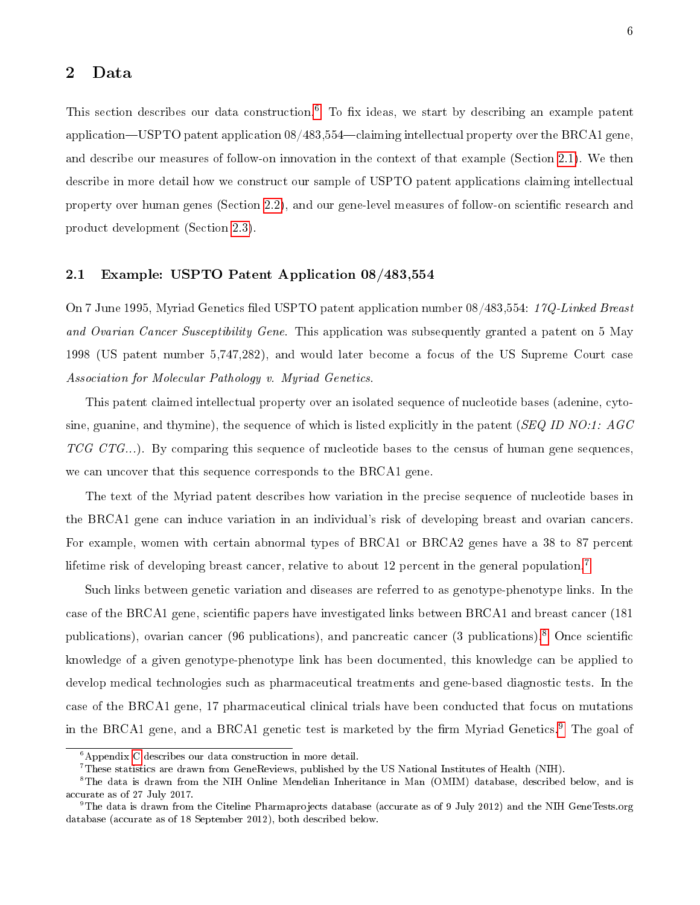## <span id="page-7-0"></span>2 Data

This section describes our data construction.<sup>[6](#page-7-1)</sup> To fix ideas, we start by describing an example patent application—USPTO patent application  $08/483,554$ —claiming intellectual property over the BRCA1 gene, and describe our measures of follow-on innovation in the context of that example (Section [2.1\)](#page-7-2). We then describe in more detail how we construct our sample of USPTO patent applications claiming intellectual property over human genes (Section [2.2\)](#page-8-0), and our gene-level measures of follow-on scientic research and product development (Section [2.3\)](#page-9-0).

## <span id="page-7-2"></span>2.1 Example: USPTO Patent Application 08/483,554

On 7 June 1995, Myriad Genetics led USPTO patent application number 08/483,554: 17Q-Linked Breast and Ovarian Cancer Susceptibility Gene. This application was subsequently granted a patent on 5 May 1998 (US patent number 5,747,282), and would later become a focus of the US Supreme Court case Association for Molecular Pathology v. Myriad Genetics.

This patent claimed intellectual property over an isolated sequence of nucleotide bases (adenine, cytosine, guanine, and thymine), the sequence of which is listed explicitly in the patent (SEQ ID NO:1: AGC) TCG CTG...). By comparing this sequence of nucleotide bases to the census of human gene sequences, we can uncover that this sequence corresponds to the BRCA1 gene.

The text of the Myriad patent describes how variation in the precise sequence of nucleotide bases in the BRCA1 gene can induce variation in an individual's risk of developing breast and ovarian cancers. For example, women with certain abnormal types of BRCA1 or BRCA2 genes have a 38 to 87 percent lifetime risk of developing breast cancer, relative to about 12 percent in the general population.<sup>[7](#page-7-3)</sup>

Such links between genetic variation and diseases are referred to as genotype-phenotype links. In the case of the BRCA1 gene, scientific papers have investigated links between BRCA1 and breast cancer (181) publications), ovarian cancer (96 publications), and pancreatic cancer (3 publications).<sup>[8](#page-7-4)</sup> Once scientific knowledge of a given genotype-phenotype link has been documented, this knowledge can be applied to develop medical technologies such as pharmaceutical treatments and gene-based diagnostic tests. In the case of the BRCA1 gene, 17 pharmaceutical clinical trials have been conducted that focus on mutations in the BRCA1 gene, and a BRCA1 genetic test is marketed by the firm Myriad Genetics.<sup>[9](#page-7-5)</sup> The goal of

<span id="page-7-3"></span><span id="page-7-1"></span><sup>6</sup>Appendix [C](#page-49-0) describes our data construction in more detail.

<span id="page-7-4"></span><sup>7</sup>These statistics are drawn from GeneReviews, published by the US National Institutes of Health (NIH).

<sup>8</sup>The data is drawn from the NIH Online Mendelian Inheritance in Man (OMIM) database, described below, and is accurate as of 27 July 2017.

<span id="page-7-5"></span><sup>9</sup>The data is drawn from the Citeline Pharmaprojects database (accurate as of 9 July 2012) and the NIH GeneTests.org database (accurate as of 18 September 2012), both described below.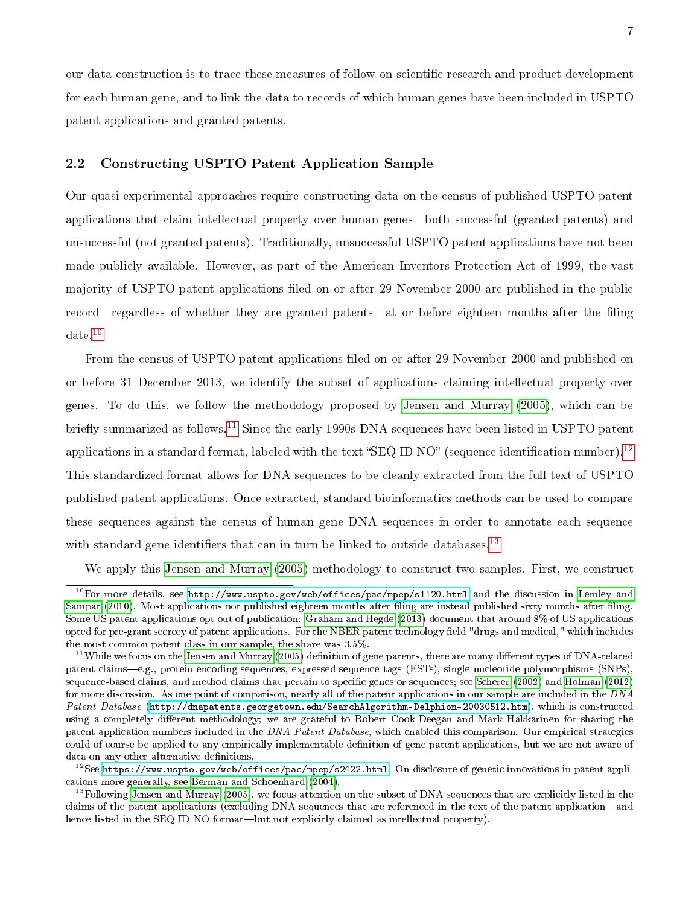our data construction is to trace these measures of follow-on scientic research and product development for each human gene, and to link the data to records of which human genes have been included in USPTO patent applications and granted patents.

# <span id="page-8-0"></span>2.2 Constructing USPTO Patent Application Sample

Our quasi-experimental approaches require constructing data on the census of published USPTO patent applications that claim intellectual property over human genes—both successful (granted patents) and unsuccessful (not granted patents). Traditionally, unsuccessful USPTO patent applications have not been made publicly available. However, as part of the American Inventors Protection Act of 1999, the vast majority of USPTO patent applications filed on or after 29 November 2000 are published in the public record—regardless of whether they are granted patents—at or before eighteen months after the filing date.[10](#page-8-1)

From the census of USPTO patent applications filed on or after 29 November 2000 and published on or before 31 December 2013, we identify the subset of applications claiming intellectual property over genes. To do this, we follow the methodology proposed by [Jensen and Murray](#page-33-0) [\(2005\)](#page-33-0), which can be briefly summarized as follows.<sup>[11](#page-8-2)</sup> Since the early 1990s DNA sequences have been listed in USPTO patent applications in a standard format, labeled with the text "SEQ ID NO" (sequence identification number).<sup>[12](#page-8-3)</sup> This standardized format allows for DNA sequences to be cleanly extracted from the full text of USPTO published patent applications. Once extracted, standard bioinformatics methods can be used to compare these sequences against the census of human gene DNA sequences in order to annotate each sequence with standard gene identifiers that can in turn be linked to outside databases.<sup>[13](#page-8-4)</sup>

We apply this [Jensen and Murray](#page-33-0) [\(2005\)](#page-33-0) methodology to construct two samples. First, we construct

<span id="page-8-1"></span><sup>&</sup>lt;sup>10</sup>For more details, see <http://www.uspto.gov/web/offices/pac/mpep/s1120.html> and the discussion in [Lemley and](#page-33-1) [Sampat](#page-33-1) [\(2010\)](#page-33-1). Most applications not published eighteen months after filing are instead published sixty months after filing. Some US patent applications opt out of publication: [Graham and Hegde](#page-32-9) [\(2013\)](#page-32-9) document that around 8% of US applications opted for pre-grant secrecy of patent applications. For the NBER patent technology eld "drugs and medical," which includes the most common patent class in our sample, the share was 3.5%.

<span id="page-8-2"></span> $11$ While we focus on the [Jensen and Murray](#page-33-0) [\(2005\)](#page-33-0) definition of gene patents, there are many different types of DNA-related patent claims—e.g., protein-encoding sequences, expressed sequence tags (ESTs), single-nucleotide polymorphisms (SNPs), sequence-based claims, and method claims that pertain to specific genes or sequences; see [Scherer](#page-34-4) [\(2002\)](#page-34-4) and [Holman](#page-33-7) [\(2012\)](#page-33-7) for more discussion. As one point of comparison, nearly all of the patent applications in our sample are included in the  $DNA$ Patent Database [\(http://dnapatents.georgetown.edu/SearchAlgorithm-Delphion-20030512.htm\)](http://dnapatents.georgetown.edu/SearchAlgorithm-Delphion-20030512.htm), which is constructed using a completely different methodology; we are grateful to Robert Cook-Deegan and Mark Hakkarinen for sharing the patent application numbers included in the DNA Patent Database, which enabled this comparison. Our empirical strategies could of course be applied to any empirically implementable denition of gene patent applications, but we are not aware of data on any other alternative definitions.

<span id="page-8-3"></span> $^{12}$ See [https://www.uspto.gov/web/offices/pac/mpep/s2422.html.](https://www.uspto.gov/web/offices/pac/mpep/s2422.html) On disclosure of genetic innovations in patent applications more generally, see [Berman and Schoenhard](#page-31-5) [\(2004\)](#page-31-5).

<span id="page-8-4"></span> $13$ Following [Jensen and Murray](#page-33-0) [\(2005\)](#page-33-0), we focus attention on the subset of DNA sequences that are explicitly listed in the claims of the patent applications (excluding DNA sequences that are referenced in the text of the patent application—and hence listed in the SEQ ID NO format—but not explicitly claimed as intellectual property).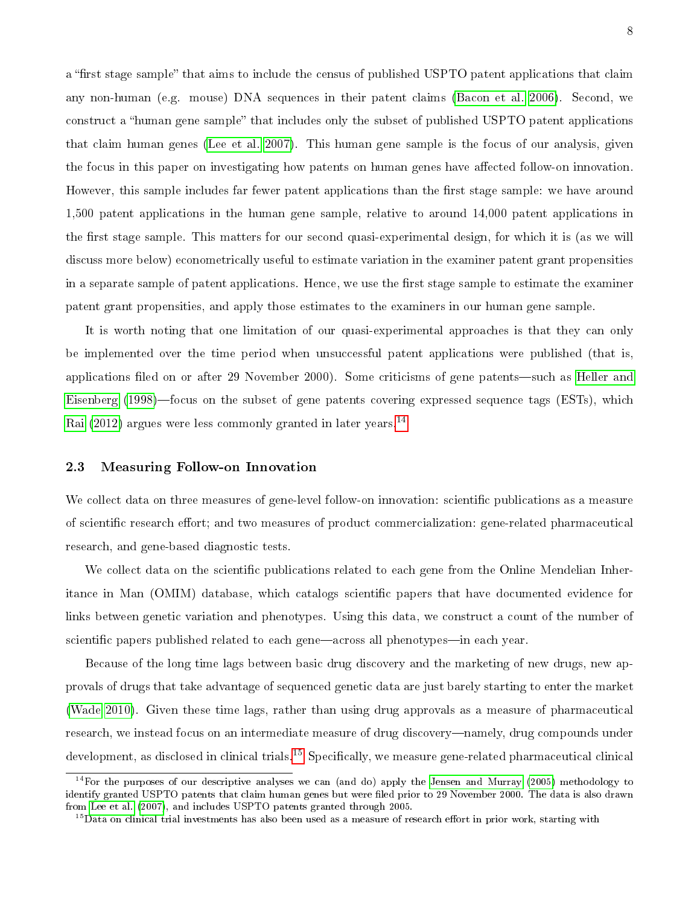a "first stage sample" that aims to include the census of published USPTO patent applications that claim any non-human (e.g. mouse) DNA sequences in their patent claims [\(Bacon et al. 2006\)](#page-31-6). Second, we construct a "human gene sample" that includes only the subset of published USPTO patent applications that claim human genes [\(Lee et al. 2007\)](#page-33-8). This human gene sample is the focus of our analysis, given the focus in this paper on investigating how patents on human genes have affected follow-on innovation. However, this sample includes far fewer patent applications than the first stage sample: we have around 1,500 patent applications in the human gene sample, relative to around 14,000 patent applications in the first stage sample. This matters for our second quasi-experimental design, for which it is (as we will discuss more below) econometrically useful to estimate variation in the examiner patent grant propensities in a separate sample of patent applications. Hence, we use the first stage sample to estimate the examiner patent grant propensities, and apply those estimates to the examiners in our human gene sample.

It is worth noting that one limitation of our quasi-experimental approaches is that they can only be implemented over the time period when unsuccessful patent applications were published (that is, applications filed on or after 29 November 2000). Some criticisms of gene patents—such as [Heller and](#page-33-9) [Eisenberg](#page-33-9) [\(1998\)](#page-33-9)—focus on the subset of gene patents covering expressed sequence tags (ESTs), which [Rai](#page-34-5) [\(2012\)](#page-34-5) argues were less commonly granted in later years.[14](#page-9-1)

## <span id="page-9-0"></span>2.3 Measuring Follow-on Innovation

We collect data on three measures of gene-level follow-on innovation: scientific publications as a measure of scientific research effort; and two measures of product commercialization: gene-related pharmaceutical research, and gene-based diagnostic tests.

We collect data on the scientific publications related to each gene from the Online Mendelian Inheritance in Man (OMIM) database, which catalogs scientific papers that have documented evidence for links between genetic variation and phenotypes. Using this data, we construct a count of the number of scientific papers published related to each gene—across all phenotypes—in each year.

Because of the long time lags between basic drug discovery and the marketing of new drugs, new approvals of drugs that take advantage of sequenced genetic data are just barely starting to enter the market [\(Wade 2010\)](#page-35-4). Given these time lags, rather than using drug approvals as a measure of pharmaceutical research, we instead focus on an intermediate measure of drug discovery—namely, drug compounds under development, as disclosed in clinical trials.<sup>[15](#page-9-2)</sup> Specifically, we measure gene-related pharmaceutical clinical

<span id="page-9-1"></span> $14$ For the purposes of our descriptive analyses we can (and do) apply the [Jensen and Murray](#page-33-0) [\(2005\)](#page-33-0) methodology to identify granted USPTO patents that claim human genes but were filed prior to 29 November 2000. The data is also drawn from [Lee et al.](#page-33-8) [\(2007\)](#page-33-8), and includes USPTO patents granted through 2005.

<span id="page-9-2"></span> $15$ Data on clinical trial investments has also been used as a measure of research effort in prior work, starting with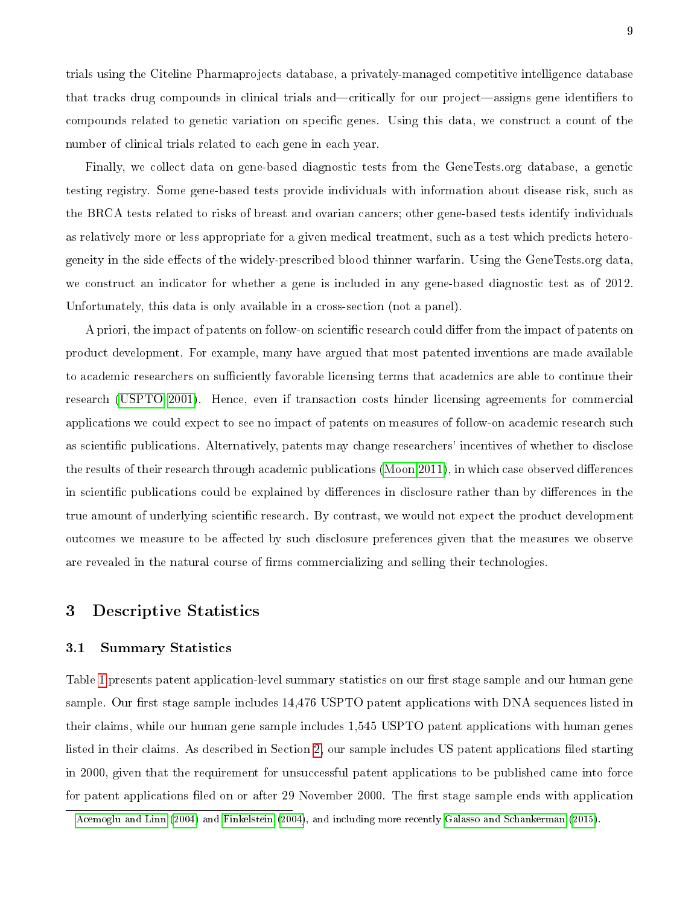trials using the Citeline Pharmaprojects database, a privately-managed competitive intelligence database that tracks drug compounds in clinical trials and—critically for our project—assigns gene identifiers to compounds related to genetic variation on specific genes. Using this data, we construct a count of the number of clinical trials related to each gene in each year.

Finally, we collect data on gene-based diagnostic tests from the GeneTests.org database, a genetic testing registry. Some gene-based tests provide individuals with information about disease risk, such as the BRCA tests related to risks of breast and ovarian cancers; other gene-based tests identify individuals as relatively more or less appropriate for a given medical treatment, such as a test which predicts heterogeneity in the side effects of the widely-prescribed blood thinner warfarin. Using the GeneTests.org data, we construct an indicator for whether a gene is included in any gene-based diagnostic test as of 2012. Unfortunately, this data is only available in a cross-section (not a panel).

A priori, the impact of patents on follow-on scientific research could differ from the impact of patents on product development. For example, many have argued that most patented inventions are made available to academic researchers on sufficiently favorable licensing terms that academics are able to continue their research [\(USPTO 2001\)](#page-35-5). Hence, even if transaction costs hinder licensing agreements for commercial applications we could expect to see no impact of patents on measures of follow-on academic research such as scientific publications. Alternatively, patents may change researchers' incentives of whether to disclose the results of their research through academic publications [\(Moon 2011\)](#page-34-6), in which case observed differences in scientific publications could be explained by differences in disclosure rather than by differences in the true amount of underlying scientific research. By contrast, we would not expect the product development outcomes we measure to be affected by such disclosure preferences given that the measures we observe are revealed in the natural course of firms commercializing and selling their technologies.

# <span id="page-10-0"></span>3 Descriptive Statistics

## 3.1 Summary Statistics

Table [1](#page-39-0) presents patent application-level summary statistics on our first stage sample and our human gene sample. Our first stage sample includes 14,476 USPTO patent applications with DNA sequences listed in their claims, while our human gene sample includes 1,545 USPTO patent applications with human genes listed in their claims. As described in Section [2,](#page-7-0) our sample includes US patent applications filed starting in 2000, given that the requirement for unsuccessful patent applications to be published came into force for patent applications filed on or after 29 November 2000. The first stage sample ends with application

[Acemoglu and Linn](#page-31-7) [\(2004\)](#page-31-7) and [Finkelstein](#page-32-10) [\(2004\)](#page-32-10), and including more recently [Galasso and Schankerman](#page-32-3) [\(2015\)](#page-32-3).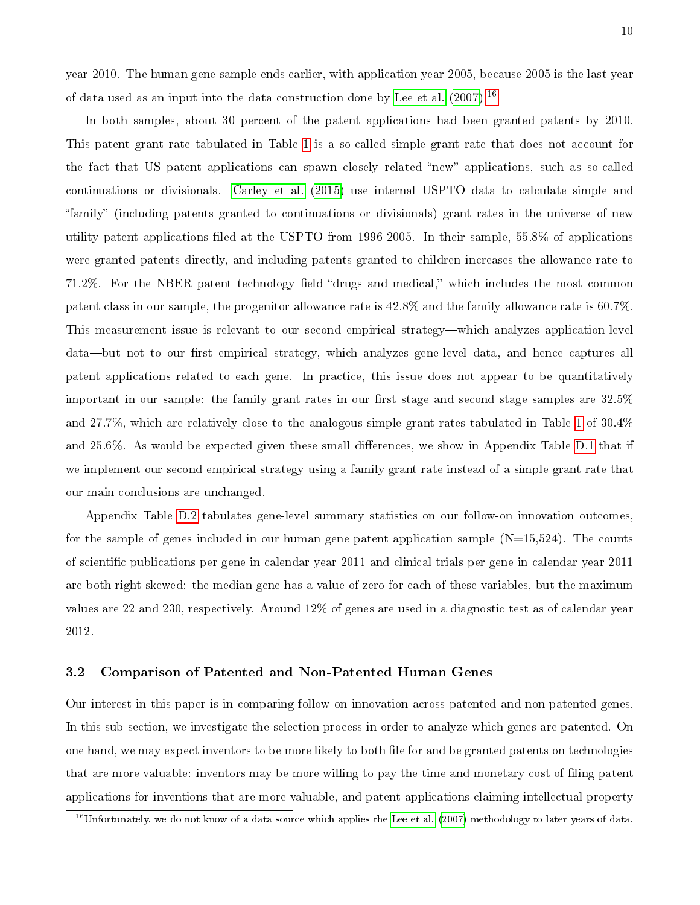year 2010. The human gene sample ends earlier, with application year 2005, because 2005 is the last year of data used as an input into the data construction done by [Lee et al.](#page-33-8)  $(2007)^{16}$  $(2007)^{16}$  $(2007)^{16}$  $(2007)^{16}$ 

In both samples, about 30 percent of the patent applications had been granted patents by 2010. This patent grant rate tabulated in Table [1](#page-39-0) is a so-called simple grant rate that does not account for the fact that US patent applications can spawn closely related "new" applications, such as so-called continuations or divisionals. [Carley et al.](#page-31-8) [\(2015\)](#page-31-8) use internal USPTO data to calculate simple and family (including patents granted to continuations or divisionals) grant rates in the universe of new utility patent applications filed at the USPTO from 1996-2005. In their sample, 55.8% of applications were granted patents directly, and including patents granted to children increases the allowance rate to 71.2%. For the NBER patent technology field "drugs and medical," which includes the most common patent class in our sample, the progenitor allowance rate is 42.8% and the family allowance rate is 60.7%. This measurement issue is relevant to our second empirical strategy—which analyzes application-level data—but not to our first empirical strategy, which analyzes gene-level data, and hence captures all patent applications related to each gene. In practice, this issue does not appear to be quantitatively important in our sample: the family grant rates in our first stage and second stage samples are  $32.5\%$ and 27.7%, which are relatively close to the analogous simple grant rates tabulated in Table [1](#page-39-0) of 30.4% and  $25.6\%$ . As would be expected given these small differences, we show in Appendix Table [D.1](#page-58-0) that if we implement our second empirical strategy using a family grant rate instead of a simple grant rate that our main conclusions are unchanged.

Appendix Table [D.2](#page-59-0) tabulates gene-level summary statistics on our follow-on innovation outcomes, for the sample of genes included in our human gene patent application sample  $(N=15,524)$ . The counts of scientic publications per gene in calendar year 2011 and clinical trials per gene in calendar year 2011 are both right-skewed: the median gene has a value of zero for each of these variables, but the maximum values are 22 and 230, respectively. Around 12% of genes are used in a diagnostic test as of calendar year 2012.

#### <span id="page-11-1"></span>3.2 Comparison of Patented and Non-Patented Human Genes

Our interest in this paper is in comparing follow-on innovation across patented and non-patented genes. In this sub-section, we investigate the selection process in order to analyze which genes are patented. On one hand, we may expect inventors to be more likely to both file for and be granted patents on technologies that are more valuable: inventors may be more willing to pay the time and monetary cost of filing patent applications for inventions that are more valuable, and patent applications claiming intellectual property

<span id="page-11-0"></span> $16$ Unfortunately, we do not know of a data source which applies the [Lee et al.](#page-33-8) [\(2007\)](#page-33-8) methodology to later years of data.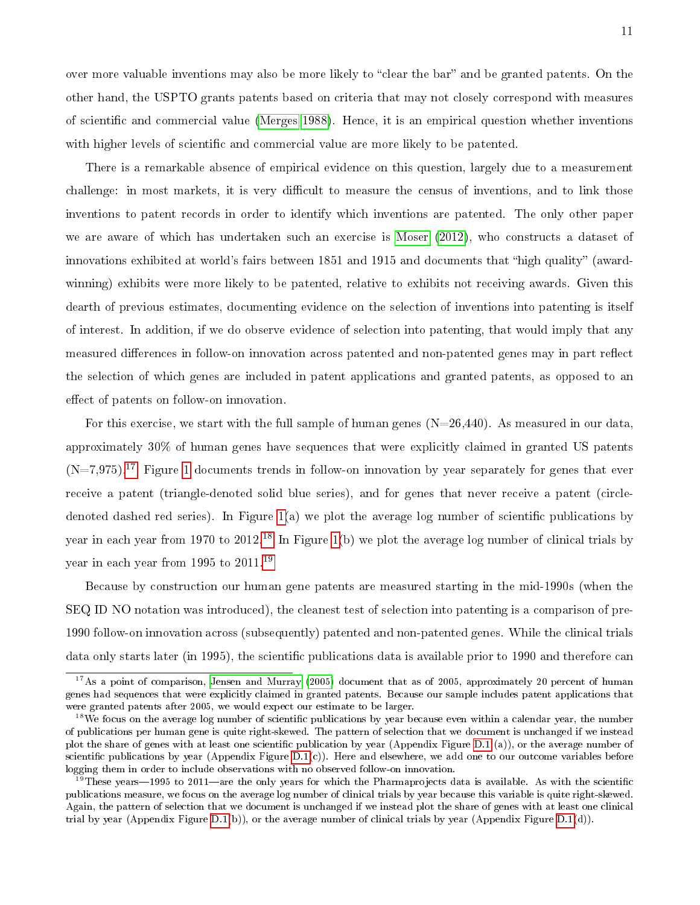over more valuable inventions may also be more likely to "clear the bar" and be granted patents. On the other hand, the USPTO grants patents based on criteria that may not closely correspond with measures of scientic and commercial value [\(Merges 1988\)](#page-34-7). Hence, it is an empirical question whether inventions with higher levels of scientific and commercial value are more likely to be patented.

There is a remarkable absence of empirical evidence on this question, largely due to a measurement challenge: in most markets, it is very difficult to measure the census of inventions, and to link those inventions to patent records in order to identify which inventions are patented. The only other paper we are aware of which has undertaken such an exercise is [Moser](#page-34-8) [\(2012\)](#page-34-8), who constructs a dataset of innovations exhibited at world's fairs between 1851 and 1915 and documents that "high quality" (awardwinning) exhibits were more likely to be patented, relative to exhibits not receiving awards. Given this dearth of previous estimates, documenting evidence on the selection of inventions into patenting is itself of interest. In addition, if we do observe evidence of selection into patenting, that would imply that any measured differences in follow-on innovation across patented and non-patented genes may in part reflect the selection of which genes are included in patent applications and granted patents, as opposed to an effect of patents on follow-on innovation.

For this exercise, we start with the full sample of human genes  $(N=26,440)$ . As measured in our data, approximately 30% of human genes have sequences that were explicitly claimed in granted US patents  $(N=7.975)$ .<sup>[17](#page-12-0)</sup> Figure [1](#page-36-0) documents trends in follow-on innovation by year separately for genes that ever receive a patent (triangle-denoted solid blue series), and for genes that never receive a patent (circledenoted dashed red series). In Figure  $1(a)$  we plot the average log number of scientific publications by year in each year from 1970 to 2012.[18](#page-12-1) In Figure [1\(](#page-36-0)b) we plot the average log number of clinical trials by year in each year from 1995 to 2011.[19](#page-12-2)

Because by construction our human gene patents are measured starting in the mid-1990s (when the SEQ ID NO notation was introduced), the cleanest test of selection into patenting is a comparison of pre-1990 follow-on innovation across (subsequently) patented and non-patented genes. While the clinical trials data only starts later (in 1995), the scientific publications data is available prior to 1990 and therefore can

<span id="page-12-0"></span> $17$ As a point of comparison, [Jensen and Murray](#page-33-0) [\(2005\)](#page-33-0) document that as of 2005, approximately 20 percent of human genes had sequences that were explicitly claimed in granted patents. Because our sample includes patent applications that were granted patents after 2005, we would expect our estimate to be larger.

<span id="page-12-1"></span> $18\,\text{We focus on the average log number of scientific publications by year because even within a calendar year, the number of 18\,\text{V} is 100\,\text{V}$ of publications per human gene is quite right-skewed. The pattern of selection that we document is unchanged if we instead plot the share of genes with at least one scientific publication by year (Appendix Figure [D.1](#page-56-0) (a)), or the average number of scientific publications by year (Appendix Figure D.1 $(c)$ ). Here and elsewhere, we add one to our outcome variables before logging them in order to include observations with no observed follow-on innovation.

<span id="page-12-2"></span>These years—1995 to 2011—are the only years for which the Pharmaprojects data is available. As with the scientific publications measure, we focus on the average log number of clinical trials by year because this variable is quite right-skewed. Again, the pattern of selection that we document is unchanged if we instead plot the share of genes with at least one clinical trial by year (Appendix Figure [D.1\(](#page-56-0)b)), or the average number of clinical trials by year (Appendix Figure D.1(d)).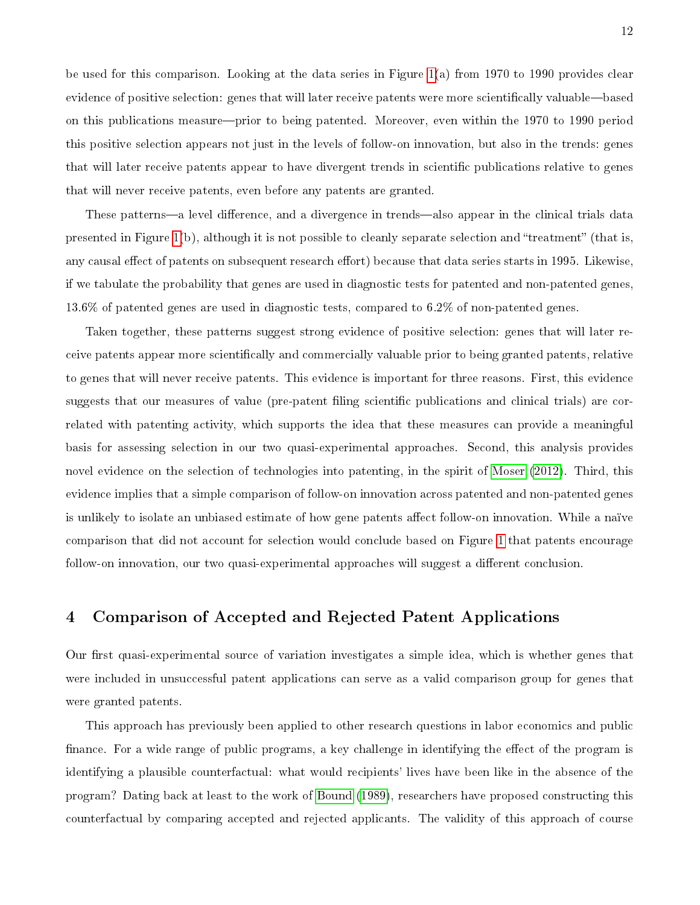be used for this comparison. Looking at the data series in Figure  $1(a)$  from 1970 to 1990 provides clear evidence of positive selection: genes that will later receive patents were more scientifically valuable—based on this publications measure—prior to being patented. Moreover, even within the 1970 to 1990 period this positive selection appears not just in the levels of follow-on innovation, but also in the trends: genes that will later receive patents appear to have divergent trends in scientific publications relative to genes that will never receive patents, even before any patents are granted.

These patterns—a level difference, and a divergence in trends—also appear in the clinical trials data presented in Figure [1\(](#page-36-0)b), although it is not possible to cleanly separate selection and "treatment" (that is, any causal effect of patents on subsequent research effort) because that data series starts in 1995. Likewise, if we tabulate the probability that genes are used in diagnostic tests for patented and non-patented genes, 13.6% of patented genes are used in diagnostic tests, compared to 6.2% of non-patented genes.

Taken together, these patterns suggest strong evidence of positive selection: genes that will later receive patents appear more scientically and commercially valuable prior to being granted patents, relative to genes that will never receive patents. This evidence is important for three reasons. First, this evidence suggests that our measures of value (pre-patent filing scientific publications and clinical trials) are correlated with patenting activity, which supports the idea that these measures can provide a meaningful basis for assessing selection in our two quasi-experimental approaches. Second, this analysis provides novel evidence on the selection of technologies into patenting, in the spirit of [Moser](#page-34-8) [\(2012\)](#page-34-8). Third, this evidence implies that a simple comparison of follow-on innovation across patented and non-patented genes is unlikely to isolate an unbiased estimate of how gene patents affect follow-on innovation. While a naïve comparison that did not account for selection would conclude based on Figure [1](#page-36-0) that patents encourage follow-on innovation, our two quasi-experimental approaches will suggest a different conclusion.

# <span id="page-13-0"></span>4 Comparison of Accepted and Rejected Patent Applications

Our first quasi-experimental source of variation investigates a simple idea, which is whether genes that were included in unsuccessful patent applications can serve as a valid comparison group for genes that were granted patents.

This approach has previously been applied to other research questions in labor economics and public finance. For a wide range of public programs, a key challenge in identifying the effect of the program is identifying a plausible counterfactual: what would recipients' lives have been like in the absence of the program? Dating back at least to the work of [Bound](#page-31-3) [\(1989\)](#page-31-3), researchers have proposed constructing this counterfactual by comparing accepted and rejected applicants. The validity of this approach of course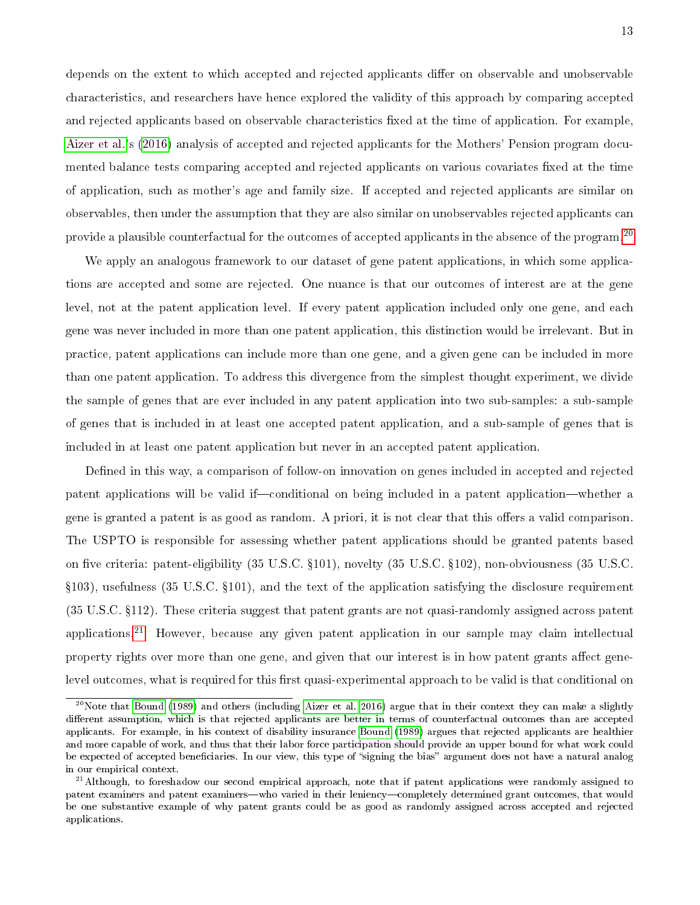depends on the extent to which accepted and rejected applicants differ on observable and unobservable characteristics, and researchers have hence explored the validity of this approach by comparing accepted and rejected applicants based on observable characteristics fixed at the time of application. For example, [Aizer et al.'](#page-31-4)s [\(2016\)](#page-31-4) analysis of accepted and rejected applicants for the Mothers' Pension program documented balance tests comparing accepted and rejected applicants on various covariates fixed at the time of application, such as mother's age and family size. If accepted and rejected applicants are similar on observables, then under the assumption that they are also similar on unobservables rejected applicants can provide a plausible counterfactual for the outcomes of accepted applicants in the absence of the program.[20](#page-14-0)

We apply an analogous framework to our dataset of gene patent applications, in which some applications are accepted and some are rejected. One nuance is that our outcomes of interest are at the gene level, not at the patent application level. If every patent application included only one gene, and each gene was never included in more than one patent application, this distinction would be irrelevant. But in practice, patent applications can include more than one gene, and a given gene can be included in more than one patent application. To address this divergence from the simplest thought experiment, we divide the sample of genes that are ever included in any patent application into two sub-samples: a sub-sample of genes that is included in at least one accepted patent application, and a sub-sample of genes that is included in at least one patent application but never in an accepted patent application.

Defined in this way, a comparison of follow-on innovation on genes included in accepted and rejected patent applications will be valid if-conditional on being included in a patent application-whether a gene is granted a patent is as good as random. A priori, it is not clear that this offers a valid comparison. The USPTO is responsible for assessing whether patent applications should be granted patents based on five criteria: patent-eligibility  $(35 \text{ U.S.C.} \S101)$ , novelty  $(35 \text{ U.S.C.} \S102)$ , non-obviousness  $(35 \text{ U.S.C.} \S101)$  $103$ , usefulness (35 U.S.C.  $101$ ), and the text of the application satisfying the disclosure requirement (35 U.S.C. 112). These criteria suggest that patent grants are not quasi-randomly assigned across patent applications.<sup>[21](#page-14-1)</sup> However, because any given patent application in our sample may claim intellectual property rights over more than one gene, and given that our interest is in how patent grants affect genelevel outcomes, what is required for this first quasi-experimental approach to be valid is that conditional on

<span id="page-14-0"></span><sup>&</sup>lt;sup>20</sup>Note that [Bound](#page-31-3) [\(1989\)](#page-31-3) and others (including [Aizer et al. 2016\)](#page-31-4) argue that in their context they can make a slightly different assumption, which is that rejected applicants are better in terms of counterfactual outcomes than are accepted applicants. For example, in his context of disability insurance [Bound](#page-31-3) [\(1989\)](#page-31-3) argues that rejected applicants are healthier and more capable of work, and thus that their labor force participation should provide an upper bound for what work could be expected of accepted beneficiaries. In our view, this type of "signing the bias" argument does not have a natural analog in our empirical context.

<span id="page-14-1"></span> $^{21}$ Although, to foreshadow our second empirical approach, note that if patent applications were randomly assigned to patent examiners and patent examiners—who varied in their leniency—completely determined grant outcomes, that would be one substantive example of why patent grants could be as good as randomly assigned across accepted and rejected applications.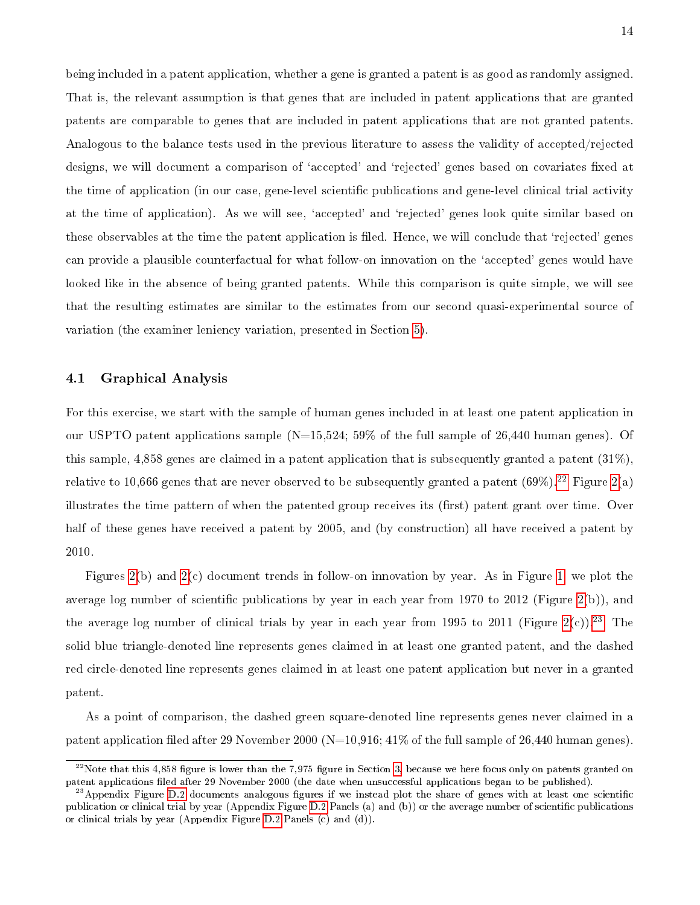being included in a patent application, whether a gene is granted a patent is as good as randomly assigned. That is, the relevant assumption is that genes that are included in patent applications that are granted patents are comparable to genes that are included in patent applications that are not granted patents. Analogous to the balance tests used in the previous literature to assess the validity of accepted/rejected designs, we will document a comparison of 'accepted' and 'rejected' genes based on covariates fixed at the time of application (in our case, gene-level scientific publications and gene-level clinical trial activity at the time of application). As we will see, `accepted' and `rejected' genes look quite similar based on these observables at the time the patent application is filed. Hence, we will conclude that 'rejected' genes can provide a plausible counterfactual for what follow-on innovation on the `accepted' genes would have looked like in the absence of being granted patents. While this comparison is quite simple, we will see that the resulting estimates are similar to the estimates from our second quasi-experimental source of variation (the examiner leniency variation, presented in Section [5\)](#page-17-0).

## 4.1 Graphical Analysis

For this exercise, we start with the sample of human genes included in at least one patent application in our USPTO patent applications sample  $(N=15,524; 59\%$  of the full sample of 26,440 human genes). Of this sample, 4,858 genes are claimed in a patent application that is subsequently granted a patent  $(31\%)$ , relative to 10,666 genes that are never observed to be subsequently granted a patent  $(69\%)$ .<sup>[22](#page-15-0)</sup> Figure [2\(](#page-37-0)a) illustrates the time pattern of when the patented group receives its (first) patent grant over time. Over half of these genes have received a patent by 2005, and (by construction) all have received a patent by 2010.

Figures [2\(](#page-37-0)b) and [2\(](#page-37-0)c) document trends in follow-on innovation by year. As in Figure [1,](#page-36-0) we plot the average log number of scientific publications by year in each year from 1970 to 2012 (Figure [2\(](#page-37-0)b)), and the average log number of clinical trials by year in each year from 1995 to 2011 (Figure [2\(](#page-37-0)c)).<sup>[23](#page-15-1)</sup> The solid blue triangle-denoted line represents genes claimed in at least one granted patent, and the dashed red circle-denoted line represents genes claimed in at least one patent application but never in a granted patent.

As a point of comparison, the dashed green square-denoted line represents genes never claimed in a patent application filed after 29 November 2000 ( $N=10,916$ ; 41% of the full sample of 26,440 human genes).

<span id="page-15-0"></span> $^{22}$ Note that this 4,858 figure is lower than the 7,975 figure in Section [3,](#page-10-0) because we here focus only on patents granted on patent applications led after 29 November 2000 (the date when unsuccessful applications began to be published).

<span id="page-15-1"></span> $^{23}$ Appendix Figure [D.2](#page-57-0) documents analogous figures if we instead plot the share of genes with at least one scientific publication or clinical trial by year (Appendix Figure [D.2](#page-57-0) Panels (a) and (b)) or the average number of scientific publications or clinical trials by year (Appendix Figure [D.2](#page-57-0) Panels (c) and (d)).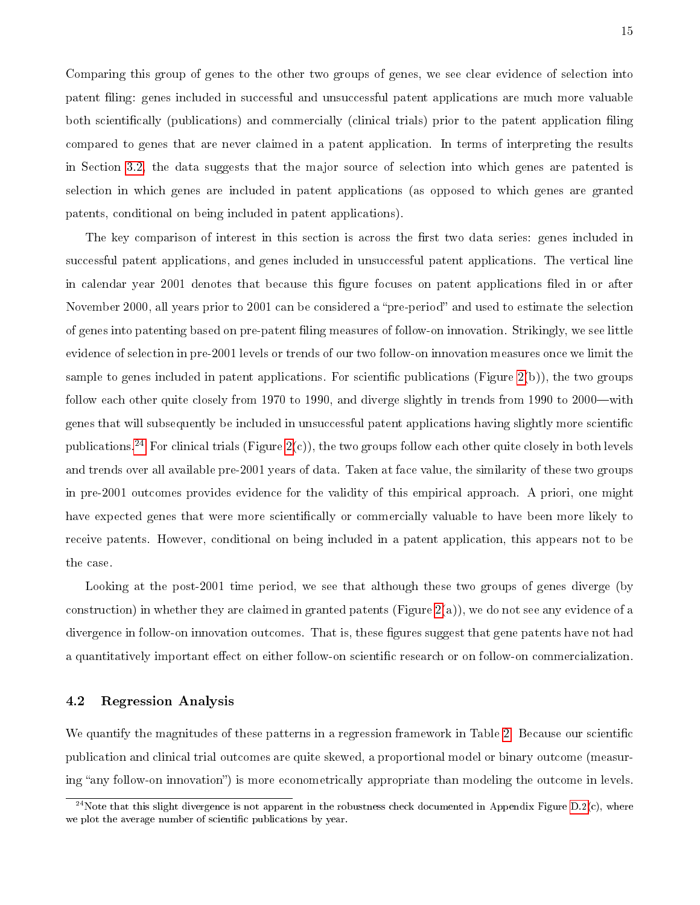Comparing this group of genes to the other two groups of genes, we see clear evidence of selection into patent filing: genes included in successful and unsuccessful patent applications are much more valuable both scientifically (publications) and commercially (clinical trials) prior to the patent application filing compared to genes that are never claimed in a patent application. In terms of interpreting the results in Section [3.2,](#page-11-1) the data suggests that the major source of selection into which genes are patented is selection in which genes are included in patent applications (as opposed to which genes are granted patents, conditional on being included in patent applications).

The key comparison of interest in this section is across the first two data series: genes included in successful patent applications, and genes included in unsuccessful patent applications. The vertical line in calendar year 2001 denotes that because this figure focuses on patent applications filed in or after November 2000, all years prior to 2001 can be considered a "pre-period" and used to estimate the selection of genes into patenting based on pre-patent ling measures of follow-on innovation. Strikingly, we see little evidence of selection in pre-2001 levels or trends of our two follow-on innovation measures once we limit the sample to genes included in patent applications. For scientific publications (Figure [2\(](#page-37-0)b)), the two groups follow each other quite closely from 1970 to 1990, and diverge slightly in trends from 1990 to  $2000$ —with genes that will subsequently be included in unsuccessful patent applications having slightly more scientic publications.<sup>[24](#page-16-0)</sup> For clinical trials (Figure [2\(](#page-37-0)c)), the two groups follow each other quite closely in both levels and trends over all available pre-2001 years of data. Taken at face value, the similarity of these two groups in pre-2001 outcomes provides evidence for the validity of this empirical approach. A priori, one might have expected genes that were more scientifically or commercially valuable to have been more likely to receive patents. However, conditional on being included in a patent application, this appears not to be the case.

Looking at the post-2001 time period, we see that although these two groups of genes diverge (by construction) in whether they are claimed in granted patents (Figure [2\(](#page-37-0)a)), we do not see any evidence of a divergence in follow-on innovation outcomes. That is, these figures suggest that gene patents have not had a quantitatively important effect on either follow-on scientific research or on follow-on commercialization.

#### 4.2 Regression Analysis

We quantify the magnitudes of these patterns in a regression framework in Table [2.](#page-40-0) Because our scientific publication and clinical trial outcomes are quite skewed, a proportional model or binary outcome (measuring "any follow-on innovation" is more econometrically appropriate than modeling the outcome in levels.

<span id="page-16-0"></span><sup>&</sup>lt;sup>24</sup>Note that this slight divergence is not apparent in the robustness check documented in Appendix Figure [D.2\(](#page-57-0)c), where we plot the average number of scientific publications by year.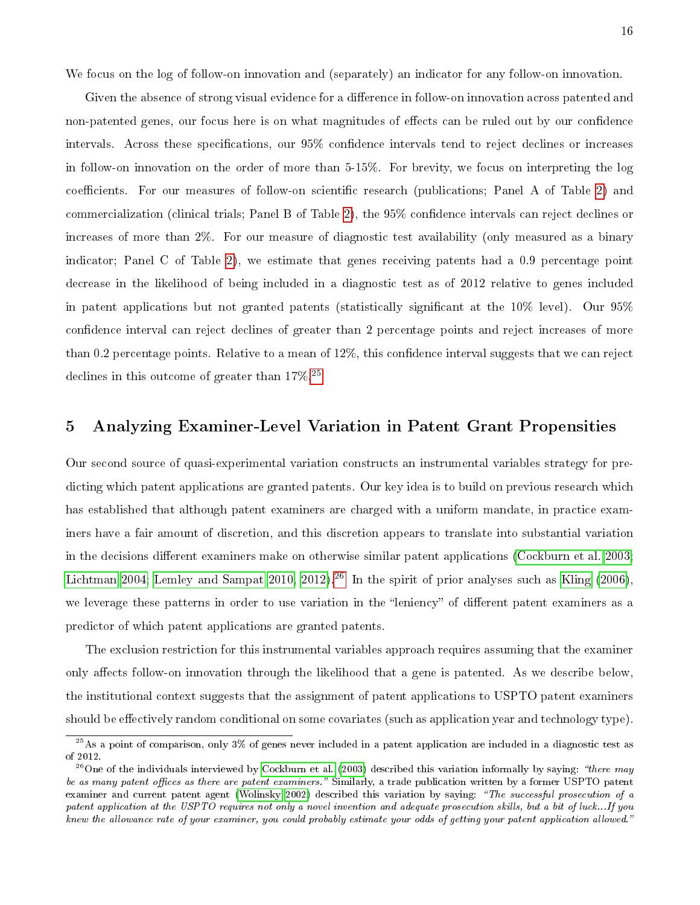We focus on the log of follow-on innovation and (separately) an indicator for any follow-on innovation.

Given the absence of strong visual evidence for a difference in follow-on innovation across patented and non-patented genes, our focus here is on what magnitudes of effects can be ruled out by our confidence intervals. Across these specifications, our 95% confidence intervals tend to reject declines or increases in follow-on innovation on the order of more than 5-15%. For brevity, we focus on interpreting the log coefficients. For our measures of follow-on scientific research (publications; Panel A of Table [2\)](#page-40-0) and commercialization (clinical trials; Panel B of Table [2\)](#page-40-0), the 95% condence intervals can reject declines or increases of more than 2%. For our measure of diagnostic test availability (only measured as a binary indicator; Panel C of Table [2\)](#page-40-0), we estimate that genes receiving patents had a 0.9 percentage point decrease in the likelihood of being included in a diagnostic test as of 2012 relative to genes included in patent applications but not granted patents (statistically significant at the  $10\%$  level). Our  $95\%$ condence interval can reject declines of greater than 2 percentage points and reject increases of more than 0.2 percentage points. Relative to a mean of  $12\%$ , this confidence interval suggests that we can reject declines in this outcome of greater than  $17\%$ <sup>[25](#page-17-1)</sup>

# <span id="page-17-0"></span>5 Analyzing Examiner-Level Variation in Patent Grant Propensities

Our second source of quasi-experimental variation constructs an instrumental variables strategy for predicting which patent applications are granted patents. Our key idea is to build on previous research which has established that although patent examiners are charged with a uniform mandate, in practice examiners have a fair amount of discretion, and this discretion appears to translate into substantial variation in the decisions different examiners make on otherwise similar patent applications [\(Cockburn et al. 2003;](#page-31-0) [Lichtman 2004;](#page-33-10) [Lemley and Sampat 2010,](#page-33-1) [2012\)](#page-33-2).<sup>[26](#page-17-2)</sup> In the spirit of prior analyses such as [Kling](#page-33-4) [\(2006\)](#page-33-4), we leverage these patterns in order to use variation in the "leniency" of different patent examiners as a predictor of which patent applications are granted patents.

The exclusion restriction for this instrumental variables approach requires assuming that the examiner only affects follow-on innovation through the likelihood that a gene is patented. As we describe below, the institutional context suggests that the assignment of patent applications to USPTO patent examiners should be effectively random conditional on some covariates (such as application year and technology type).

<span id="page-17-1"></span> $\frac{25}{15}$ As a point of comparison, only 3% of genes never included in a patent application are included in a diagnostic test as of 2012.

<span id="page-17-2"></span> $^{26}$ One of the individuals interviewed by [Cockburn et al.](#page-31-0) [\(2003\)](#page-31-0) described this variation informally by saying: *"there may* be as many patent offices as there are patent examiners." Similarly, a trade publication written by a former USPTO patent examiner and current patent agent [\(Wolinsky 2002\)](#page-35-6) described this variation by saying: "The successful prosecution of a patent application at the USPTO requires not only a novel invention and adequate prosecution skills, but a bit of luck...If you knew the allowance rate of your examiner, you could probably estimate your odds of getting your patent application allowed.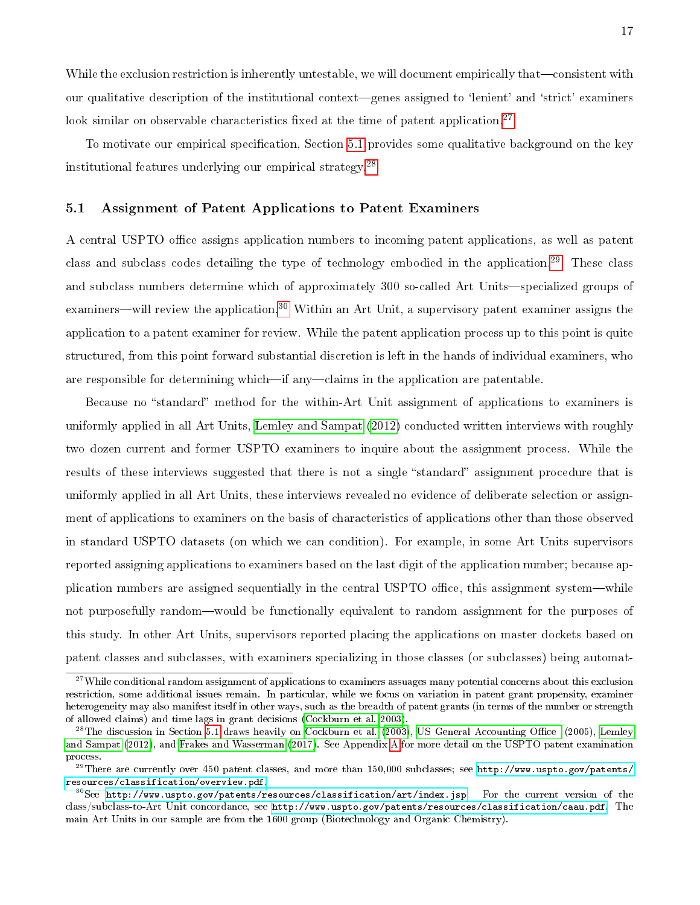While the exclusion restriction is inherently untestable, we will document empirically that—consistent with our qualitative description of the institutional context—genes assigned to 'lenient' and 'strict' examiners look similar on observable characteristics fixed at the time of patent application.<sup>[27](#page-18-0)</sup>

To motivate our empirical specification, Section [5.1](#page-18-1) provides some qualitative background on the key institutional features underlying our empirical strategy.[28](#page-18-2)

## <span id="page-18-1"></span>5.1 Assignment of Patent Applications to Patent Examiners

A central USPTO office assigns application numbers to incoming patent applications, as well as patent class and subclass codes detailing the type of technology embodied in the application.<sup>[29](#page-18-3)</sup> These class and subclass numbers determine which of approximately 300 so-called Art Units—specialized groups of examiners—will review the application.<sup>[30](#page-18-4)</sup> Within an Art Unit, a supervisory patent examiner assigns the application to a patent examiner for review. While the patent application process up to this point is quite structured, from this point forward substantial discretion is left in the hands of individual examiners, who are responsible for determining which—if any—claims in the application are patentable.

Because no "standard" method for the within-Art Unit assignment of applications to examiners is uniformly applied in all Art Units, [Lemley and Sampat](#page-33-2) [\(2012\)](#page-33-2) conducted written interviews with roughly two dozen current and former USPTO examiners to inquire about the assignment process. While the results of these interviews suggested that there is not a single "standard" assignment procedure that is uniformly applied in all Art Units, these interviews revealed no evidence of deliberate selection or assignment of applications to examiners on the basis of characteristics of applications other than those observed in standard USPTO datasets (on which we can condition). For example, in some Art Units supervisors reported assigning applications to examiners based on the last digit of the application number; because application numbers are assigned sequentially in the central USPTO office, this assignment system—while not purposefully random—would be functionally equivalent to random assignment for the purposes of this study. In other Art Units, supervisors reported placing the applications on master dockets based on patent classes and subclasses, with examiners specializing in those classes (or subclasses) being automat-

<span id="page-18-0"></span> $^{27}$ While conditional random assignment of applications to examiners assuages many potential concerns about this exclusion restriction, some additional issues remain. In particular, while we focus on variation in patent grant propensity, examiner heterogeneity may also manifest itself in other ways, such as the breadth of patent grants (in terms of the number or strength of allowed claims) and time lags in grant decisions [\(Cockburn et al. 2003\)](#page-31-0).

<span id="page-18-2"></span><sup>&</sup>lt;sup>28</sup>The discussion in Section [5.1](#page-18-1) draws heavily on [Cockburn et al.](#page-31-0) [\(2003\)](#page-31-0), US General Accounting Office (2005), [Lemley](#page-33-2) [and Sampat](#page-33-2) [\(2012\)](#page-33-2), and [Frakes and Wasserman](#page-32-11) [\(2017\)](#page-32-11). See Appendix [A](#page-42-0) for more detail on the USPTO patent examination process.

<span id="page-18-3"></span> $^{29}$ There are currently over 450 patent classes, and more than 150,000 subclasses; see [http://www.uspto.gov/patents/](http://www.uspto.gov/patents/resources/classification/overview.pdf) [resources/classification/overview.pdf.](http://www.uspto.gov/patents/resources/classification/overview.pdf)

<span id="page-18-4"></span> $30$ See [http://www.uspto.gov/patents/resources/classification/art/index.jsp.](http://www.uspto.gov/patents/resources/classification/art/index.jsp) For the current version of the class/subclass-to-Art Unit concordance, see [http://www.uspto.gov/patents/resources/classification/caau.pdf.](http://www.uspto.gov/patents/resources/classification/caau.pdf) The main Art Units in our sample are from the 1600 group (Biotechnology and Organic Chemistry).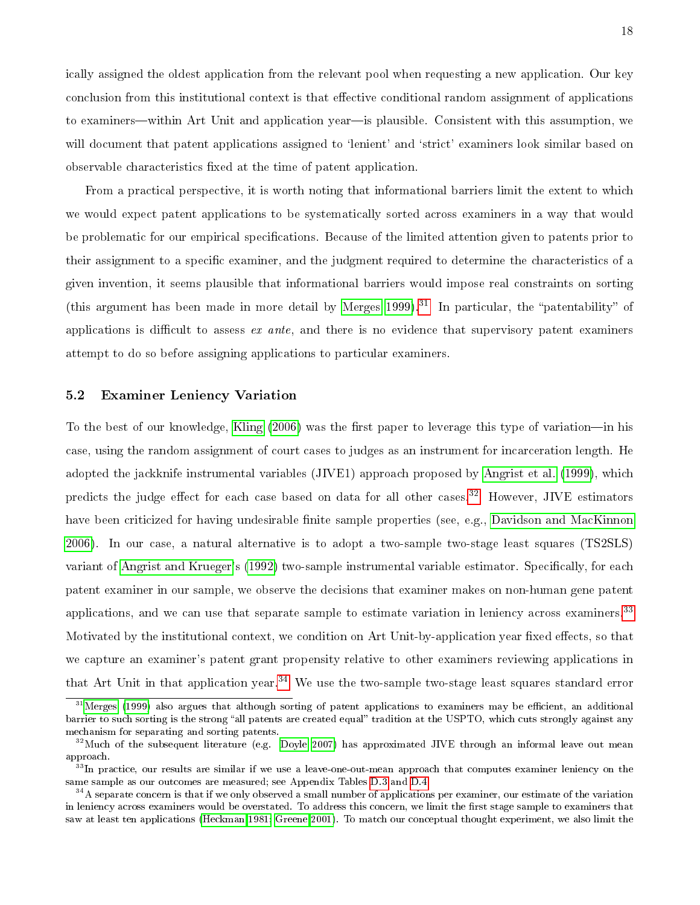ically assigned the oldest application from the relevant pool when requesting a new application. Our key conclusion from this institutional context is that effective conditional random assignment of applications to examiners—within Art Unit and application year—is plausible. Consistent with this assumption, we will document that patent applications assigned to 'lenient' and 'strict' examiners look similar based on observable characteristics fixed at the time of patent application.

From a practical perspective, it is worth noting that informational barriers limit the extent to which we would expect patent applications to be systematically sorted across examiners in a way that would be problematic for our empirical specifications. Because of the limited attention given to patents prior to their assignment to a specific examiner, and the judgment required to determine the characteristics of a given invention, it seems plausible that informational barriers would impose real constraints on sorting (this argument has been made in more detail by Merges  $1999$ ).<sup>[31](#page-19-0)</sup> In particular, the "patentability" of applications is difficult to assess  $ex$  ante, and there is no evidence that supervisory patent examiners attempt to do so before assigning applications to particular examiners.

# 5.2 Examiner Leniency Variation

To the best of our knowledge, [Kling](#page-33-4) [\(2006\)](#page-33-4) was the first paper to leverage this type of variation—in his case, using the random assignment of court cases to judges as an instrument for incarceration length. He adopted the jackknife instrumental variables (JIVE1) approach proposed by [Angrist et al.](#page-31-9) [\(1999\)](#page-31-9), which predicts the judge effect for each case based on data for all other cases.<sup>[32](#page-19-1)</sup> However, JIVE estimators have been criticized for having undesirable finite sample properties (see, e.g., [Davidson and MacKinnon](#page-32-12) [2006\)](#page-32-12). In our case, a natural alternative is to adopt a two-sample two-stage least squares (TS2SLS) variant of [Angrist and Krueger'](#page-31-10)s [\(1992\)](#page-31-10) two-sample instrumental variable estimator. Specifically, for each patent examiner in our sample, we observe the decisions that examiner makes on non-human gene patent applications, and we can use that separate sample to estimate variation in leniency across examiners.<sup>[33](#page-19-2)</sup> Motivated by the institutional context, we condition on Art Unit-by-application year fixed effects, so that we capture an examiner's patent grant propensity relative to other examiners reviewing applications in that Art Unit in that application year.<sup>[34](#page-19-3)</sup> We use the two-sample two-stage least squares standard error

<span id="page-19-0"></span> $31$ [Merges](#page-34-9) [\(1999\)](#page-34-9) also argues that although sorting of patent applications to examiners may be efficient, an additional barrier to such sorting is the strong "all patents are created equal" tradition at the USPTO, which cuts strongly against any mechanism for separating and sorting patents.

<span id="page-19-1"></span> $32$ Much of the subsequent literature (e.g. [Doyle 2007\)](#page-32-4) has approximated JIVE through an informal leave out mean approach.

<span id="page-19-2"></span><sup>&</sup>lt;sup>33</sup>In practice, our results are similar if we use a leave-one-out-mean approach that computes examiner leniency on the same sample as our outcomes are measured; see Appendix Tables [D.3](#page-60-0) and [D.4.](#page-61-0)

<span id="page-19-3"></span> $34A$  separate concern is that if we only observed a small number of applications per examiner, our estimate of the variation in leniency across examiners would be overstated. To address this concern, we limit the first stage sample to examiners that saw at least ten applications [\(Heckman 1981;](#page-33-11) [Greene 2001\)](#page-32-13). To match our conceptual thought experiment, we also limit the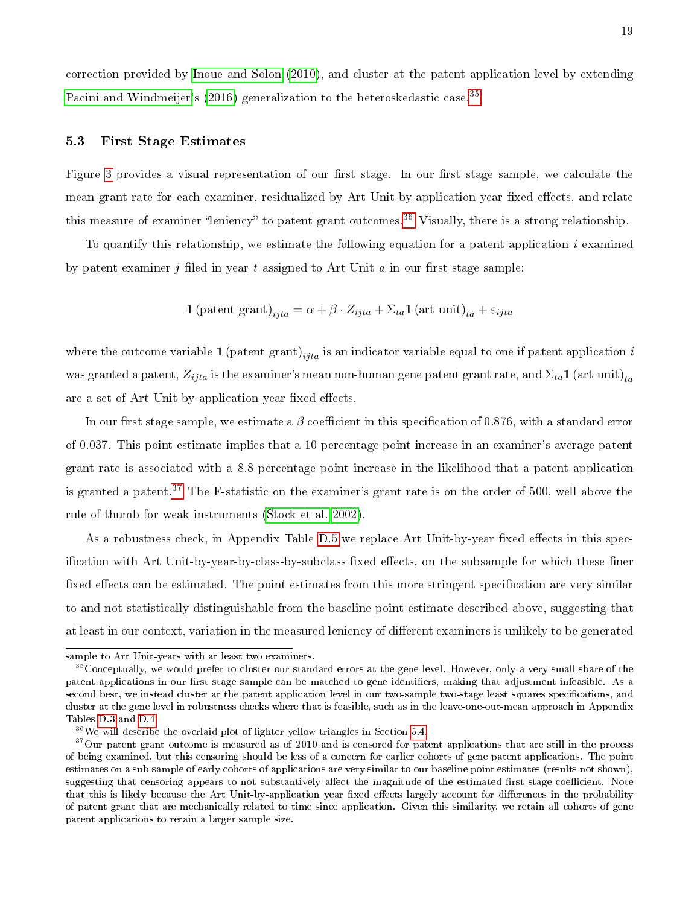correction provided by [Inoue and Solon](#page-33-12) [\(2010\)](#page-33-12), and cluster at the patent application level by extending [Pacini and Windmeijer](#page-34-10)'s [\(2016\)](#page-34-10) generalization to the heteroskedastic case.<sup>[35](#page-20-0)</sup>

#### 5.3 First Stage Estimates

Figure [3](#page-38-0) provides a visual representation of our first stage. In our first stage sample, we calculate the mean grant rate for each examiner, residualized by Art Unit-by-application year fixed effects, and relate this measure of examiner "leniency" to patent grant outcomes.<sup>[36](#page-20-1)</sup> Visually, there is a strong relationship.

To quantify this relationship, we estimate the following equation for a patent application  $i$  examined by patent examiner  $j$  filed in year  $t$  assigned to Art Unit  $a$  in our first stage sample:

**1** (pattern grant)<sub>ijta</sub> = 
$$
\alpha + \beta \cdot Z_{ijta} + \Sigma_{ta} \mathbf{1}
$$
 (art unit)<sub>ta</sub> +  $\varepsilon_{ijta}$ 

where the outcome variable  $\mathbf{1}$  (patent grant) $_{ijta}$  is an indicator variable equal to one if patent application  $i$ was granted a patent,  $Z_{ijta}$  is the examiner's mean non-human gene patent grant rate, and  $\Sigma_{ta}$ 1 (art unit) $_{ta}$ are a set of Art Unit-by-application year fixed effects.

In our first stage sample, we estimate a  $\beta$  coefficient in this specification of 0.876, with a standard error of 0.037. This point estimate implies that a 10 percentage point increase in an examiner's average patent grant rate is associated with a 8.8 percentage point increase in the likelihood that a patent application is granted a patent.<sup>[37](#page-20-2)</sup> The F-statistic on the examiner's grant rate is on the order of 500, well above the rule of thumb for weak instruments [\(Stock et al. 2002\)](#page-35-8).

As a robustness check, in Appendix Table [D.5](#page-62-0) we replace Art Unit-by-year fixed effects in this specification with Art Unit-by-year-by-class-by-subclass fixed effects, on the subsample for which these finer fixed effects can be estimated. The point estimates from this more stringent specification are very similar to and not statistically distinguishable from the baseline point estimate described above, suggesting that at least in our context, variation in the measured leniency of different examiners is unlikely to be generated

sample to Art Unit-years with at least two examiners.

<span id="page-20-0"></span><sup>&</sup>lt;sup>35</sup>Conceptually, we would prefer to cluster our standard errors at the gene level. However, only a very small share of the patent applications in our first stage sample can be matched to gene identifiers, making that adjustment infeasible. As a second best, we instead cluster at the patent application level in our two-sample two-stage least squares specifications, and cluster at the gene level in robustness checks where that is feasible, such as in the leave-one-out-mean approach in Appendix Tables [D.3](#page-60-0) and [D.4.](#page-61-0)

<span id="page-20-2"></span><span id="page-20-1"></span><sup>36</sup>We will describe the overlaid plot of lighter yellow triangles in Section [5.4.](#page-21-0)

 $37$ Our patent grant outcome is measured as of 2010 and is censored for patent applications that are still in the process of being examined, but this censoring should be less of a concern for earlier cohorts of gene patent applications. The point estimates on a sub-sample of early cohorts of applications are very similar to our baseline point estimates (results not shown), suggesting that censoring appears to not substantively affect the magnitude of the estimated first stage coefficient. Note that this is likely because the Art Unit-by-application year fixed effects largely account for differences in the probability of patent grant that are mechanically related to time since application. Given this similarity, we retain all cohorts of gene patent applications to retain a larger sample size.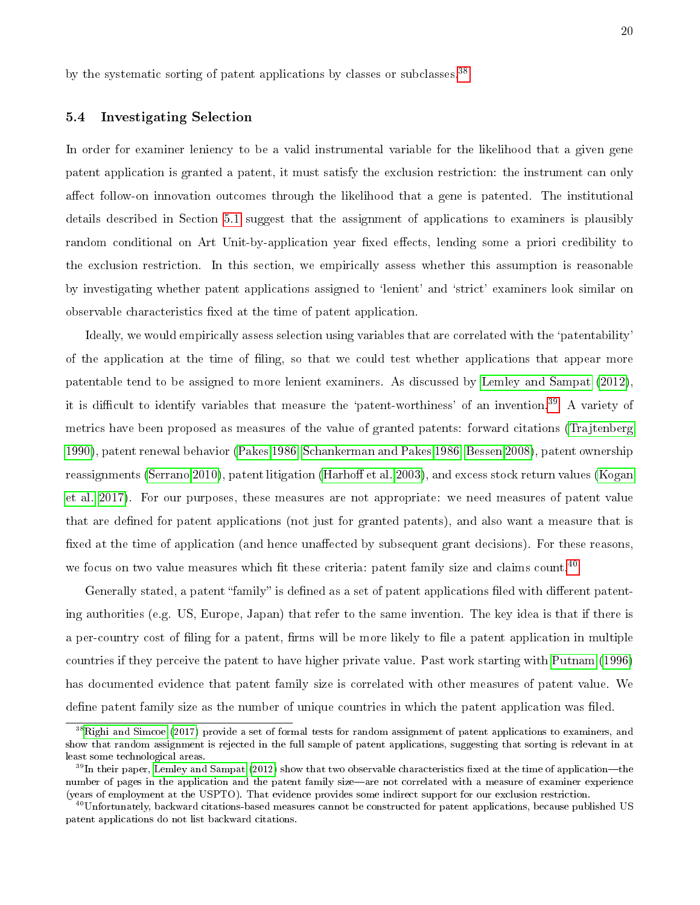by the systematic sorting of patent applications by classes or subclasses.<sup>[38](#page-21-1)</sup>

#### <span id="page-21-0"></span>5.4 Investigating Selection

In order for examiner leniency to be a valid instrumental variable for the likelihood that a given gene patent application is granted a patent, it must satisfy the exclusion restriction: the instrument can only affect follow-on innovation outcomes through the likelihood that a gene is patented. The institutional details described in Section [5.1](#page-18-1) suggest that the assignment of applications to examiners is plausibly random conditional on Art Unit-by-application year fixed effects, lending some a priori credibility to the exclusion restriction. In this section, we empirically assess whether this assumption is reasonable by investigating whether patent applications assigned to `lenient' and `strict' examiners look similar on observable characteristics fixed at the time of patent application.

Ideally, we would empirically assess selection using variables that are correlated with the `patentability' of the application at the time of filing, so that we could test whether applications that appear more patentable tend to be assigned to more lenient examiners. As discussed by [Lemley and Sampat](#page-33-2) [\(2012\)](#page-33-2), it is difficult to identify variables that measure the 'patent-worthiness' of an invention.<sup>[39](#page-21-2)</sup> A variety of metrics have been proposed as measures of the value of granted patents: forward citations [\(Trajtenberg](#page-35-9) [1990\)](#page-35-9), patent renewal behavior [\(Pakes 1986;](#page-34-11) [Schankerman and Pakes 1986;](#page-34-12) [Bessen 2008\)](#page-31-11), patent ownership reassignments [\(Serrano 2010\)](#page-35-10), patent litigation (Harhoff et al. 2003), and excess stock return values [\(Kogan](#page-33-13) [et al. 2017\)](#page-33-13). For our purposes, these measures are not appropriate: we need measures of patent value that are defined for patent applications (not just for granted patents), and also want a measure that is fixed at the time of application (and hence unaffected by subsequent grant decisions). For these reasons, we focus on two value measures which fit these criteria: patent family size and claims count.<sup>[40](#page-21-3)</sup>

Generally stated, a patent "family" is defined as a set of patent applications filed with different patenting authorities (e.g. US, Europe, Japan) that refer to the same invention. The key idea is that if there is a per-country cost of filing for a patent, firms will be more likely to file a patent application in multiple countries if they perceive the patent to have higher private value. Past work starting with [Putnam](#page-34-13) [\(1996\)](#page-34-13) has documented evidence that patent family size is correlated with other measures of patent value. We define patent family size as the number of unique countries in which the patent application was filed.

<span id="page-21-1"></span> $38$ [Righi and Simcoe](#page-34-14) [\(2017\)](#page-34-14) provide a set of formal tests for random assignment of patent applications to examiners, and show that random assignment is rejected in the full sample of patent applications, suggesting that sorting is relevant in at least some technological areas.

<span id="page-21-2"></span> $39$ In their paper, [Lemley and Sampat](#page-33-2) [\(2012\)](#page-33-2) show that two observable characteristics fixed at the time of application—the number of pages in the application and the patent family size—are not correlated with a measure of examiner experience (years of employment at the USPTO). That evidence provides some indirect support for our exclusion restriction.

<span id="page-21-3"></span> $^{40}\rm{Unfortunately},$  backward citations-based measures cannot be constructed for patent applications, because published US patent applications do not list backward citations.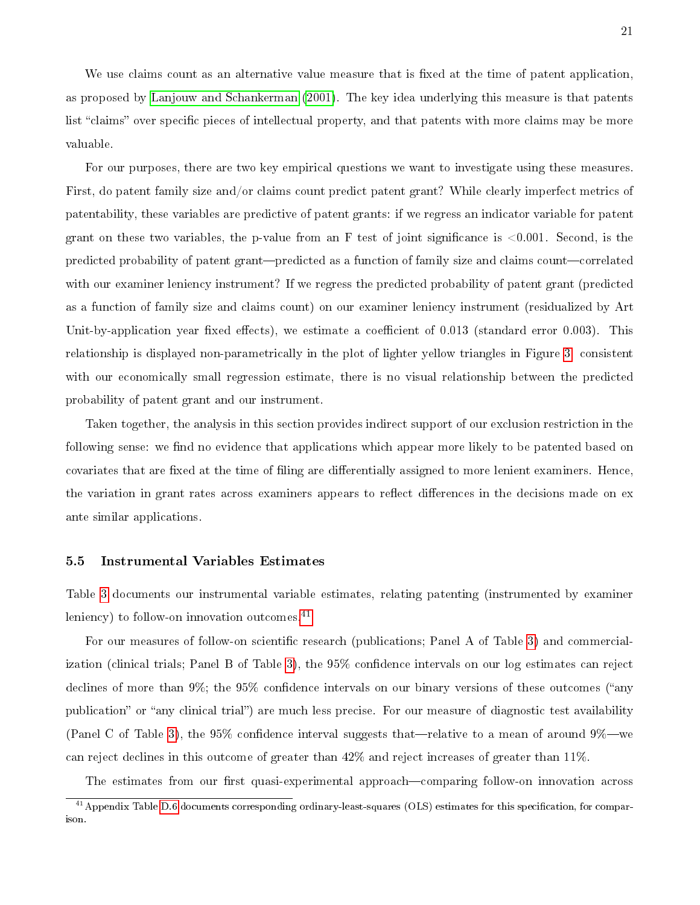We use claims count as an alternative value measure that is fixed at the time of patent application, as proposed by [Lanjouw and Schankerman](#page-33-14) [\(2001\)](#page-33-14). The key idea underlying this measure is that patents list "claims" over specific pieces of intellectual property, and that patents with more claims may be more valuable.

For our purposes, there are two key empirical questions we want to investigate using these measures. First, do patent family size and/or claims count predict patent grant? While clearly imperfect metrics of patentability, these variables are predictive of patent grants: if we regress an indicator variable for patent grant on these two variables, the p-value from an F test of joint significance is  $\langle 0.001$ . Second, is the predicted probability of patent grant—predicted as a function of family size and claims count—correlated with our examiner leniency instrument? If we regress the predicted probability of patent grant (predicted as a function of family size and claims count) on our examiner leniency instrument (residualized by Art Unit-by-application year fixed effects), we estimate a coefficient of  $0.013$  (standard error 0.003). This relationship is displayed non-parametrically in the plot of lighter yellow triangles in Figure [3:](#page-38-0) consistent with our economically small regression estimate, there is no visual relationship between the predicted probability of patent grant and our instrument.

Taken together, the analysis in this section provides indirect support of our exclusion restriction in the following sense: we find no evidence that applications which appear more likely to be patented based on covariates that are fixed at the time of filing are differentially assigned to more lenient examiners. Hence, the variation in grant rates across examiners appears to reflect differences in the decisions made on ex ante similar applications.

#### 5.5 Instrumental Variables Estimates

Table [3](#page-41-0) documents our instrumental variable estimates, relating patenting (instrumented by examiner leniency) to follow-on innovation outcomes. $41$ 

For our measures of follow-on scientific research (publications; Panel A of Table [3\)](#page-41-0) and commercial-ization (clinical trials; Panel B of Table [3\)](#page-41-0), the 95% confidence intervals on our log estimates can reject declines of more than  $9\%$ ; the  $95\%$  confidence intervals on our binary versions of these outcomes ("any publication" or "any clinical trial") are much less precise. For our measure of diagnostic test availability (Panel C of Table [3\)](#page-41-0), the 95% confidence interval suggests that—relative to a mean of around 9%—we can reject declines in this outcome of greater than 42% and reject increases of greater than 11%.

The estimates from our first quasi-experimental approach—comparing follow-on innovation across

<span id="page-22-0"></span> $^{41}$ Appendix Table [D.6](#page-63-0) documents corresponding ordinary-least-squares (OLS) estimates for this specification, for comparison.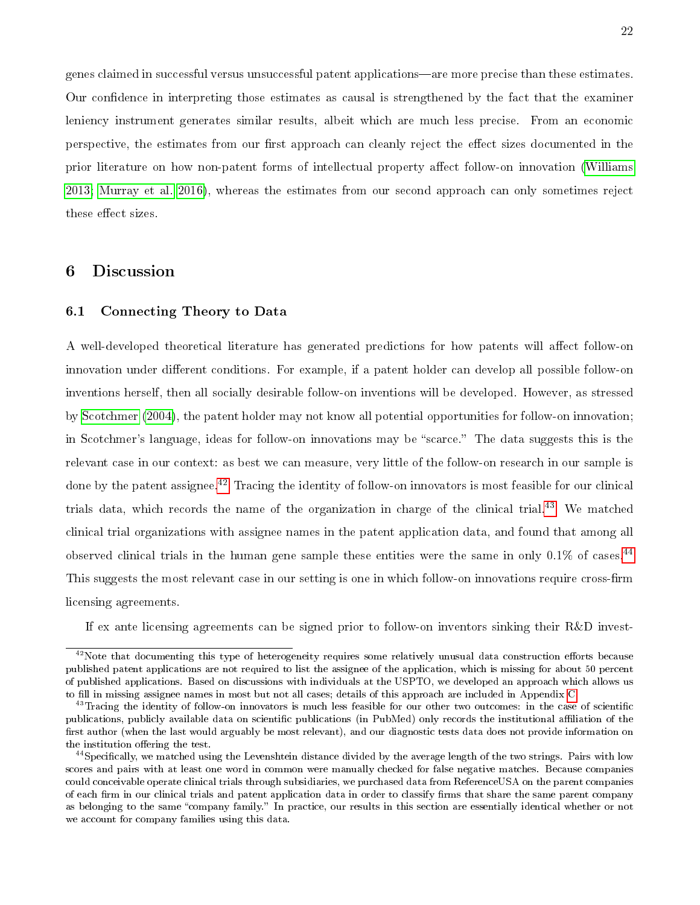genes claimed in successful versus unsuccessful patent applications—are more precise than these estimates. Our confidence in interpreting those estimates as causal is strengthened by the fact that the examiner leniency instrument generates similar results, albeit which are much less precise. From an economic perspective, the estimates from our first approach can cleanly reject the effect sizes documented in the prior literature on how non-patent forms of intellectual property affect follow-on innovation [\(Williams](#page-35-0) [2013;](#page-35-0) [Murray et al. 2016\)](#page-34-1), whereas the estimates from our second approach can only sometimes reject these effect sizes.

# <span id="page-23-0"></span>6 Discussion

#### 6.1 Connecting Theory to Data

A well-developed theoretical literature has generated predictions for how patents will affect follow-on innovation under different conditions. For example, if a patent holder can develop all possible follow-on inventions herself, then all socially desirable follow-on inventions will be developed. However, as stressed by [Scotchmer](#page-35-11) [\(2004\)](#page-35-11), the patent holder may not know all potential opportunities for follow-on innovation; in Scotchmer's language, ideas for follow-on innovations may be "scarce." The data suggests this is the relevant case in our context: as best we can measure, very little of the follow-on research in our sample is done by the patent assignee.<sup>[42](#page-23-1)</sup> Tracing the identity of follow-on innovators is most feasible for our clinical trials data, which records the name of the organization in charge of the clinical trial.<sup>[43](#page-23-2)</sup> We matched clinical trial organizations with assignee names in the patent application data, and found that among all observed clinical trials in the human gene sample these entities were the same in only  $0.1\%$  of cases.<sup>[44](#page-23-3)</sup> This suggests the most relevant case in our setting is one in which follow-on innovations require cross-firm licensing agreements.

If ex ante licensing agreements can be signed prior to follow-on inventors sinking their R&D invest-

<span id="page-23-1"></span> $^{42}$ Note that documenting this type of heterogeneity requires some relatively unusual data construction efforts because published patent applications are not required to list the assignee of the application, which is missing for about 50 percent of published applications. Based on discussions with individuals at the USPTO, we developed an approach which allows us to fill in missing assignee names in most but not all cases; details of this approach are included in Appendix [C.](#page-49-0)

<span id="page-23-2"></span> $^{43}$ Tracing the identity of follow-on innovators is much less feasible for our other two outcomes: in the case of scientific publications, publicly available data on scientific publications (in PubMed) only records the institutional affiliation of the first author (when the last would arguably be most relevant), and our diagnostic tests data does not provide information on the institution offering the test.

<span id="page-23-3"></span> $^{44}$ Specifically, we matched using the Levenshtein distance divided by the average length of the two strings. Pairs with low scores and pairs with at least one word in common were manually checked for false negative matches. Because companies could conceivable operate clinical trials through subsidiaries, we purchased data from ReferenceUSA on the parent companies of each firm in our clinical trials and patent application data in order to classify firms that share the same parent company as belonging to the same "company family." In practice, our results in this section are essentially identical whether or not we account for company families using this data.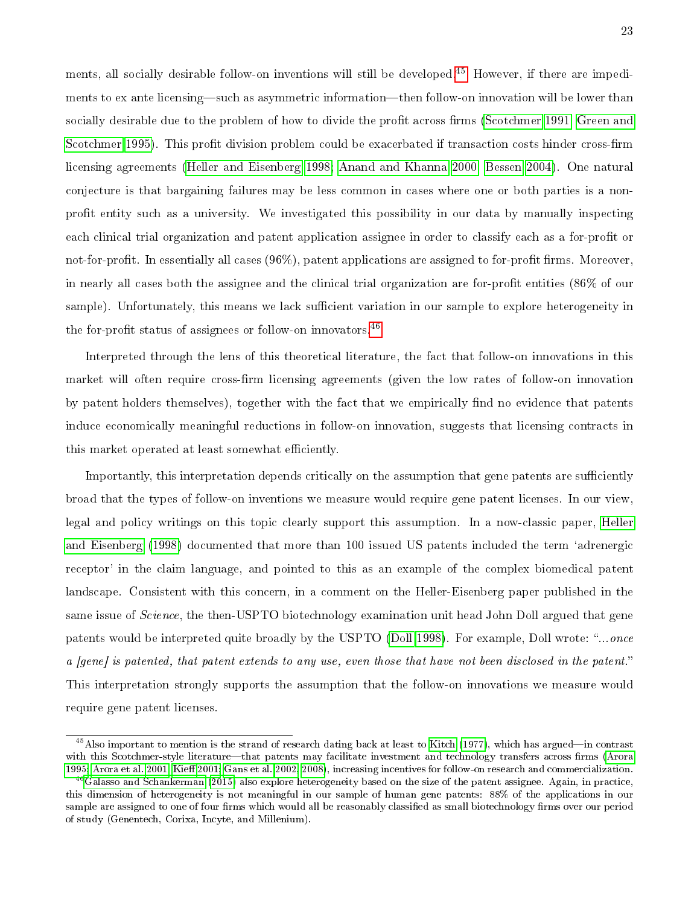ments, all socially desirable follow-on inventions will still be developed.[45](#page-24-0) However, if there are impediments to ex ante licensing—such as asymmetric information—then follow-on innovation will be lower than socially desirable due to the problem of how to divide the profit across firms [\(Scotchmer 1991;](#page-35-12) [Green and](#page-32-1) [Scotchmer 1995\)](#page-32-1). This profit division problem could be exacerbated if transaction costs hinder cross-firm licensing agreements [\(Heller and Eisenberg 1998;](#page-33-9) [Anand and Khanna 2000;](#page-31-12) [Bessen 2004\)](#page-31-13). One natural conjecture is that bargaining failures may be less common in cases where one or both parties is a nonprofit entity such as a university. We investigated this possibility in our data by manually inspecting each clinical trial organization and patent application assignee in order to classify each as a for-profit or not-for-profit. In essentially all cases  $(96\%)$ , patent applications are assigned to for-profit firms. Moreover, in nearly all cases both the assignee and the clinical trial organization are for-profit entities  $(86\% \text{ of our})$ sample). Unfortunately, this means we lack sufficient variation in our sample to explore heterogeneity in the for-profit status of assignees or follow-on innovators.<sup>[46](#page-24-1)</sup>

Interpreted through the lens of this theoretical literature, the fact that follow-on innovations in this market will often require cross-firm licensing agreements (given the low rates of follow-on innovation by patent holders themselves), together with the fact that we empirically find no evidence that patents induce economically meaningful reductions in follow-on innovation, suggests that licensing contracts in this market operated at least somewhat efficiently.

Importantly, this interpretation depends critically on the assumption that gene patents are sufficiently broad that the types of follow-on inventions we measure would require gene patent licenses. In our view, legal and policy writings on this topic clearly support this assumption. In a now-classic paper, [Heller](#page-33-9) [and Eisenberg](#page-33-9) [\(1998\)](#page-33-9) documented that more than 100 issued US patents included the term 'adrenergic receptor' in the claim language, and pointed to this as an example of the complex biomedical patent landscape. Consistent with this concern, in a comment on the Heller-Eisenberg paper published in the same issue of Science, the then-USPTO biotechnology examination unit head John Doll argued that gene patents would be interpreted quite broadly by the USPTO [\(Doll 1998\)](#page-32-0). For example, Doll wrote: "...once a [gene] is patented, that patent extends to any use, even those that have not been disclosed in the patent. This interpretation strongly supports the assumption that the follow-on innovations we measure would require gene patent licenses.

<span id="page-24-0"></span> $45$ Also important to mention is the strand of research dating back at least to [Kitch](#page-33-15) [\(1977\)](#page-33-15), which has argued—in contrast with this Scotchmer-style literature—that patents may facilitate investment and technology transfers across firms [\(Arora](#page-31-14) [1995;](#page-31-14) [Arora et al. 2001;](#page-31-15) Kieff 2001; [Gans et al. 2002,](#page-32-15) [2008\)](#page-32-16), increasing incentives for follow-on research and commercialization.

<span id="page-24-1"></span> $^{46}$ [Galasso and Schankerman](#page-32-3) [\(2015\)](#page-32-3) also explore heterogeneity based on the size of the patent assignee. Again, in practice, this dimension of heterogeneity is not meaningful in our sample of human gene patents: 88% of the applications in our sample are assigned to one of four firms which would all be reasonably classified as small biotechnology firms over our period of study (Genentech, Corixa, Incyte, and Millenium).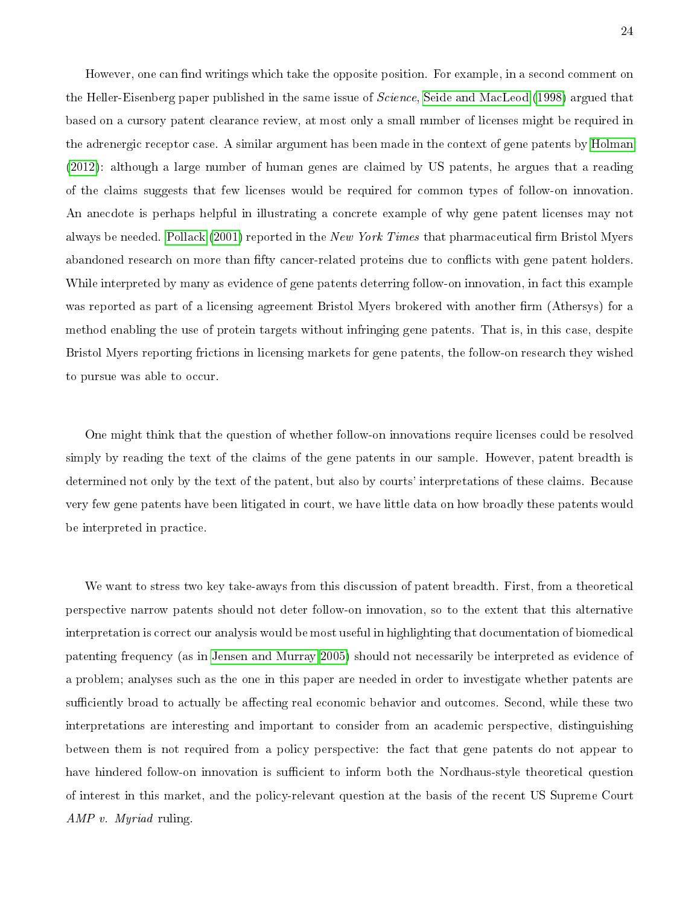However, one can find writings which take the opposite position. For example, in a second comment on the Heller-Eisenberg paper published in the same issue of Science, [Seide and MacLeod](#page-35-13) [\(1998\)](#page-35-13) argued that based on a cursory patent clearance review, at most only a small number of licenses might be required in the adrenergic receptor case. A similar argument has been made in the context of gene patents by [Holman](#page-33-7) [\(2012\)](#page-33-7): although a large number of human genes are claimed by US patents, he argues that a reading of the claims suggests that few licenses would be required for common types of follow-on innovation. An anecdote is perhaps helpful in illustrating a concrete example of why gene patent licenses may not always be needed. [Pollack](#page-34-15) [\(2001\)](#page-34-15) reported in the New York Times that pharmaceutical firm Bristol Myers abandoned research on more than fifty cancer-related proteins due to conflicts with gene patent holders. While interpreted by many as evidence of gene patents deterring follow-on innovation, in fact this example was reported as part of a licensing agreement Bristol Myers brokered with another firm (Athersys) for a method enabling the use of protein targets without infringing gene patents. That is, in this case, despite Bristol Myers reporting frictions in licensing markets for gene patents, the follow-on research they wished to pursue was able to occur.

One might think that the question of whether follow-on innovations require licenses could be resolved simply by reading the text of the claims of the gene patents in our sample. However, patent breadth is determined not only by the text of the patent, but also by courts' interpretations of these claims. Because very few gene patents have been litigated in court, we have little data on how broadly these patents would be interpreted in practice.

We want to stress two key take-aways from this discussion of patent breadth. First, from a theoretical perspective narrow patents should not deter follow-on innovation, so to the extent that this alternative interpretation is correct our analysis would be most useful in highlighting that documentation of biomedical patenting frequency (as in [Jensen and Murray 2005\)](#page-33-0) should not necessarily be interpreted as evidence of a problem; analyses such as the one in this paper are needed in order to investigate whether patents are sufficiently broad to actually be affecting real economic behavior and outcomes. Second, while these two interpretations are interesting and important to consider from an academic perspective, distinguishing between them is not required from a policy perspective: the fact that gene patents do not appear to have hindered follow-on innovation is sufficient to inform both the Nordhaus-style theoretical question of interest in this market, and the policy-relevant question at the basis of the recent US Supreme Court AMP v. Myriad ruling.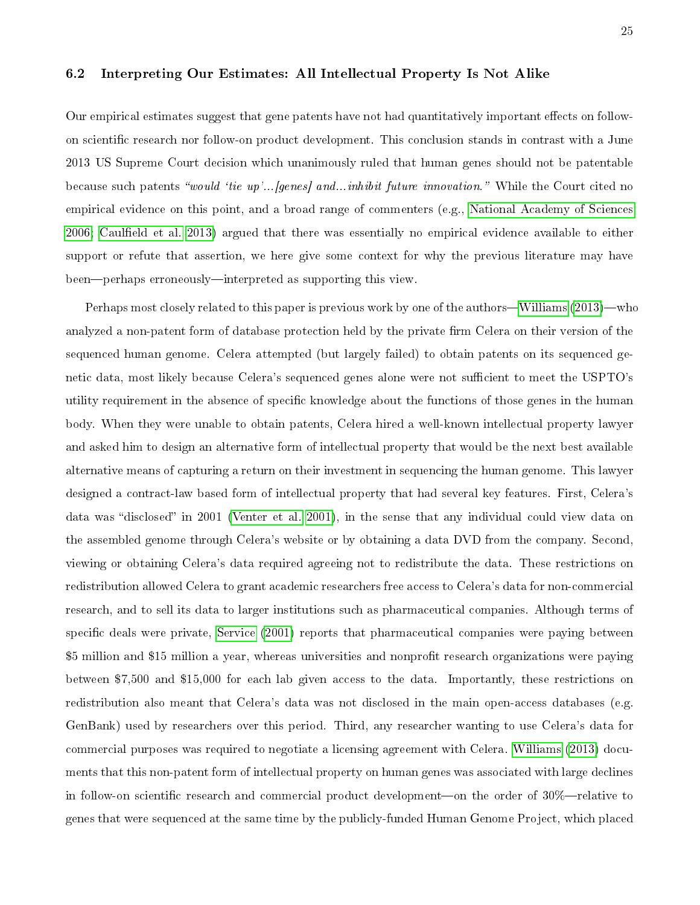#### 6.2 Interpreting Our Estimates: All Intellectual Property Is Not Alike

Our empirical estimates suggest that gene patents have not had quantitatively important effects on followon scientific research nor follow-on product development. This conclusion stands in contrast with a June 2013 US Supreme Court decision which unanimously ruled that human genes should not be patentable because such patents "would 'tie up'...[genes] and...inhibit future innovation." While the Court cited no empirical evidence on this point, and a broad range of commenters (e.g., [National Academy of Sciences](#page-34-2) [2006;](#page-34-2) Caulfield et al. 2013) argued that there was essentially no empirical evidence available to either support or refute that assertion, we here give some context for why the previous literature may have been-perhaps erroneously-interpreted as supporting this view.

Perhaps most closely related to this paper is previous work by one of the authors—[Williams](#page-35-0) [\(2013\)](#page-35-0)—who analyzed a non-patent form of database protection held by the private firm Celera on their version of the sequenced human genome. Celera attempted (but largely failed) to obtain patents on its sequenced genetic data, most likely because Celera's sequenced genes alone were not sufficient to meet the USPTO's utility requirement in the absence of specific knowledge about the functions of those genes in the human body. When they were unable to obtain patents, Celera hired a well-known intellectual property lawyer and asked him to design an alternative form of intellectual property that would be the next best available alternative means of capturing a return on their investment in sequencing the human genome. This lawyer designed a contract-law based form of intellectual property that had several key features. First, Celera's data was "disclosed" in 2001 [\(Venter et al. 2001\)](#page-35-14), in the sense that any individual could view data on the assembled genome through Celera's website or by obtaining a data DVD from the company. Second, viewing or obtaining Celera's data required agreeing not to redistribute the data. These restrictions on redistribution allowed Celera to grant academic researchers free access to Celera's data for non-commercial research, and to sell its data to larger institutions such as pharmaceutical companies. Although terms of specific deals were private, [Service](#page-35-15)  $(2001)$  reports that pharmaceutical companies were paying between \$5 million and \$15 million a year, whereas universities and nonprofit research organizations were paying between \$7,500 and \$15,000 for each lab given access to the data. Importantly, these restrictions on redistribution also meant that Celera's data was not disclosed in the main open-access databases (e.g. GenBank) used by researchers over this period. Third, any researcher wanting to use Celera's data for commercial purposes was required to negotiate a licensing agreement with Celera. [Williams](#page-35-0) [\(2013\)](#page-35-0) documents that this non-patent form of intellectual property on human genes was associated with large declines in follow-on scientific research and commercial product development—on the order of  $30\%$ —relative to genes that were sequenced at the same time by the publicly-funded Human Genome Project, which placed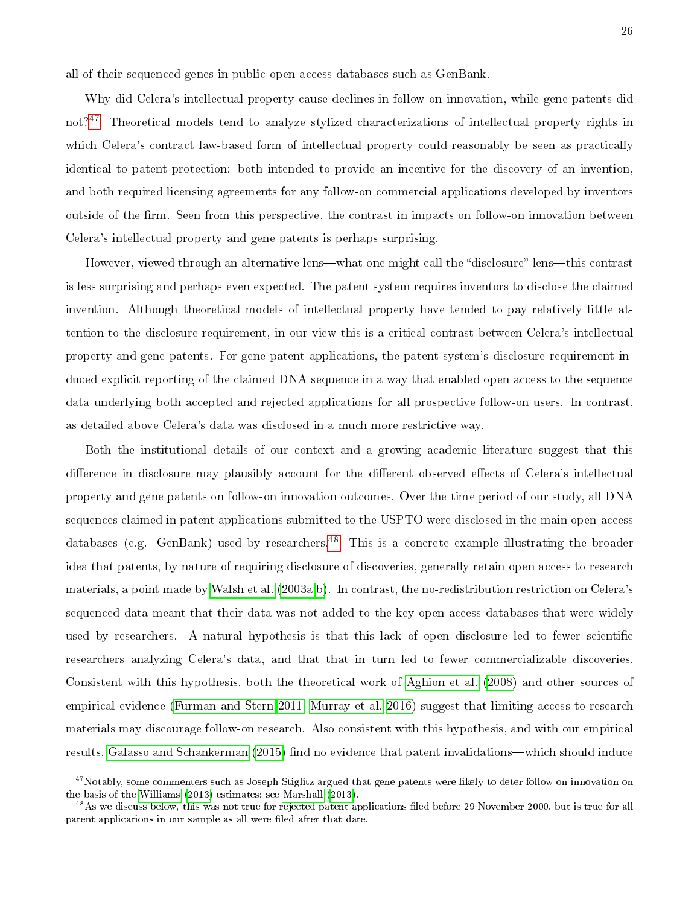all of their sequenced genes in public open-access databases such as GenBank.

Why did Celera's intellectual property cause declines in follow-on innovation, while gene patents did not?<sup>[47](#page-27-0)</sup> Theoretical models tend to analyze stylized characterizations of intellectual property rights in which Celera's contract law-based form of intellectual property could reasonably be seen as practically identical to patent protection: both intended to provide an incentive for the discovery of an invention, and both required licensing agreements for any follow-on commercial applications developed by inventors outside of the firm. Seen from this perspective, the contrast in impacts on follow-on innovation between Celera's intellectual property and gene patents is perhaps surprising.

However, viewed through an alternative lens—what one might call the "disclosure" lens—this contrast is less surprising and perhaps even expected. The patent system requires inventors to disclose the claimed invention. Although theoretical models of intellectual property have tended to pay relatively little attention to the disclosure requirement, in our view this is a critical contrast between Celera's intellectual property and gene patents. For gene patent applications, the patent system's disclosure requirement induced explicit reporting of the claimed DNA sequence in a way that enabled open access to the sequence data underlying both accepted and rejected applications for all prospective follow-on users. In contrast, as detailed above Celera's data was disclosed in a much more restrictive way.

Both the institutional details of our context and a growing academic literature suggest that this difference in disclosure may plausibly account for the different observed effects of Celera's intellectual property and gene patents on follow-on innovation outcomes. Over the time period of our study, all DNA sequences claimed in patent applications submitted to the USPTO were disclosed in the main open-access databases (e.g. GenBank) used by researchers.<sup>[48](#page-27-1)</sup> This is a concrete example illustrating the broader idea that patents, by nature of requiring disclosure of discoveries, generally retain open access to research materials, a point made by [Walsh et al.](#page-35-1) [\(2003a,](#page-35-1)[b\)](#page-35-2). In contrast, the no-redistribution restriction on Celera's sequenced data meant that their data was not added to the key open-access databases that were widely used by researchers. A natural hypothesis is that this lack of open disclosure led to fewer scientic researchers analyzing Celera's data, and that that in turn led to fewer commercializable discoveries. Consistent with this hypothesis, both the theoretical work of [Aghion et al.](#page-31-1) [\(2008\)](#page-31-1) and other sources of empirical evidence [\(Furman and Stern 2011;](#page-32-2) [Murray et al. 2016\)](#page-34-1) suggest that limiting access to research materials may discourage follow-on research. Also consistent with this hypothesis, and with our empirical results, [Galasso and Schankerman](#page-32-3) [\(2015\)](#page-32-3) find no evidence that patent invalidations—which should induce

<span id="page-27-0"></span><sup>&</sup>lt;sup>47</sup>Notably, some commenters such as Joseph Stiglitz argued that gene patents were likely to deter follow-on innovation on the basis of the [Williams](#page-35-0) [\(2013\)](#page-35-0) estimates; see [Marshall](#page-34-16) [\(2013\)](#page-34-16).

<span id="page-27-1"></span> $^{48}$ As we discuss below, this was not true for rejected patent applications filed before 29 November 2000, but is true for all patent applications in our sample as all were filed after that date.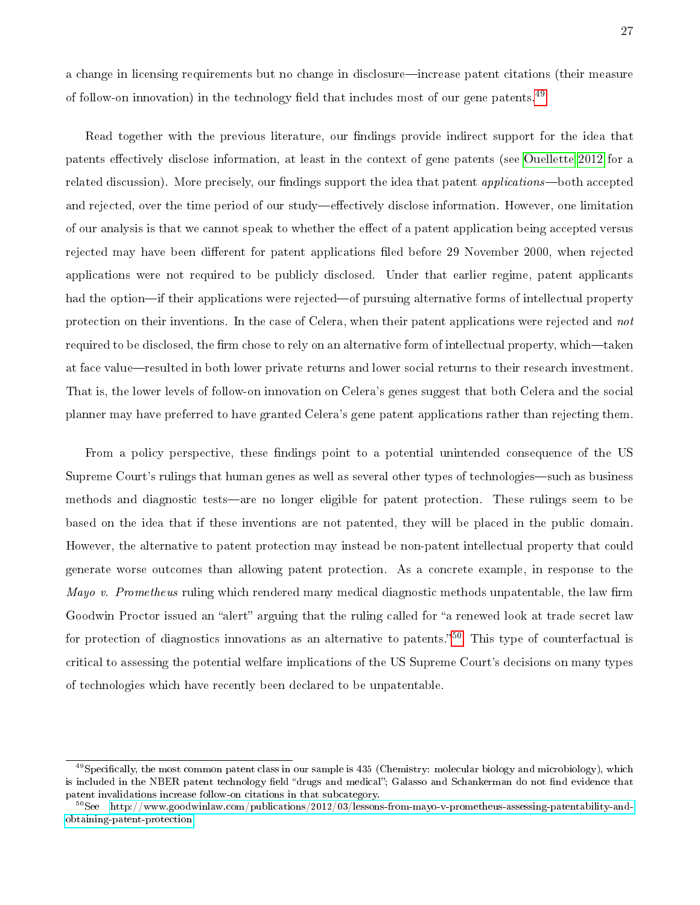27

a change in licensing requirements but no change in disclosure—increase patent citations (their measure of follow-on innovation) in the technology field that includes most of our gene patents.<sup>[49](#page-28-0)</sup>

Read together with the previous literature, our findings provide indirect support for the idea that patents effectively disclose information, at least in the context of gene patents (see [Ouellette 2012](#page-34-17) for a related discussion). More precisely, our findings support the idea that patent *applications*—both accepted and rejected, over the time period of our study—effectively disclose information. However, one limitation of our analysis is that we cannot speak to whether the effect of a patent application being accepted versus rejected may have been different for patent applications filed before 29 November 2000, when rejected applications were not required to be publicly disclosed. Under that earlier regime, patent applicants had the option—if their applications were rejected—of pursuing alternative forms of intellectual property protection on their inventions. In the case of Celera, when their patent applications were rejected and not required to be disclosed, the firm chose to rely on an alternative form of intellectual property, which—taken at face value—resulted in both lower private returns and lower social returns to their research investment. That is, the lower levels of follow-on innovation on Celera's genes suggest that both Celera and the social planner may have preferred to have granted Celera's gene patent applications rather than rejecting them.

From a policy perspective, these findings point to a potential unintended consequence of the US Supreme Court's rulings that human genes as well as several other types of technologies—such as business methods and diagnostic tests—are no longer eligible for patent protection. These rulings seem to be based on the idea that if these inventions are not patented, they will be placed in the public domain. However, the alternative to patent protection may instead be non-patent intellectual property that could generate worse outcomes than allowing patent protection. As a concrete example, in response to the *Mayo v. Prometheus* ruling which rendered many medical diagnostic methods unpatentable, the law firm Goodwin Proctor issued an "alert" arguing that the ruling called for "a renewed look at trade secret law for protection of diagnostics innovations as an alternative to patents.<sup>[50](#page-28-1)</sup> This type of counterfactual is critical to assessing the potential welfare implications of the US Supreme Court's decisions on many types of technologies which have recently been declared to be unpatentable.

<span id="page-28-0"></span><sup>&</sup>lt;sup>49</sup>Specifically, the most common patent class in our sample is 435 (Chemistry: molecular biology and microbiology), which is included in the NBER patent technology field "drugs and medical"; Galasso and Schankerman do not find evidence that patent invalidations increase follow-on citations in that subcategory.

<span id="page-28-1"></span> $^{50}$ See [http://www.goodwinlaw.com/publications/2012/03/lessons-from-mayo-v-prometheus-assessing-patentability-and](http://www.goodwinlaw.com/publications/2012/03/lessons-from-mayo-v-prometheus-assessing-patentability-and-obtaining-patent-protection)[obtaining-patent-protection.](http://www.goodwinlaw.com/publications/2012/03/lessons-from-mayo-v-prometheus-assessing-patentability-and-obtaining-patent-protection)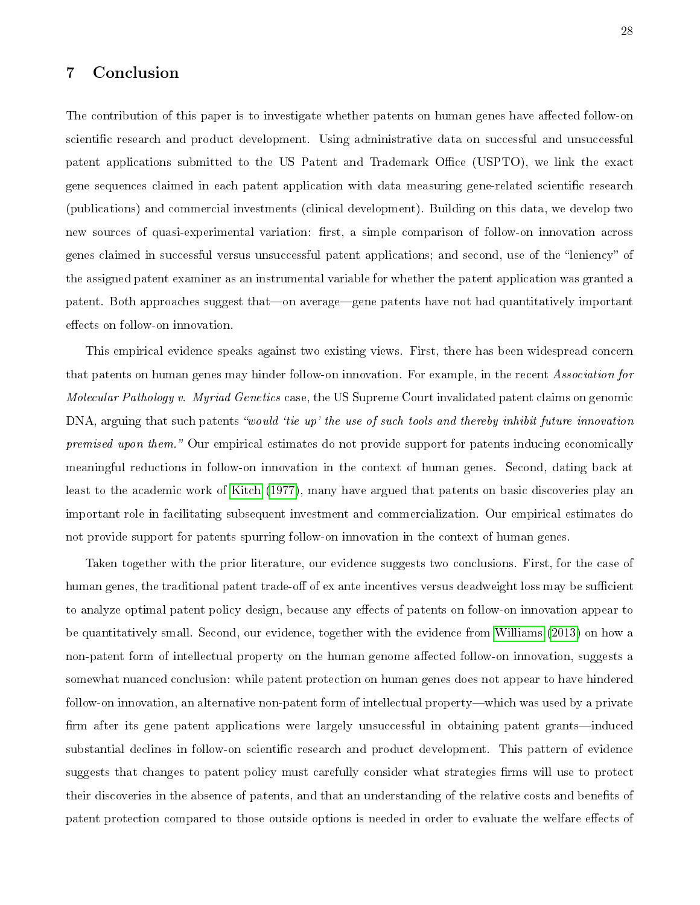# <span id="page-29-0"></span>7 Conclusion

The contribution of this paper is to investigate whether patents on human genes have affected follow-on scientific research and product development. Using administrative data on successful and unsuccessful patent applications submitted to the US Patent and Trademark Office (USPTO), we link the exact gene sequences claimed in each patent application with data measuring gene-related scientific research (publications) and commercial investments (clinical development). Building on this data, we develop two new sources of quasi-experimental variation: first, a simple comparison of follow-on innovation across genes claimed in successful versus unsuccessful patent applications; and second, use of the "leniency" of the assigned patent examiner as an instrumental variable for whether the patent application was granted a patent. Both approaches suggest that—on average—gene patents have not had quantitatively important effects on follow-on innovation.

This empirical evidence speaks against two existing views. First, there has been widespread concern that patents on human genes may hinder follow-on innovation. For example, in the recent Association for Molecular Pathology v. Myriad Genetics case, the US Supreme Court invalidated patent claims on genomic DNA, arguing that such patents "would 'tie up' the use of such tools and thereby inhibit future innovation premised upon them." Our empirical estimates do not provide support for patents inducing economically meaningful reductions in follow-on innovation in the context of human genes. Second, dating back at least to the academic work of [Kitch](#page-33-15) [\(1977\)](#page-33-15), many have argued that patents on basic discoveries play an important role in facilitating subsequent investment and commercialization. Our empirical estimates do not provide support for patents spurring follow-on innovation in the context of human genes.

Taken together with the prior literature, our evidence suggests two conclusions. First, for the case of human genes, the traditional patent trade-off of ex ante incentives versus deadweight loss may be sufficient to analyze optimal patent policy design, because any effects of patents on follow-on innovation appear to be quantitatively small. Second, our evidence, together with the evidence from [Williams](#page-35-0) [\(2013\)](#page-35-0) on how a non-patent form of intellectual property on the human genome affected follow-on innovation, suggests a somewhat nuanced conclusion: while patent protection on human genes does not appear to have hindered follow-on innovation, an alternative non-patent form of intellectual property—which was used by a private firm after its gene patent applications were largely unsuccessful in obtaining patent grants—induced substantial declines in follow-on scientific research and product development. This pattern of evidence suggests that changes to patent policy must carefully consider what strategies firms will use to protect their discoveries in the absence of patents, and that an understanding of the relative costs and benefits of patent protection compared to those outside options is needed in order to evaluate the welfare effects of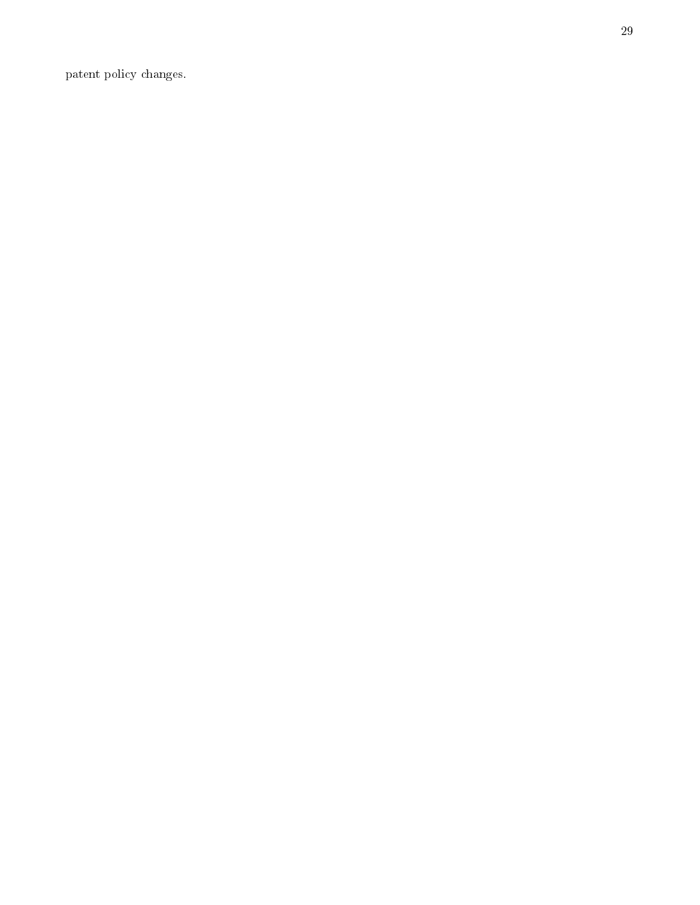patent policy changes.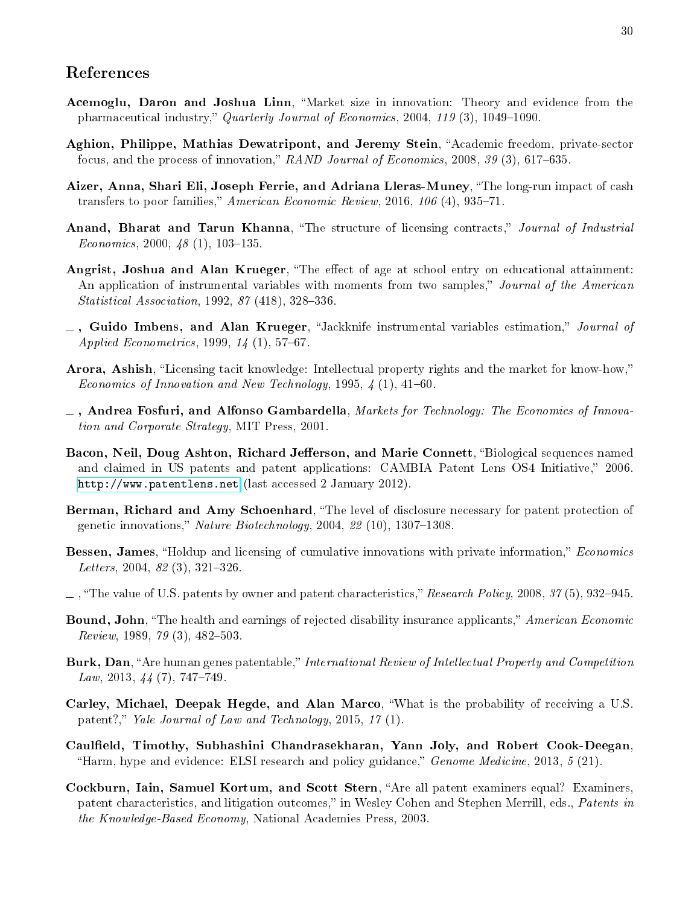# References

- <span id="page-31-7"></span>Acemoglu, Daron and Joshua Linn, "Market size in innovation: Theory and evidence from the pharmaceutical industry," Quarterly Journal of Economics, 2004, 119  $(3)$ , 1049–1090.
- <span id="page-31-1"></span>Aghion, Philippe, Mathias Dewatripont, and Jeremy Stein, "Academic freedom, private-sector focus, and the process of innovation," RAND Journal of Economics, 2008, 39 (3), 617–635.
- <span id="page-31-4"></span>Aizer, Anna, Shari Eli, Joseph Ferrie, and Adriana Lleras-Muney, "The long-run impact of cash transfers to poor families," American Economic Review, 2016, 106  $(4)$ , 935-71.
- <span id="page-31-12"></span>Anand, Bharat and Tarun Khanna, "The structure of licensing contracts," Journal of Industrial Economics, 2000,  $48(1)$ , 103-135.
- <span id="page-31-10"></span>Angrist, Joshua and Alan Krueger, "The effect of age at school entry on educational attainment: An application of instrumental variables with moments from two samples," Journal of the American  $Statistical Association, 1992, 87 (418), 328-336.$
- <span id="page-31-9"></span> $\overline{\phantom{a}}$ , Guido Imbens, and Alan Krueger, "Jackknife instrumental variables estimation," *Journal of* Applied Econometrics, 1999,  $14(1)$ , 57-67.
- <span id="page-31-14"></span>Arora, Ashish, "Licensing tacit knowledge: Intellectual property rights and the market for know-how," Economics of Innovation and New Technology, 1995,  $\lambda$  (1), 41–60.
- <span id="page-31-15"></span> $\Box$ , Andrea Fosfuri, and Alfonso Gambardella, Markets for Technology: The Economics of Innovation and Corporate Strategy, MIT Press, 2001.
- <span id="page-31-6"></span>Bacon, Neil, Doug Ashton, Richard Jefferson, and Marie Connett, "Biological sequences named and claimed in US patents and patent applications: CAMBIA Patent Lens OS4 Initiative," 2006. <http://www.patentlens.net> (last accessed 2 January 2012).
- <span id="page-31-5"></span>Berman, Richard and Amy Schoenhard, "The level of disclosure necessary for patent protection of genetic innovations," Nature Biotechnology,  $2004$ ,  $22(10)$ ,  $1307-1308$ .
- <span id="page-31-13"></span>Bessen, James, "Holdup and licensing of cumulative innovations with private information," Economics Letters,  $2004$ ,  $82(3)$ ,  $321-326$ .
- <span id="page-31-11"></span> $\mu$ , "The value of U.S. patents by owner and patent characteristics," Research Policy, 2008, 37(5), 932–945.
- <span id="page-31-3"></span>Bound, John, "The health and earnings of rejected disability insurance applicants," American Economic  $Review, 1989, 79(3), 482-503.$
- <span id="page-31-16"></span>Burk, Dan, "Are human genes patentable," International Review of Intellectual Property and Competition Law, 2013,  $44(7)$ , 747-749.
- <span id="page-31-8"></span>Carley, Michael, Deepak Hegde, and Alan Marco, "What is the probability of receiving a U.S. patent?," Yale Journal of Law and Technology,  $2015$ ,  $17(1)$ .
- <span id="page-31-2"></span>Caulfield, Timothy, Subhashini Chandrasekharan, Yann Joly, and Robert Cook-Deegan. "Harm, hype and evidence: ELSI research and policy guidance,"  $Genome$  Medicine, 2013, 5 (21).
- <span id="page-31-0"></span>Cockburn, Iain, Samuel Kortum, and Scott Stern, "Are all patent examiners equal? Examiners, patent characteristics, and litigation outcomes," in Wesley Cohen and Stephen Merrill, eds., Patents in the Knowledge-Based Economy, National Academies Press, 2003.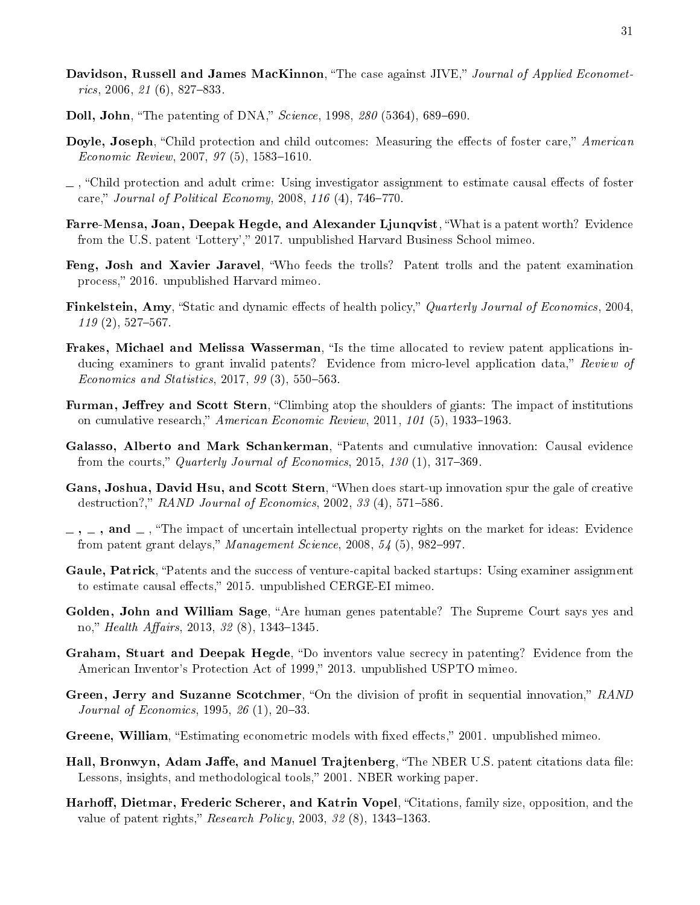- <span id="page-32-12"></span>Davidson, Russell and James MacKinnon, "The case against JIVE," Journal of Applied Econometrics, 2006, 21 $(6)$ , 827–833.
- <span id="page-32-0"></span>Doll, John, "The patenting of DNA," Science, 1998, 280 (5364), 689-690.
- <span id="page-32-4"></span>**Doyle, Joseph**, "Child protection and child outcomes: Measuring the effects of foster care," American  $Economic$   $Review$ , 2007, 97 $(5)$ , 1583-1610.
- <span id="page-32-5"></span> $\Box$ , "Child protection and adult crime: Using investigator assignment to estimate causal effects of foster care," Journal of Political Economy, 2008, 116  $(4)$ , 746-770.
- <span id="page-32-8"></span>Farre-Mensa, Joan, Deepak Hegde, and Alexander Ljunqvist, What is a patent worth? Evidence from the U.S. patent 'Lottery'," 2017. unpublished Harvard Business School mimeo.
- <span id="page-32-7"></span>Feng, Josh and Xavier Jaravel, Who feeds the trolls? Patent trolls and the patent examination process, 2016. unpublished Harvard mimeo.
- <span id="page-32-10"></span>Finkelstein, Amy, "Static and dynamic effects of health policy," Quarterly Journal of Economics, 2004,  $119(2), 527-567.$
- <span id="page-32-11"></span>Frakes, Michael and Melissa Wasserman, "Is the time allocated to review patent applications inducing examiners to grant invalid patents? Evidence from micro-level application data," Review of Economics and Statistics,  $2017, 99(3), 550-563$ .
- <span id="page-32-2"></span>Furman, Jeffrey and Scott Stern, "Climbing atop the shoulders of giants: The impact of institutions on cumulative research," American Economic Review, 2011, 101  $(5)$ , 1933-1963.
- <span id="page-32-3"></span>Galasso, Alberto and Mark Schankerman, "Patents and cumulative innovation: Causal evidence from the courts," Quarterly Journal of Economics, 2015, 130  $(1)$ , 317–369.
- <span id="page-32-15"></span>Gans, Joshua, David Hsu, and Scott Stern, "When does start-up innovation spur the gale of creative destruction?," RAND Journal of Economics, 2002, 33  $(4)$ , 571-586.
- <span id="page-32-16"></span> $\ldots$ , and  $\ldots$ , "The impact of uncertain intellectual property rights on the market for ideas: Evidence from patent grant delays," Management Science, 2008,  $54$  (5), 982-997.
- <span id="page-32-6"></span>Gaule, Patrick, "Patents and the success of venture-capital backed startups: Using examiner assignment to estimate causal effects," 2015. unpublished CERGE-EI mimeo.
- <span id="page-32-17"></span>Golden, John and William Sage, "Are human genes patentable? The Supreme Court says yes and no," Health Affairs, 2013, 32  $(8)$ , 1343-1345.
- <span id="page-32-9"></span>Graham, Stuart and Deepak Hegde, "Do inventors value secrecy in patenting? Evidence from the American Inventor's Protection Act of 1999," 2013. unpublished USPTO mimeo.
- <span id="page-32-1"></span>Green, Jerry and Suzanne Scotchmer, "On the division of profit in sequential innovation," RAND *Journal of Economics*,  $1995, 26 (1), 20-33$ .
- <span id="page-32-13"></span>Greene, William, "Estimating econometric models with fixed effects," 2001. unpublished mimeo.
- <span id="page-32-18"></span>Hall, Bronwyn, Adam Jaffe, and Manuel Trajtenberg, "The NBER U.S. patent citations data file: Lessons, insights, and methodological tools," 2001. NBER working paper.
- <span id="page-32-14"></span>Harhoff, Dietmar, Frederic Scherer, and Katrin Vopel, "Citations, family size, opposition, and the value of patent rights," Research Policy, 2003,  $32$  (8), 1343-1363.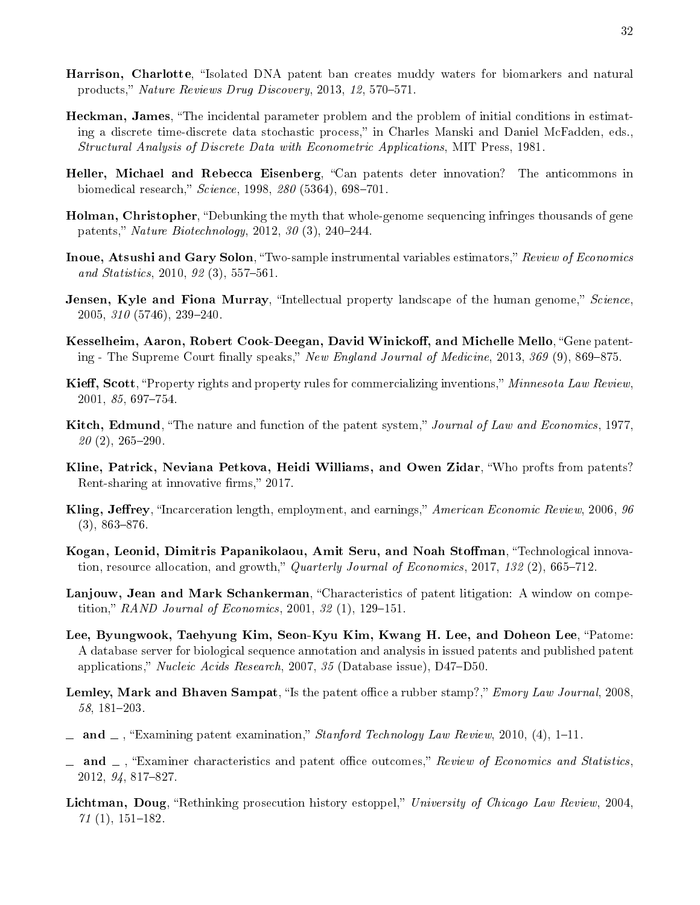- <span id="page-33-17"></span>Harrison, Charlotte, "Isolated DNA patent ban creates muddy waters for biomarkers and natural products," Nature Reviews Drug Discovery, 2013, 12, 570–571.
- <span id="page-33-11"></span>Heckman, James, "The incidental parameter problem and the problem of initial conditions in estimating a discrete time-discrete data stochastic process," in Charles Manski and Daniel McFadden, eds., Structural Analysis of Discrete Data with Econometric Applications, MIT Press, 1981.
- <span id="page-33-9"></span>Heller, Michael and Rebecca Eisenberg, "Can patents deter innovation? The anticommons in biomedical research,"  $Science$ , 1998, 280 (5364), 698-701.
- <span id="page-33-7"></span>**Holman, Christopher**, "Debunking the myth that whole-genome sequencing infringes thousands of gene patents," Nature Biotechnology,  $2012, 30(3), 240-244$ .
- <span id="page-33-12"></span>Inoue, Atsushi and Gary Solon, "Two-sample instrumental variables estimators," Review of Economics and Statistics,  $2010, 92(3), 557-561$ .
- <span id="page-33-0"></span>Jensen, Kyle and Fiona Murray, "Intellectual property landscape of the human genome," Science,  $2005, 310 (5746), 239-240.$
- <span id="page-33-5"></span>Kesselheim, Aaron, Robert Cook-Deegan, David Winickoff, and Michelle Mello, "Gene patenting - The Supreme Court finally speaks," New England Journal of Medicine,  $2013$ ,  $369(9)$ ,  $869-875$ .
- <span id="page-33-16"></span>Kieff, Scott, "Property rights and property rules for commercializing inventions," Minnesota Law Review,  $2001, 85, 697 - 754.$
- <span id="page-33-15"></span>Kitch, Edmund, "The nature and function of the patent system," Journal of Law and Economics, 1977,  $20(2), 265-290.$
- <span id="page-33-6"></span>Kline, Patrick, Neviana Petkova, Heidi Williams, and Owen Zidar, "Who profts from patents? Rent-sharing at innovative firms," 2017.
- <span id="page-33-4"></span>Kling, Jeffrey, "Incarceration length, employment, and earnings," American Economic Review, 2006, 96  $(3), 863 - 876.$
- <span id="page-33-13"></span>Kogan, Leonid, Dimitris Papanikolaou, Amit Seru, and Noah Stoffman, "Technological innovation, resource allocation, and growth," Quarterly Journal of Economics, 2017, 132  $(2)$ , 665–712.
- <span id="page-33-14"></span>Lanjouw, Jean and Mark Schankerman, "Characteristics of patent litigation: A window on competition," RAND Journal of Economics, 2001, 32 $(1)$ , 129-151.
- <span id="page-33-8"></span>Lee, Byungwook, Taehyung Kim, Seon-Kyu Kim, Kwang H. Lee, and Doheon Lee, Patome: A database server for biological sequence annotation and analysis in issued patents and published patent applications," Nucleic Acids Research, 2007, 35 (Database issue), D47-D50.
- <span id="page-33-3"></span>Lemley, Mark and Bhaven Sampat, "Is the patent office a rubber stamp?," *Emory Law Journal*, 2008. 58, 181-203.
- <span id="page-33-1"></span> $\Delta$  and  $\Delta$ , "Examining patent examination," Stanford Technology Law Review, 2010, (4), 1–11.
- <span id="page-33-2"></span> $\Box$  and  $\Box$ , "Examiner characteristics and patent office outcomes," Review of Economics and Statistics, 2012, 94, 817-827.
- <span id="page-33-10"></span>Lichtman, Doug, "Rethinking prosecution history estoppel," University of Chicago Law Review, 2004,  $71(1), 151-182.$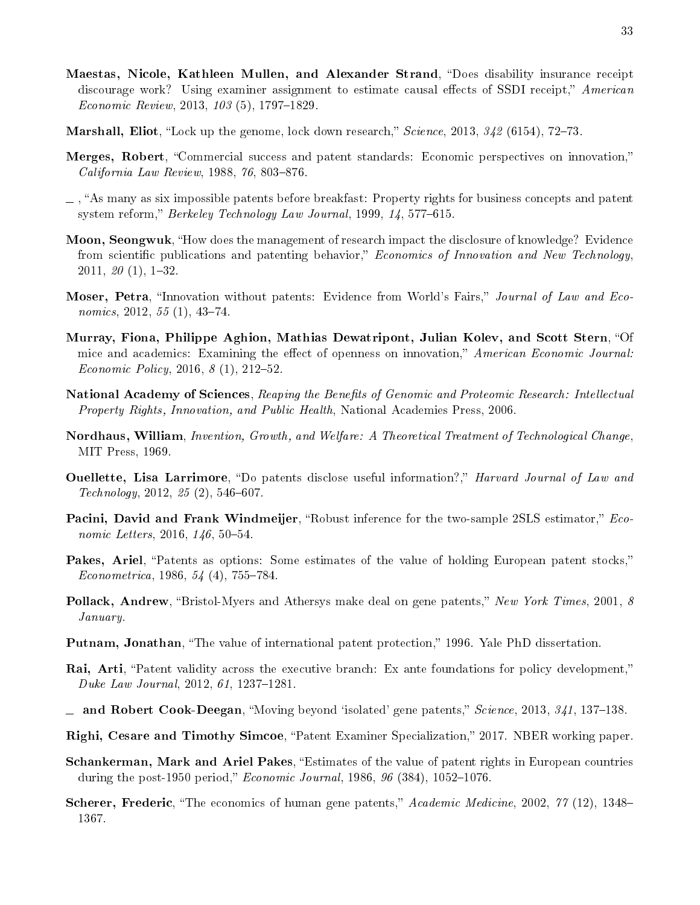- <span id="page-34-3"></span>Maestas, Nicole, Kathleen Mullen, and Alexander Strand, "Does disability insurance receipt discourage work? Using examiner assignment to estimate causal effects of SSDI receipt," American  $Economic$   $Review$ , 2013, 103 (5), 1797-1829.
- <span id="page-34-16"></span>**Marshall, Eliot**, "Lock up the genome, lock down research," Science, 2013,  $342$  (6154), 72-73.
- <span id="page-34-7"></span>Merges, Robert, "Commercial success and patent standards: Economic perspectives on innovation,"  $California Law Review, 1988, 76, 803–876.$
- <span id="page-34-9"></span> $\sim$ , "As many as six impossible patents before breakfast: Property rights for business concepts and patent system reform," Berkeley Technology Law Journal, 1999, 14, 577-615.
- <span id="page-34-6"></span>Moon, Seongwuk, "How does the management of research impact the disclosure of knowledge? Evidence from scientific publications and patenting behavior," Economics of Innovation and New Technology,  $2011, 20(1), 1-32$ .
- <span id="page-34-8"></span>Moser, Petra, "Innovation without patents: Evidence from World's Fairs," Journal of Law and Economics,  $2012, 55(1), 43-74.$
- <span id="page-34-1"></span>Murray, Fiona, Philippe Aghion, Mathias Dewatripont, Julian Kolev, and Scott Stern, "Of mice and academics: Examining the effect of openness on innovation," American Economic Journal: Economic Policy, 2016,  $8(1)$ , 212-52.
- <span id="page-34-2"></span>National Academy of Sciences, Reaping the Benefits of Genomic and Proteomic Research: Intellectual Property Rights, Innovation, and Public Health, National Academies Press, 2006.
- <span id="page-34-0"></span>Nordhaus, William, Invention, Growth, and Welfare: A Theoretical Treatment of Technological Change, MIT Press, 1969.
- <span id="page-34-17"></span>Ouellette, Lisa Larrimore, "Do patents disclose useful information?," Harvard Journal of Law and  $Technology, 2012, 25 (2), 546-607.$
- <span id="page-34-10"></span>Pacini, David and Frank Windmeijer, "Robust inference for the two-sample 2SLS estimator," Economic Letters,  $2016, 146, 50-54.$
- <span id="page-34-11"></span>Pakes, Ariel, "Patents as options: Some estimates of the value of holding European patent stocks,"  $Econometrica, 1986, 54 (4), 755-784.$
- <span id="page-34-15"></span>Pollack, Andrew, "Bristol-Myers and Athersys make deal on gene patents," New York Times, 2001, 8 January.
- <span id="page-34-13"></span>Putnam, Jonathan, "The value of international patent protection," 1996. Yale PhD dissertation.
- <span id="page-34-5"></span>**Rai, Arti**, "Patent validity across the executive branch: Ex ante foundations for policy development," Duke Law Journal,  $2012, 61, 1237-1281$ .
- <span id="page-34-18"></span> $\mu$  and Robert Cook-Deegan, "Moving beyond 'isolated' gene patents," Science, 2013, 341, 137–138.
- <span id="page-34-14"></span>Righi, Cesare and Timothy Simcoe, "Patent Examiner Specialization," 2017. NBER working paper.
- <span id="page-34-12"></span>**Schankerman, Mark and Ariel Pakes, "Estimates of the value of patent rights in European countries** during the post-1950 period," *Economic Journal*, 1986, 96 (384), 1052–1076.
- <span id="page-34-4"></span>Scherer, Frederic, "The economics of human gene patents," Academic Medicine, 2002, 77 (12), 1348– 1367.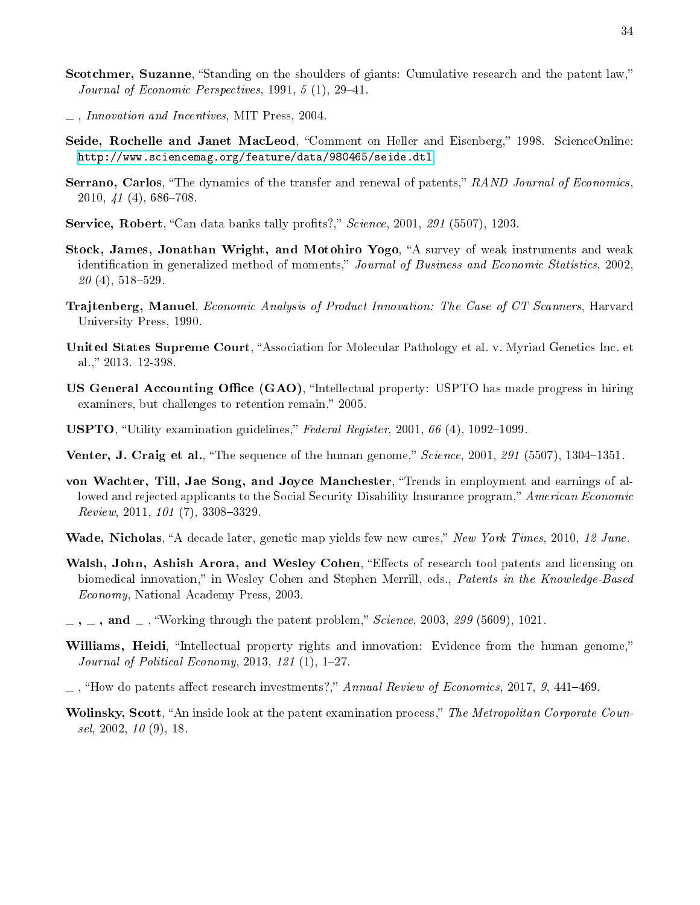- <span id="page-35-12"></span>Scotchmer, Suzanne, "Standing on the shoulders of giants: Cumulative research and the patent law," Journal of Economic Perspectives,  $1991, 5(1), 29-41.$
- <span id="page-35-11"></span> $\mu$ , Innovation and Incentives, MIT Press, 2004.
- <span id="page-35-13"></span>Seide, Rochelle and Janet MacLeod, "Comment on Heller and Eisenberg," 1998. ScienceOnline: [http://www.sciencemag.org/feature/data/980465/seide.dtl.](http://www.sciencemag.org/feature/data/980465/seide.dtl)
- <span id="page-35-10"></span>Serrano, Carlos, "The dynamics of the transfer and renewal of patents," RAND Journal of Economics,  $2010, 41(4), 686-708.$
- <span id="page-35-15"></span>Service, Robert, "Can data banks tally profits?," Science, 2001, 291 (5507), 1203.
- <span id="page-35-8"></span>Stock, James, Jonathan Wright, and Motohiro Yogo, "A survey of weak instruments and weak identification in generalized method of moments," Journal of Business and Economic Statistics, 2002.  $20(4)$ , 518-529.
- <span id="page-35-9"></span>**Trajtenberg, Manuel,** Economic Analysis of Product Innovation: The Case of CT Scanners, Harvard University Press, 1990.
- <span id="page-35-17"></span>United States Supreme Court, "Association for Molecular Pathology et al. v. Myriad Genetics Inc. et al.," 2013. 12-398.
- <span id="page-35-7"></span>US General Accounting Office (GAO), "Intellectual property: USPTO has made progress in hiring examiners, but challenges to retention remain," 2005.
- <span id="page-35-5"></span>**USPTO**, "Utility examination guidelines," Federal Register, 2001, 66  $(4)$ , 1092-1099.
- <span id="page-35-14"></span>**Venter, J. Craig et al.,** "The sequence of the human genome,"  $Science$ ,  $2001$ ,  $291$  (5507), 1304–1351.
- <span id="page-35-3"></span>von Wachter, Till, Jae Song, and Joyce Manchester, Trends in employment and earnings of allowed and rejected applicants to the Social Security Disability Insurance program," American Economic  $Review, 2011, 101 (7), 3308-3329.$
- <span id="page-35-4"></span>Wade, Nicholas, "A decade later, genetic map yields few new cures," New York Times, 2010, 12 June.
- <span id="page-35-1"></span>Walsh, John, Ashish Arora, and Wesley Cohen, "Effects of research tool patents and licensing on biomedical innovation," in Wesley Cohen and Stephen Merrill, eds., Patents in the Knowledge-Based Economy, National Academy Press, 2003.
- <span id="page-35-2"></span> $\ldots$ , and  $\ldots$ , "Working through the patent problem," Science, 2003, 299 (5609), 1021.
- <span id="page-35-0"></span>Williams, Heidi, "Intellectual property rights and innovation: Evidence from the human genome," *Journal of Political Economy*, 2013, 121 $(1)$ , 1-27.
- <span id="page-35-16"></span> $\mu$ , "How do patents affect research investments?," Annual Review of Economics, 2017, 9, 441–469.
- <span id="page-35-6"></span>Wolinsky, Scott, "An inside look at the patent examination process," The Metropolitan Corporate Counsel, 2002, 10 (9), 18.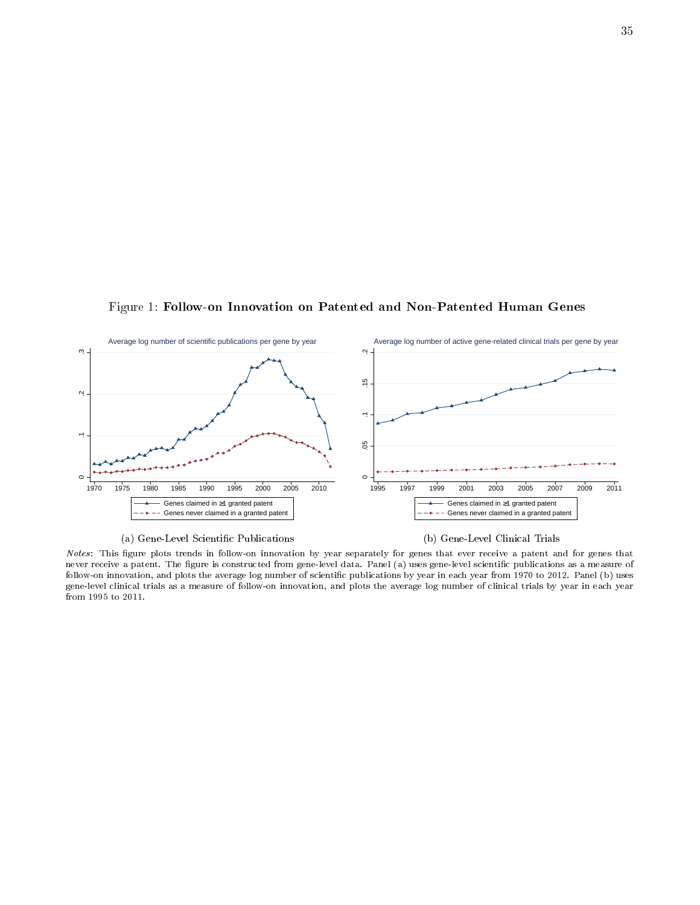

<span id="page-36-0"></span>Figure 1: Follow-on Innovation on Patented and Non-Patented Human Genes

Notes: This figure plots trends in follow-on innovation by year separately for genes that ever receive a patent and for genes that never receive a patent. The figure is constructed from gene-level data. Panel (a) uses gene-level scientific publications as a measure of follow-on innovation, and plots the average log number of scientific publications by year in each year from 1970 to 2012. Panel (b) uses gene-level clinical trials as a measure of follow-on innovation, and plots the average log number of clinical trials by year in each year from 1995 to 2011.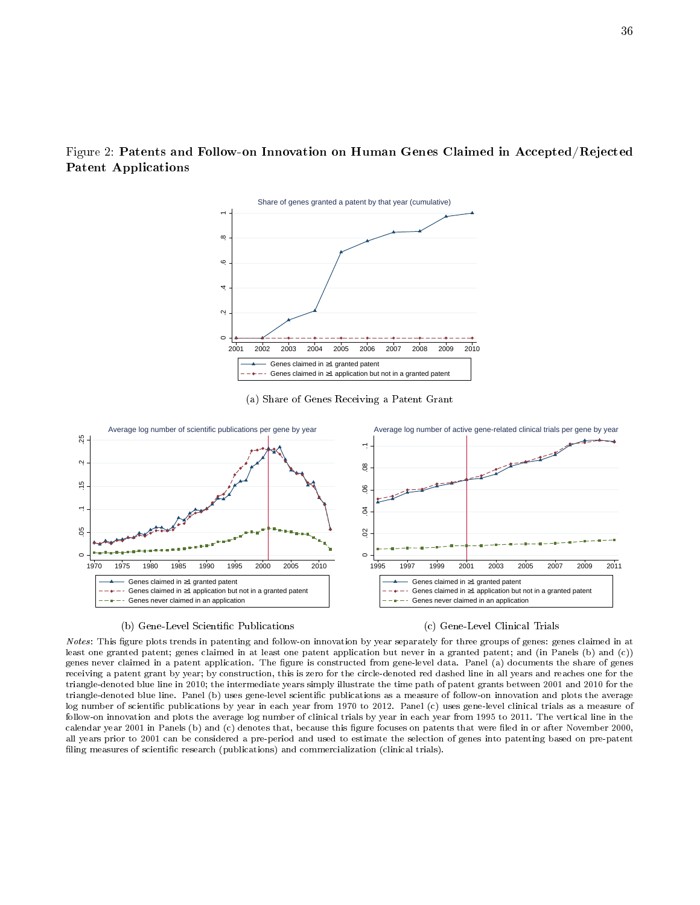<span id="page-37-0"></span>



(a) Share of Genes Receiving a Patent Grant



#### (b) Gene-Level Scientific Publications



Notes: This figure plots trends in patenting and follow-on innovation by year separately for three groups of genes: genes claimed in at least one granted patent; genes claimed in at least one patent application but never in a granted patent; and (in Panels (b) and (c)) genes never claimed in a patent application. The figure is constructed from gene-level data. Panel (a) documents the share of genes receiving a patent grant by year; by construction, this is zero for the circle-denoted red dashed line in all years and reaches one for the triangle-denoted blue line in 2010; the intermediate years simply illustrate the time path of patent grants between 2001 and 2010 for the triangle-denoted blue line. Panel (b) uses gene-level scientific publications as a measure of follow-on innovation and plots the average log number of scientific publications by year in each year from 1970 to 2012. Panel (c) uses gene-level clinical trials as a measure of follow-on innovation and plots the average log number of clinical trials by year in each year from 1995 to 2011. The vertical line in the calendar year 2001 in Panels (b) and (c) denotes that, because this figure focuses on patents that were filed in or after November 2000, all years prior to 2001 can be considered a pre-period and used to estimate the selection of genes into patenting based on pre-patent filing measures of scientific research (publications) and commercialization (clinical trials).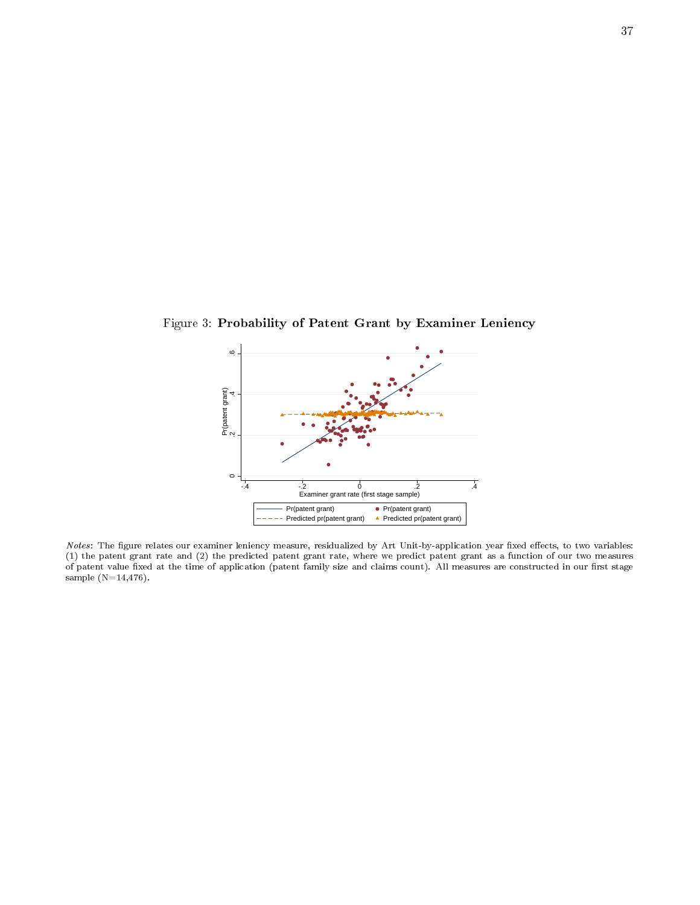<span id="page-38-0"></span>

Figure 3: Probability of Patent Grant by Examiner Leniency

Notes: The figure relates our examiner leniency measure, residualized by Art Unit-by-application year fixed effects, to two variables: (1) the patent grant rate and (2) the predicted patent grant rate, where we predict patent grant as a function of our two measures of patent value fixed at the time of application (patent family size and claims count). All measures are constructed in our first stage sample (N=14,476).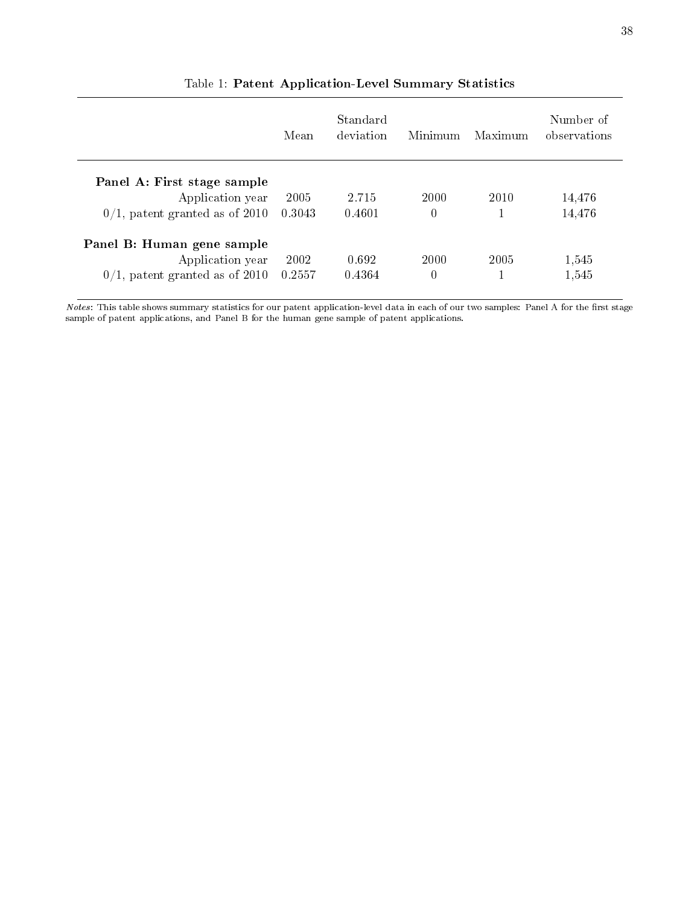|                                                                                      | Mean           | Standard<br>deviation | Minimum                  | Maximum | Number of<br>observations |
|--------------------------------------------------------------------------------------|----------------|-----------------------|--------------------------|---------|---------------------------|
| Panel A: First stage sample<br>Application year<br>$0/1$ , patent granted as of 2010 | 2005<br>0.3043 | 2.715<br>0.4601       | 2000<br>$\left( \right)$ | 2010    | 14,476<br>14,476          |
| Panel B: Human gene sample<br>Application year<br>$0/1$ , patent granted as of 2010  | 2002<br>0.2557 | 0.692<br>0.4364       | 2000<br>$\left( \right)$ | 2005    | 1,545<br>1,545            |

<span id="page-39-0"></span>Table 1: Patent Application-Level Summary Statistics

Notes: This table shows summary statistics for our patent application-level data in each of our two samples: Panel A for the first stage sample of patent applications, and Panel B for the human gene sample of patent applications.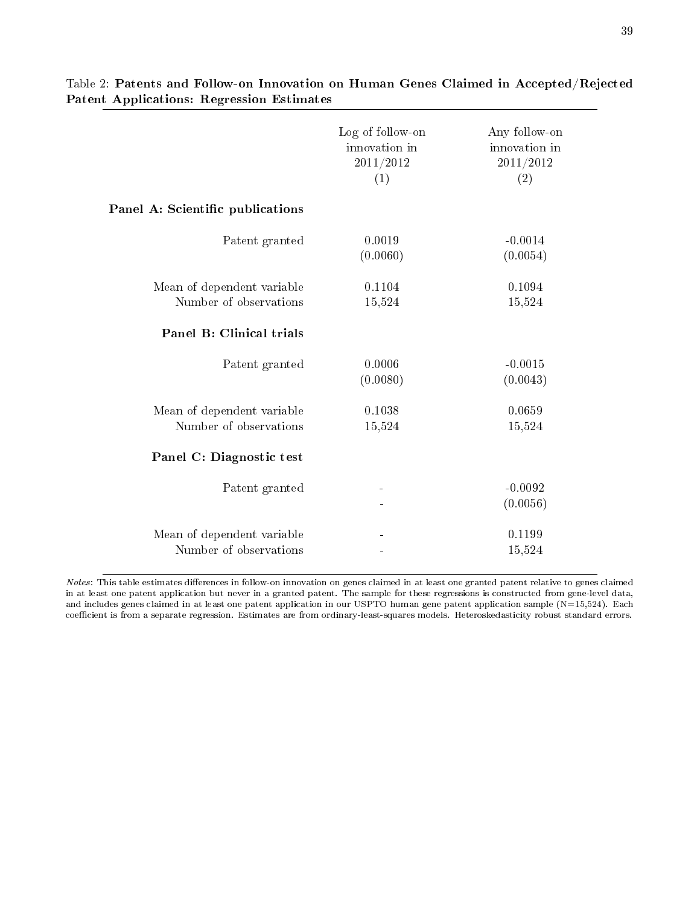|                                                      | Log of follow-on<br>innovation in<br>2011/2012<br>(1) | Any follow-on<br>innovation in<br>2011/2012<br>(2) |
|------------------------------------------------------|-------------------------------------------------------|----------------------------------------------------|
| Panel A: Scientific publications                     |                                                       |                                                    |
| Patent granted                                       | 0.0019<br>(0.0060)                                    | $-0.0014$<br>(0.0054)                              |
| Mean of dependent variable<br>Number of observations | 0.1104<br>15,524                                      | 0.1094<br>15,524                                   |
| Panel B: Clinical trials                             |                                                       |                                                    |
| Patent granted                                       | 0.0006<br>(0.0080)                                    | $-0.0015$<br>(0.0043)                              |
| Mean of dependent variable<br>Number of observations | 0.1038<br>15,524                                      | 0.0659<br>15,524                                   |
| Panel C: Diagnostic test                             |                                                       |                                                    |
| Patent granted                                       |                                                       | $-0.0092$<br>(0.0056)                              |
| Mean of dependent variable<br>Number of observations |                                                       | 0.1199<br>15,524                                   |

# <span id="page-40-0"></span>Table 2: Patents and Follow-on Innovation on Human Genes Claimed in Accepted/Rejected Patent Applications: Regression Estimates

Notes: This table estimates differences in follow-on innovation on genes claimed in at least one granted patent relative to genes claimed in at least one patent application but never in a granted patent. The sample for these regressions is constructed from gene-level data, and includes genes claimed in at least one patent application in our USPTO human gene patent application sample  $(N=15,524)$ . Each coefficient is from a separate regression. Estimates are from ordinary-least-squares models. Heteroskedasticity robust standard errors.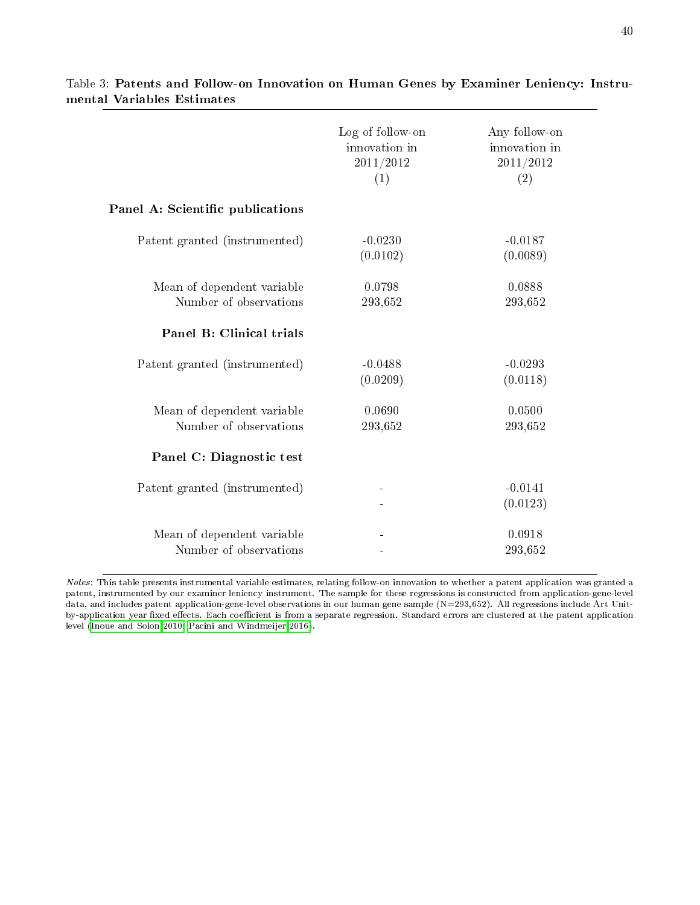|                                                      | Log of follow-on<br>innovation in<br>2011/2012<br>(1) | Any follow-on<br>innovation in<br>2011/2012<br>(2) |
|------------------------------------------------------|-------------------------------------------------------|----------------------------------------------------|
| Panel A: Scientific publications                     |                                                       |                                                    |
| Patent granted (instrumented)                        | $-0.0230$<br>(0.0102)                                 | $-0.0187$<br>(0.0089)                              |
| Mean of dependent variable<br>Number of observations | 0.0798<br>293,652                                     | 0.0888<br>293,652                                  |
| Panel B: Clinical trials                             |                                                       |                                                    |
| Patent granted (instrumented)                        | $-0.0488$<br>(0.0209)                                 | $-0.0293$<br>(0.0118)                              |
| Mean of dependent variable<br>Number of observations | 0.0690<br>293,652                                     | 0.0500<br>293,652                                  |
| Panel C: Diagnostic test                             |                                                       |                                                    |
| Patent granted (instrumented)                        |                                                       | $-0.0141$<br>(0.0123)                              |
| Mean of dependent variable<br>Number of observations |                                                       | 0.0918<br>293,652                                  |

# <span id="page-41-0"></span>Table 3: Patents and Follow-on Innovation on Human Genes by Examiner Leniency: Instrumental Variables Estimates

Notes: This table presents instrumental variable estimates, relating follow-on innovation to whether a patent application was granted a patent, instrumented by our examiner leniency instrument. The sample for these regressions is constructed from application-gene-level data, and includes patent application-gene-level observations in our human gene sample (N=293,652). All regressions include Art Unitby-application year fixed effects. Each coefficient is from a separate regression. Standard errors are clustered at the patent application level [\(Inoue and Solon 2010;](#page-33-12) [Pacini and Windmeijer 2016\)](#page-34-10).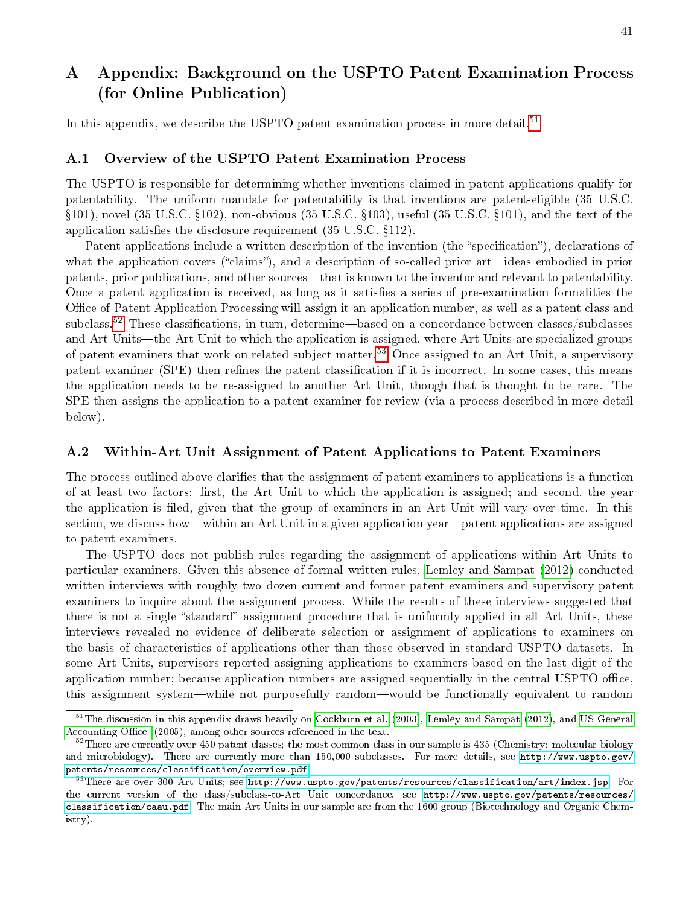# <span id="page-42-0"></span>A Appendix: Background on the USPTO Patent Examination Process (for Online Publication)

In this appendix, we describe the USPTO patent examination process in more detail.<sup>[51](#page-42-1)</sup>

## A.1 Overview of the USPTO Patent Examination Process

The USPTO is responsible for determining whether inventions claimed in patent applications qualify for patentability. The uniform mandate for patentability is that inventions are patent-eligible (35 U.S.C.  $101$ , novel (35 U.S.C.  $102$ ), non-obvious (35 U.S.C.  $103$ ), useful (35 U.S.C.  $101$ ), and the text of the application satisfies the disclosure requirement  $(35 \text{ U.S.C. } §112)$ .

Patent applications include a written description of the invention (the "specification"), declarations of what the application covers ("claims"), and a description of so-called prior art—ideas embodied in prior patents, prior publications, and other sources—that is known to the inventor and relevant to patentability. Once a patent application is received, as long as it satisfies a series of pre-examination formalities the Office of Patent Application Processing will assign it an application number, as well as a patent class and subclass.<sup>[52](#page-42-2)</sup> These classifications, in turn, determine—based on a concordance between classes/subclasses and Art Units—the Art Unit to which the application is assigned, where Art Units are specialized groups of patent examiners that work on related subject matter.[53](#page-42-3) Once assigned to an Art Unit, a supervisory patent examiner (SPE) then refines the patent classification if it is incorrect. In some cases, this means the application needs to be re-assigned to another Art Unit, though that is thought to be rare. The SPE then assigns the application to a patent examiner for review (via a process described in more detail below).

## A.2 Within-Art Unit Assignment of Patent Applications to Patent Examiners

The process outlined above clarifies that the assignment of patent examiners to applications is a function of at least two factors: first, the Art Unit to which the application is assigned; and second, the year the application is led, given that the group of examiners in an Art Unit will vary over time. In this section, we discuss how—within an Art Unit in a given application year—patent applications are assigned to patent examiners.

The USPTO does not publish rules regarding the assignment of applications within Art Units to particular examiners. Given this absence of formal written rules, [Lemley and Sampat](#page-33-2) [\(2012\)](#page-33-2) conducted written interviews with roughly two dozen current and former patent examiners and supervisory patent examiners to inquire about the assignment process. While the results of these interviews suggested that there is not a single "standard" assignment procedure that is uniformly applied in all Art Units, these interviews revealed no evidence of deliberate selection or assignment of applications to examiners on the basis of characteristics of applications other than those observed in standard USPTO datasets. In some Art Units, supervisors reported assigning applications to examiners based on the last digit of the application number; because application numbers are assigned sequentially in the central USPTO office, this assignment system—while not purposefully random—would be functionally equivalent to random

<span id="page-42-1"></span> $51$ The discussion in this appendix draws heavily on [Cockburn et al.](#page-31-0) [\(2003\)](#page-31-0), [Lemley and Sampat](#page-33-2) [\(2012\)](#page-33-2), and [US General](#page-35-7) Accounting Office (2005), among other sources referenced in the text.

<span id="page-42-2"></span> $52$ There are currently over 450 patent classes; the most common class in our sample is 435 (Chemistry: molecular biology and microbiology). There are currently more than 150,000 subclasses. For more details, see [http://www.uspto.gov/](http://www.uspto.gov/patents/resources/classification/overview.pdf) [patents/resources/classification/overview.pdf.](http://www.uspto.gov/patents/resources/classification/overview.pdf)

<span id="page-42-3"></span> $^{53}\rm{There}$  are over 300 Art Units; see <code>[http://www.uspto.gov/patents/resources/classification/art/index.jsp.](http://www.uspto.gov/patents/resources/classification/art/index.jsp) For</code> the current version of the class/subclass-to-Art Unit concordance, see [http://www.uspto.gov/patents/resources/](http://www.uspto.gov/patents/resources/classification/caau.pdf) [classification/caau.pdf.](http://www.uspto.gov/patents/resources/classification/caau.pdf) The main Art Units in our sample are from the 1600 group (Biotechnology and Organic Chemistry).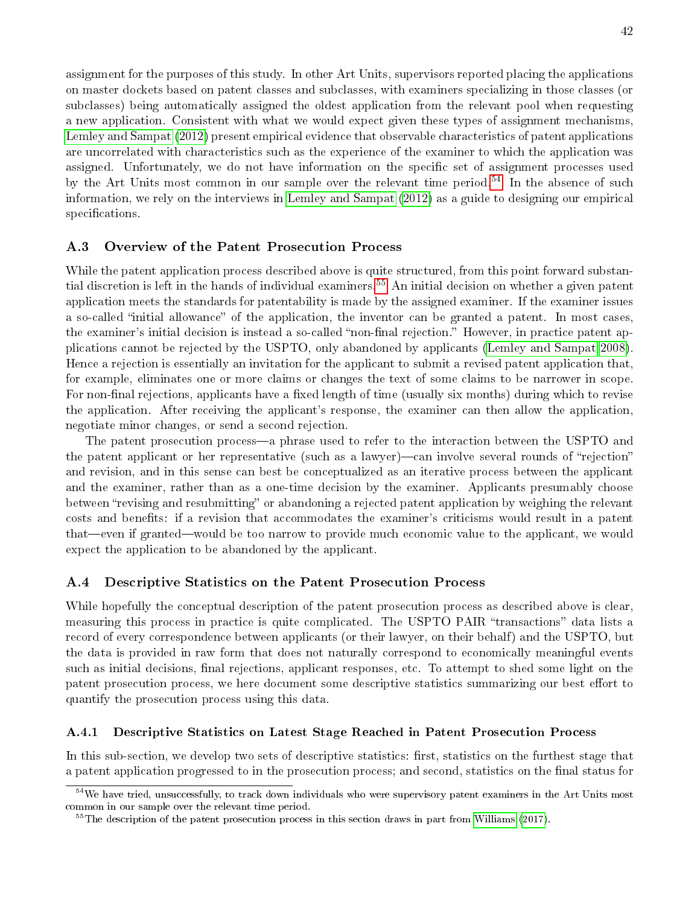assignment for the purposes of this study. In other Art Units, supervisors reported placing the applications on master dockets based on patent classes and subclasses, with examiners specializing in those classes (or subclasses) being automatically assigned the oldest application from the relevant pool when requesting a new application. Consistent with what we would expect given these types of assignment mechanisms, [Lemley and Sampat](#page-33-2) [\(2012\)](#page-33-2) present empirical evidence that observable characteristics of patent applications are uncorrelated with characteristics such as the experience of the examiner to which the application was assigned. Unfortunately, we do not have information on the specific set of assignment processes used by the Art Units most common in our sample over the relevant time period.<sup>[54](#page-43-0)</sup> In the absence of such information, we rely on the interviews in [Lemley and Sampat](#page-33-2) [\(2012\)](#page-33-2) as a guide to designing our empirical specifications.

## A.3 Overview of the Patent Prosecution Process

While the patent application process described above is quite structured, from this point forward substantial discretion is left in the hands of individual examiners.[55](#page-43-1) An initial decision on whether a given patent application meets the standards for patentability is made by the assigned examiner. If the examiner issues a so-called "initial allowance" of the application, the inventor can be granted a patent. In most cases, the examiner's initial decision is instead a so-called "non-final rejection." However, in practice patent applications cannot be rejected by the USPTO, only abandoned by applicants [\(Lemley and Sampat 2008\)](#page-33-3). Hence a rejection is essentially an invitation for the applicant to submit a revised patent application that, for example, eliminates one or more claims or changes the text of some claims to be narrower in scope. For non-final rejections, applicants have a fixed length of time (usually six months) during which to revise the application. After receiving the applicant's response, the examiner can then allow the application, negotiate minor changes, or send a second rejection.

The patent prosecution process—a phrase used to refer to the interaction between the USPTO and the patent applicant or her representative (such as a lawyer)—can involve several rounds of "rejection" and revision, and in this sense can best be conceptualized as an iterative process between the applicant and the examiner, rather than as a one-time decision by the examiner. Applicants presumably choose between "revising and resubmitting" or abandoning a rejected patent application by weighing the relevant costs and benets: if a revision that accommodates the examiner's criticisms would result in a patent that—even if granted—would be too narrow to provide much economic value to the applicant, we would expect the application to be abandoned by the applicant.

#### A.4 Descriptive Statistics on the Patent Prosecution Process

While hopefully the conceptual description of the patent prosecution process as described above is clear, measuring this process in practice is quite complicated. The USPTO PAIR "transactions" data lists a record of every correspondence between applicants (or their lawyer, on their behalf) and the USPTO, but the data is provided in raw form that does not naturally correspond to economically meaningful events such as initial decisions, final rejections, applicant responses, etc. To attempt to shed some light on the patent prosecution process, we here document some descriptive statistics summarizing our best effort to quantify the prosecution process using this data.

## A.4.1 Descriptive Statistics on Latest Stage Reached in Patent Prosecution Process

In this sub-section, we develop two sets of descriptive statistics: first, statistics on the furthest stage that a patent application progressed to in the prosecution process; and second, statistics on the final status for

<span id="page-43-0"></span> $54$ We have tried, unsuccessfully, to track down individuals who were supervisory patent examiners in the Art Units most common in our sample over the relevant time period.

<span id="page-43-1"></span> ${}^{55}$ The description of the patent prosecution process in this section draws in part from [Williams](#page-35-16) [\(2017\)](#page-35-16).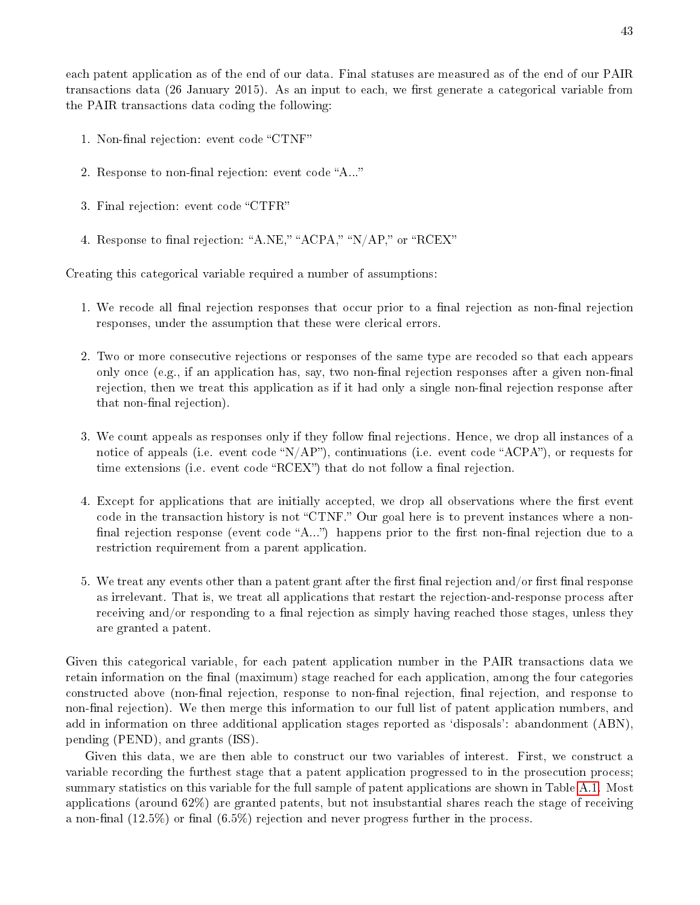each patent application as of the end of our data. Final statuses are measured as of the end of our PAIR transactions data  $(26 \text{ January } 2015)$ . As an input to each, we first generate a categorical variable from the PAIR transactions data coding the following:

- 1. Non-final rejection: event code "CTNF"
- 2. Response to non-final rejection: event code "A..."
- 3. Final rejection: event code "CTFR"
- 4. Response to final rejection: "A.NE," "ACPA," "N/AP," or "RCEX"

Creating this categorical variable required a number of assumptions:

- 1. We recode all final rejection responses that occur prior to a final rejection as non-final rejection responses, under the assumption that these were clerical errors.
- 2. Two or more consecutive rejections or responses of the same type are recoded so that each appears only once (e.g., if an application has, say, two non-final rejection responses after a given non-final rejection, then we treat this application as if it had only a single non-final rejection response after that non-final rejection).
- 3. We count appeals as responses only if they follow final rejections. Hence, we drop all instances of a notice of appeals (i.e. event code " $N/AP$ "), continuations (i.e. event code "ACPA"), or requests for time extensions (i.e. event code " $RCEX$ ") that do not follow a final rejection.
- 4. Except for applications that are initially accepted, we drop all observations where the first event code in the transaction history is not "CTNF." Our goal here is to prevent instances where a nonfinal rejection response (event code "A...") happens prior to the first non-final rejection due to a restriction requirement from a parent application.
- 5. We treat any events other than a patent grant after the first final rejection and/or first final response as irrelevant. That is, we treat all applications that restart the rejection-and-response process after receiving and/or responding to a final rejection as simply having reached those stages, unless they are granted a patent.

Given this categorical variable, for each patent application number in the PAIR transactions data we retain information on the final (maximum) stage reached for each application, among the four categories constructed above (non-final rejection, response to non-final rejection, final rejection, and response to non-final rejection). We then merge this information to our full list of patent application numbers, and add in information on three additional application stages reported as 'disposals': abandonment (ABN), pending (PEND), and grants (ISS).

Given this data, we are then able to construct our two variables of interest. First, we construct a variable recording the furthest stage that a patent application progressed to in the prosecution process; summary statistics on this variable for the full sample of patent applications are shown in Table [A.1.](#page-45-0) Most applications (around 62%) are granted patents, but not insubstantial shares reach the stage of receiving a non-final  $(12.5\%)$  or final  $(6.5\%)$  rejection and never progress further in the process.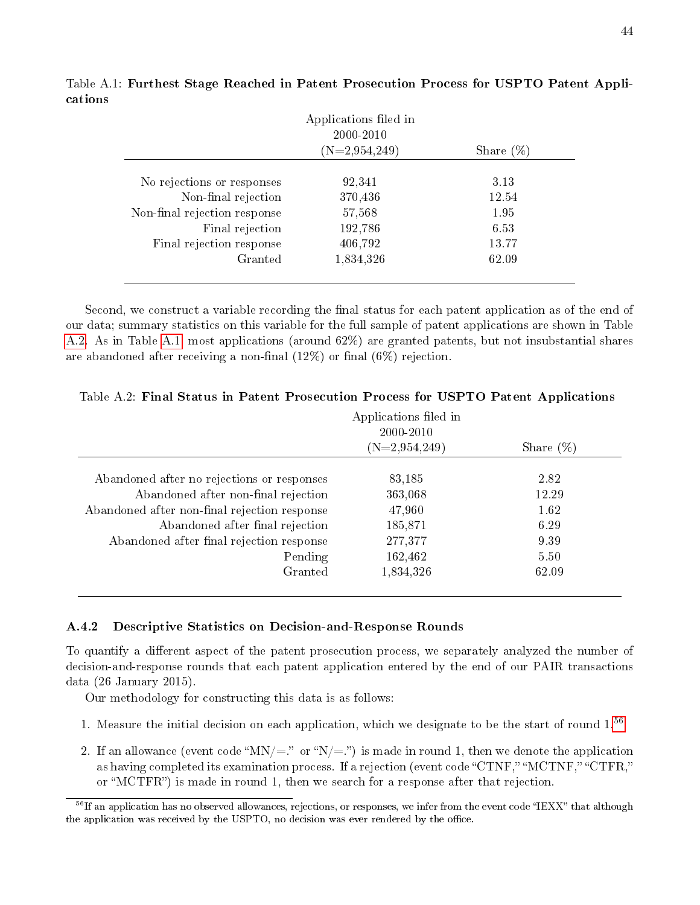<span id="page-45-0"></span>

|                              | Applications filed in        |              |
|------------------------------|------------------------------|--------------|
|                              | 2000-2010<br>$(N=2.954,249)$ |              |
|                              |                              | Share $(\%)$ |
| No rejections or responses   | 92,341                       | 3.13         |
| Non-final rejection          | 370,436                      | 12.54        |
| Non-final rejection response | 57,568                       | 1.95         |
| Final rejection              | 192,786                      | 6.53         |
| Final rejection response     | 406,792                      | 13.77        |
| Granted                      | 1,834,326                    | 62.09        |

# Table A.1: Furthest Stage Reached in Patent Prosecution Process for USPTO Patent Applications

Second, we construct a variable recording the final status for each patent application as of the end of our data; summary statistics on this variable for the full sample of patent applications are shown in Table [A.2.](#page-45-1) As in Table [A.1,](#page-45-0) most applications (around 62%) are granted patents, but not insubstantial shares are abandoned after receiving a non-final  $(12\%)$  or final  $(6\%)$  rejection.

|                                              | Applications filed in<br>2000-2010 |              |
|----------------------------------------------|------------------------------------|--------------|
|                                              | $(N=2,954,249)$                    | Share $(\%)$ |
| Abandoned after no rejections or responses   | 83,185                             | 2.82         |
| Abandoned after non-final rejection          | 363,068                            | 12.29        |
| Abandoned after non-final rejection response | 47,960                             | 1.62         |
| Abandoned after final rejection              | 185,871                            | 6.29         |
| Abandoned after final rejection response     | 277,377                            | 9.39         |
| Pending                                      | 162,462                            | 5.50         |
| Granted                                      | 1,834,326                          | 62.09        |

## <span id="page-45-1"></span>Table A.2: Final Status in Patent Prosecution Process for USPTO Patent Applications

### A.4.2 Descriptive Statistics on Decision-and-Response Rounds

To quantify a different aspect of the patent prosecution process, we separately analyzed the number of decision-and-response rounds that each patent application entered by the end of our PAIR transactions data (26 January 2015).

Our methodology for constructing this data is as follows:

- 1. Measure the initial decision on each application, which we designate to be the start of round  $1<sup>56</sup>$  $1<sup>56</sup>$  $1<sup>56</sup>$
- 2. If an allowance (event code "MN/=." or "N/=.") is made in round 1, then we denote the application as having completed its examination process. If a rejection (event code "CTNF," "MCTNF," "CTFR," or " $MCTFR$ ") is made in round 1, then we search for a response after that rejection.

<span id="page-45-2"></span> $^{56}$ If an application has no observed allowances, rejections, or responses, we infer from the event code "IEXX" that although the application was received by the USPTO, no decision was ever rendered by the office.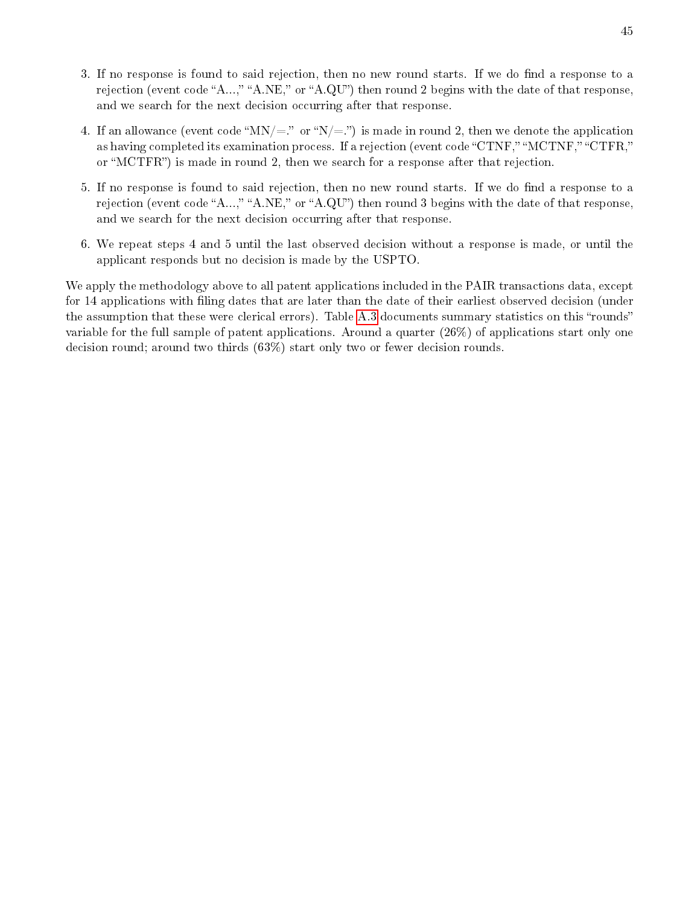- 3. If no response is found to said rejection, then no new round starts. If we do find a response to a rejection (event code "A...," "A.NE," or "A.QU") then round 2 begins with the date of that response, and we search for the next decision occurring after that response.
- 4. If an allowance (event code "MN/=." or "N/=.") is made in round 2, then we denote the application as having completed its examination process. If a rejection (event code "CTNF," " $\text{MCTNF}$ ," "CTFR," or "MCTFR") is made in round 2, then we search for a response after that rejection.
- 5. If no response is found to said rejection, then no new round starts. If we do find a response to a rejection (event code "A...," "A.NE," or "A.QU") then round 3 begins with the date of that response, and we search for the next decision occurring after that response.
- 6. We repeat steps 4 and 5 until the last observed decision without a response is made, or until the applicant responds but no decision is made by the USPTO.

We apply the methodology above to all patent applications included in the PAIR transactions data, except for 14 applications with filing dates that are later than the date of their earliest observed decision (under the assumption that these were clerical errors). Table [A.3](#page-47-0) documents summary statistics on this "rounds" variable for the full sample of patent applications. Around a quarter (26%) of applications start only one decision round; around two thirds (63%) start only two or fewer decision rounds.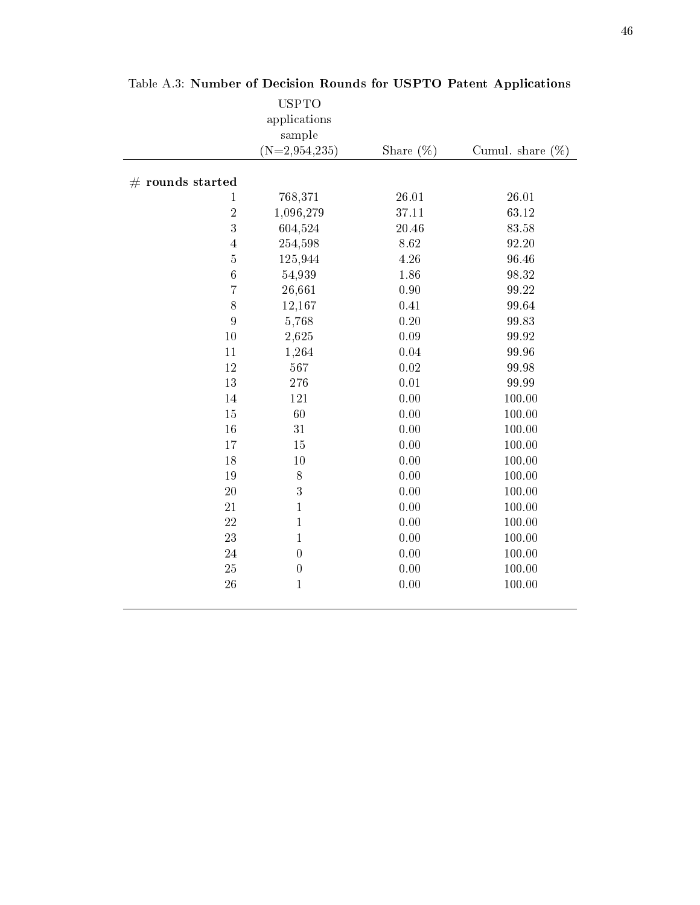|                    | <b>USPTO</b>      |              |                     |
|--------------------|-------------------|--------------|---------------------|
|                    | applications      |              |                     |
|                    | sample            |              |                     |
|                    | $(N=2, 954, 235)$ | Share $(\%)$ | Cumul. share $(\%)$ |
| $#$ rounds started |                   |              |                     |
| $\mathbf{1}$       | 768,371           | 26.01        | 26.01               |
| $\boldsymbol{2}$   | 1,096,279         | 37.11        | 63.12               |
| 3                  | 604,524           | 20.46        | 83.58               |
| $\overline{4}$     | 254,598           | 8.62         | 92.20               |
| $\overline{5}$     |                   |              | 96.46               |
|                    | 125,944           | 4.26<br>1.86 | 98.32               |
| $\,$ 6 $\,$        | 54,939            |              |                     |
| $\overline{7}$     | 26,661            | 0.90         | 99.22               |
| $\,$ $\,$          | 12,167            | 0.41         | 99.64               |
| $\overline{9}$     | 5,768             | 0.20         | 99.83               |
| 10                 | 2,625             | 0.09         | 99.92               |
| 11                 | 1,264             | 0.04         | 99.96               |
| 12                 | 567               | 0.02         | 99.98               |
| 13                 | 276               | 0.01         | 99.99               |
| 14                 | 121               | 0.00         | 100.00              |
| 15                 | 60                | 0.00         | 100.00              |
| 16                 | 31                | 0.00         | 100.00              |
| 17                 | 15                | 0.00         | 100.00              |
| 18                 | 10                | 0.00         | 100.00              |
| 19                 | $8\,$             | 0.00         | 100.00              |
| 20                 | 3                 | 0.00         | 100.00              |
| 21                 | $\mathbf{1}$      | 0.00         | 100.00              |
| 22                 | $\mathbf{1}$      | 0.00         | 100.00              |
| 23                 | $\mathbf{1}$      | 0.00         | 100.00              |
| 24                 | $\boldsymbol{0}$  | 0.00         | 100.00              |
| 25                 | $\mathbf 0$       | 0.00         | 100.00              |
| 26                 | $\mathbf{1}$      | 0.00         | 100.00              |
|                    |                   |              |                     |

# <span id="page-47-0"></span>Table A.3: Number of Decision Rounds for USPTO Patent Applications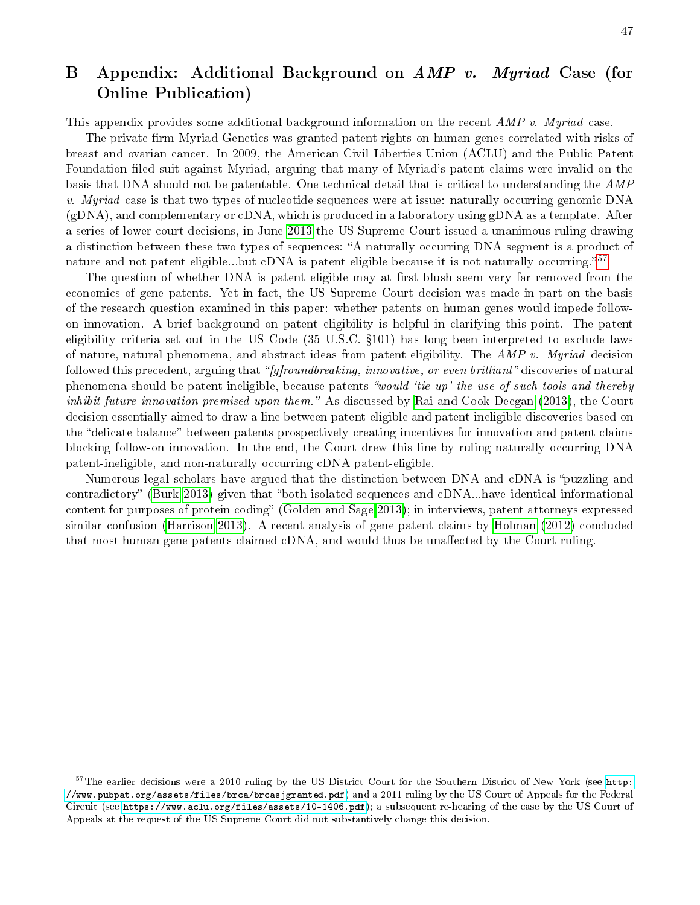# <span id="page-48-0"></span>B Appendix: Additional Background on AMP v. Myriad Case (for Online Publication)

This appendix provides some additional background information on the recent  $AMP v.$  Myriad case.

The private firm Myriad Genetics was granted patent rights on human genes correlated with risks of breast and ovarian cancer. In 2009, the American Civil Liberties Union (ACLU) and the Public Patent Foundation filed suit against Myriad, arguing that many of Myriad's patent claims were invalid on the basis that DNA should not be patentable. One technical detail that is critical to understanding the AMP v. Myriad case is that two types of nucleotide sequences were at issue: naturally occurring genomic DNA  $(gDNA)$ , and complementary or cDNA, which is produced in a laboratory using gDNA as a template. After a series of lower court decisions, in June [2013](#page-35-17) the US Supreme Court issued a unanimous ruling drawing a distinction between these two types of sequences: "A naturally occurring DNA segment is a product of nature and not patent eligible...but cDNA is patent eligible because it is not naturally occurring."<sup>[57](#page-48-1)</sup>

The question of whether DNA is patent eligible may at first blush seem very far removed from the economics of gene patents. Yet in fact, the US Supreme Court decision was made in part on the basis of the research question examined in this paper: whether patents on human genes would impede followon innovation. A brief background on patent eligibility is helpful in clarifying this point. The patent eligibility criteria set out in the US Code (35 U.S.C. §101) has long been interpreted to exclude laws of nature, natural phenomena, and abstract ideas from patent eligibility. The AMP v. Myriad decision followed this precedent, arguing that "[g]roundbreaking, innovative, or even brilliant" discoveries of natural phenomena should be patent-ineligible, because patents "would 'tie up' the use of such tools and thereby *inhibit future innovation premised upon them.*" As discussed by [Rai and Cook-Deegan](#page-34-18)  $(2013)$ , the Court decision essentially aimed to draw a line between patent-eligible and patent-ineligible discoveries based on the "delicate balance" between patents prospectively creating incentives for innovation and patent claims blocking follow-on innovation. In the end, the Court drew this line by ruling naturally occurring DNA patent-ineligible, and non-naturally occurring cDNA patent-eligible.

Numerous legal scholars have argued that the distinction between DNA and cDNA is "puzzling and contradictory" [\(Burk 2013\)](#page-31-16) given that "both isolated sequences and cDNA...have identical informational content for purposes of protein coding" [\(Golden and Sage 2013\)](#page-32-17); in interviews, patent attorneys expressed similar confusion [\(Harrison 2013\)](#page-33-17). A recent analysis of gene patent claims by [Holman](#page-33-7) [\(2012\)](#page-33-7) concluded that most human gene patents claimed cDNA, and would thus be unaffected by the Court ruling.

<span id="page-48-1"></span><sup>&</sup>lt;sup>57</sup>The earlier decisions were a 2010 ruling by the US District Court for the Southern District of New York (see [http:](http://www.pubpat.org/assets/files/brca/brcasjgranted.pdf) [//www.pubpat.org/assets/files/brca/brcasjgranted.pdf\)](http://www.pubpat.org/assets/files/brca/brcasjgranted.pdf) and a 2011 ruling by the US Court of Appeals for the Federal Circuit (see [https://www.aclu.org/files/assets/10-1406.pdf\)](https://www.aclu.org/files/assets/10-1406.pdf); a subsequent re-hearing of the case by the US Court of Appeals at the request of the US Supreme Court did not substantively change this decision.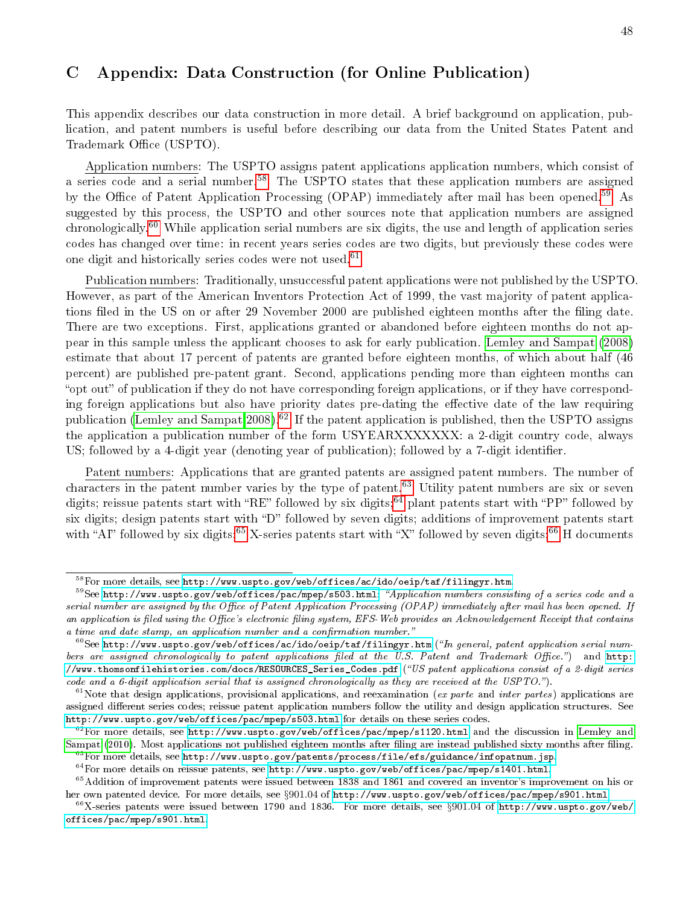# <span id="page-49-0"></span>C Appendix: Data Construction (for Online Publication)

This appendix describes our data construction in more detail. A brief background on application, publication, and patent numbers is useful before describing our data from the United States Patent and Trademark Office (USPTO).

Application numbers: The USPTO assigns patent applications application numbers, which consist of a series code and a serial number.<sup>[58](#page-49-1)</sup> The USPTO states that these application numbers are assigned by the Office of Patent Application Processing (OPAP) immediately after mail has been opened.<sup>[59](#page-49-2)</sup> As suggested by this process, the USPTO and other sources note that application numbers are assigned chronologically.[60](#page-49-3) While application serial numbers are six digits, the use and length of application series codes has changed over time: in recent years series codes are two digits, but previously these codes were one digit and historically series codes were not used.<sup>[61](#page-49-4)</sup>

Publication numbers: Traditionally, unsuccessful patent applications were not published by the USPTO. However, as part of the American Inventors Protection Act of 1999, the vast majority of patent applications filed in the US on or after 29 November 2000 are published eighteen months after the filing date. There are two exceptions. First, applications granted or abandoned before eighteen months do not appear in this sample unless the applicant chooses to ask for early publication. [Lemley and Sampat](#page-33-3) [\(2008\)](#page-33-3) estimate that about 17 percent of patents are granted before eighteen months, of which about half (46 percent) are published pre-patent grant. Second, applications pending more than eighteen months can "opt out" of publication if they do not have corresponding foreign applications, or if they have corresponding foreign applications but also have priority dates pre-dating the effective date of the law requiring publication [\(Lemley and Sampat 2008\)](#page-33-3).<sup>[62](#page-49-5)</sup> If the patent application is published, then the USPTO assigns the application a publication number of the form USYEARXXXXXXX: a 2-digit country code, always US; followed by a 4-digit year (denoting year of publication); followed by a 7-digit identifier.

Patent numbers: Applications that are granted patents are assigned patent numbers. The number of characters in the patent number varies by the type of patent.<sup>[63](#page-49-6)</sup> Utility patent numbers are six or seven digits; reissue patents start with "RE" followed by six digits;<sup>[64](#page-49-7)</sup> plant patents start with "PP" followed by six digits; design patents start with "D" followed by seven digits; additions of improvement patents start with "AI" followed by six digits;<sup>[65](#page-49-8)</sup> X-series patents start with "X" followed by seven digits;<sup>[66](#page-49-9)</sup> H documents

<span id="page-49-2"></span><span id="page-49-1"></span><sup>58</sup>For more details, see [http://www.uspto.gov/web/offices/ac/ido/oeip/taf/filingyr.htm.](http://www.uspto.gov/web/offices/ac/ido/oeip/taf/filingyr.htm)

 $^{59}$ See [http://www.uspto.gov/web/offices/pac/mpep/s503.html:](http://www.uspto.gov/web/offices/pac/mpep/s503.html) "Application numbers consisting of a series code and a serial number are assigned by the Office of Patent Application Processing (OPAP) immediately after mail has been opened. If an application is filed using the Office's electronic filing system, EFS-Web provides an Acknowledgement Receipt that contains a time and date stamp, an application number and a confirmation number."

<span id="page-49-3"></span> $60$ See <http://www.uspto.gov/web/offices/ac/ido/oeip/taf/filingyr.htm> ("In general, patent application serial numbers are assigned chronologically to patent applications filed at the U.S. Patent and Trademark Office.") and [http:](http://www.thomsonfilehistories.com/docs/RESOURCES_Series_Codes.pdf) [//www.thomsonfilehistories.com/docs/RESOURCES\\_Series\\_Codes.pdf](http://www.thomsonfilehistories.com/docs/RESOURCES_Series_Codes.pdf) ("US patent applications consist of a 2-digit series code and a 6-digit application serial that is assigned chronologically as they are received at the USPTO.".

<span id="page-49-4"></span> $61$ Note that design applications, provisional applications, and reexamination (ex parte and inter partes) applications are assigned different series codes; reissue patent application numbers follow the utility and design application structures. See <http://www.uspto.gov/web/offices/pac/mpep/s503.html> for details on these series codes.

<span id="page-49-5"></span><sup>62</sup>For more details, see <http://www.uspto.gov/web/offices/pac/mpep/s1120.html> and the discussion in [Lemley and](#page-33-1) [Sampat](#page-33-1) [\(2010\)](#page-33-1). Most applications not published eighteen months after ling are instead published sixty months after ling.  $63$ For more details, see [http://www.uspto.gov/patents/process/file/efs/guidance/infopatnum.jsp.](http://www.uspto.gov/patents/process/file/efs/guidance/infopatnum.jsp)

<span id="page-49-7"></span><span id="page-49-6"></span> $^{64}$ For more details on reissue patents, see [http://www.uspto.gov/web/offices/pac/mpep/s1401.html.](http://www.uspto.gov/web/offices/pac/mpep/s1401.html)

<span id="page-49-8"></span><sup>65</sup>Addition of improvement patents were issued between 1838 and 1861 and covered an inventor's improvement on his or

her own patented device. For more details, see §901.04 of [http://www.uspto.gov/web/offices/pac/mpep/s901.html.](http://www.uspto.gov/web/offices/pac/mpep/s901.html)

<span id="page-49-9"></span> $^{66}$ X-series patents were issued between 1790 and 1836. For more details, see §901.04 of [http://www.uspto.gov/web/](http://www.uspto.gov/web/offices/pac/mpep/s901.html) [offices/pac/mpep/s901.html.](http://www.uspto.gov/web/offices/pac/mpep/s901.html)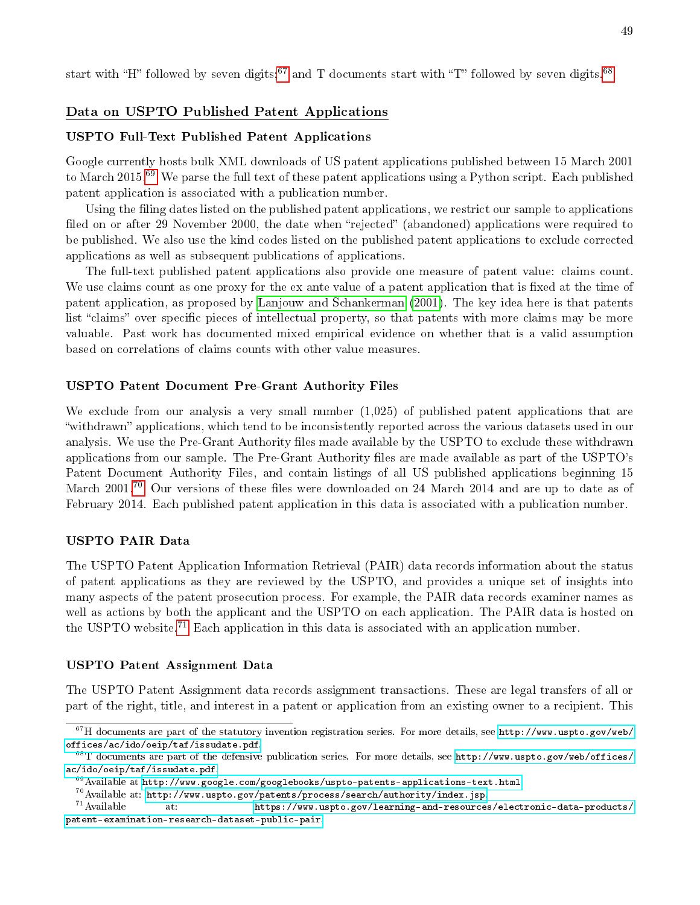start with "H" followed by seven digits;<sup>[67](#page-50-0)</sup> and T documents start with "T" followed by seven digits.<sup>[68](#page-50-1)</sup>

# Data on USPTO Published Patent Applications

### USPTO Full-Text Published Patent Applications

Google currently hosts bulk XML downloads of US patent applications published between 15 March 2001 to March 2015.[69](#page-50-2) We parse the full text of these patent applications using a Python script. Each published patent application is associated with a publication number.

Using the filing dates listed on the published patent applications, we restrict our sample to applications filed on or after 29 November 2000, the date when "rejected" (abandoned) applications were required to be published. We also use the kind codes listed on the published patent applications to exclude corrected applications as well as subsequent publications of applications.

The full-text published patent applications also provide one measure of patent value: claims count. We use claims count as one proxy for the ex ante value of a patent application that is fixed at the time of patent application, as proposed by [Lanjouw and Schankerman](#page-33-14) [\(2001\)](#page-33-14). The key idea here is that patents list "claims" over specific pieces of intellectual property, so that patents with more claims may be more valuable. Past work has documented mixed empirical evidence on whether that is a valid assumption based on correlations of claims counts with other value measures.

#### USPTO Patent Document Pre-Grant Authority Files

We exclude from our analysis a very small number  $(1,025)$  of published patent applications that are "withdrawn" applications, which tend to be inconsistently reported across the various datasets used in our analysis. We use the Pre-Grant Authority files made available by the USPTO to exclude these withdrawn applications from our sample. The Pre-Grant Authority files are made available as part of the USPTO's Patent Document Authority Files, and contain listings of all US published applications beginning 15 March 2001.<sup>[70](#page-50-3)</sup> Our versions of these files were downloaded on 24 March 2014 and are up to date as of February 2014. Each published patent application in this data is associated with a publication number.

# USPTO PAIR Data

The USPTO Patent Application Information Retrieval (PAIR) data records information about the status of patent applications as they are reviewed by the USPTO, and provides a unique set of insights into many aspects of the patent prosecution process. For example, the PAIR data records examiner names as well as actions by both the applicant and the USPTO on each application. The PAIR data is hosted on the USPTO website.<sup>[71](#page-50-4)</sup> Each application in this data is associated with an application number.

#### USPTO Patent Assignment Data

The USPTO Patent Assignment data records assignment transactions. These are legal transfers of all or part of the right, title, and interest in a patent or application from an existing owner to a recipient. This

<span id="page-50-0"></span> $67$ H documents are part of the statutory invention registration series. For more details, see [http://www.uspto.gov/web/](http://www.uspto.gov/web/offices/ac/ido/oeip/taf/issudate.pdf) [offices/ac/ido/oeip/taf/issudate.pdf.](http://www.uspto.gov/web/offices/ac/ido/oeip/taf/issudate.pdf)

<span id="page-50-1"></span> $^{68}$ T documents are part of the defensive publication series. For more details, see [http://www.uspto.gov/web/offices/](http://www.uspto.gov/web/offices/ac/ido/oeip/taf/issudate.pdf) [ac/ido/oeip/taf/issudate.pdf.](http://www.uspto.gov/web/offices/ac/ido/oeip/taf/issudate.pdf)

<span id="page-50-2"></span> $69$ Available at [http://www.google.com/googlebooks/uspto-patents-applications-text.html.](http://www.google.com/googlebooks/uspto-patents-applications-text.html)

<span id="page-50-4"></span><span id="page-50-3"></span><sup>&</sup>lt;sup>70</sup>Available at: [http://www.uspto.gov/patents/process/search/authority/index.jsp.](http://www.uspto.gov/patents/process/search/authority/index.jsp)<br><sup>71</sup>Available at: https://www.uspto.gov/learning-and-resources

at: [https://www.uspto.gov/learning-and-resources/electronic-data-products/](https://www.uspto.gov/learning-and-resources/electronic-data-products/patent-examination-research-dataset-public-pair) [patent-examination-research-dataset-public-pair.](https://www.uspto.gov/learning-and-resources/electronic-data-products/patent-examination-research-dataset-public-pair)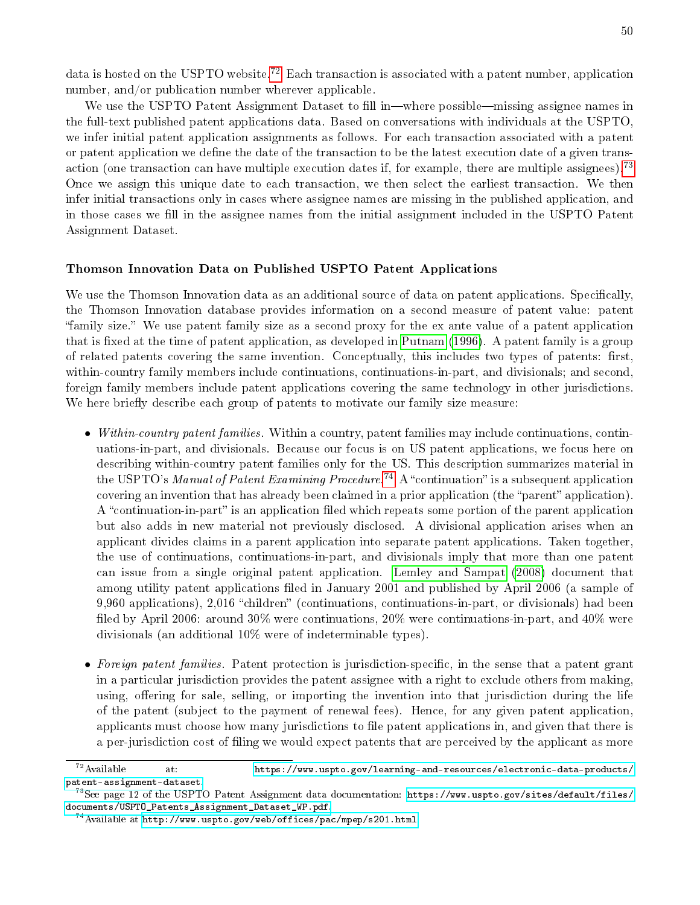data is hosted on the USPTO website.<sup>[72](#page-51-0)</sup> Each transaction is associated with a patent number, application number, and/or publication number wherever applicable.

We use the USPTO Patent Assignment Dataset to fill in—where possible—missing assignee names in the full-text published patent applications data. Based on conversations with individuals at the USPTO, we infer initial patent application assignments as follows. For each transaction associated with a patent or patent application we dene the date of the transaction to be the latest execution date of a given trans-action (one transaction can have multiple execution dates if, for example, there are multiple assignees).<sup>[73](#page-51-1)</sup> Once we assign this unique date to each transaction, we then select the earliest transaction. We then infer initial transactions only in cases where assignee names are missing in the published application, and in those cases we fill in the assignee names from the initial assignment included in the USPTO Patent Assignment Dataset.

#### Thomson Innovation Data on Published USPTO Patent Applications

We use the Thomson Innovation data as an additional source of data on patent applications. Specifically, the Thomson Innovation database provides information on a second measure of patent value: patent "family size." We use patent family size as a second proxy for the ex ante value of a patent application that is fixed at the time of patent application, as developed in [Putnam](#page-34-13) [\(1996\)](#page-34-13). A patent family is a group of related patents covering the same invention. Conceptually, this includes two types of patents: first, within-country family members include continuations, continuations-in-part, and divisionals; and second, foreign family members include patent applications covering the same technology in other jurisdictions. We here briefly describe each group of patents to motivate our family size measure:

- Within-country patent families. Within a country, patent families may include continuations, continuations-in-part, and divisionals. Because our focus is on US patent applications, we focus here on describing within-country patent families only for the US. This description summarizes material in the USPTO's *Manual of Patent Examining Procedure*.<sup>[74](#page-51-2)</sup> A "continuation" is a subsequent application covering an invention that has already been claimed in a prior application (the "parent" application). A "continuation-in-part" is an application filed which repeats some portion of the parent application but also adds in new material not previously disclosed. A divisional application arises when an applicant divides claims in a parent application into separate patent applications. Taken together, the use of continuations, continuations-in-part, and divisionals imply that more than one patent can issue from a single original patent application. [Lemley and Sampat](#page-33-3) [\(2008\)](#page-33-3) document that among utility patent applications filed in January 2001 and published by April 2006 (a sample of 9,960 applications), 2,016 "children" (continuations, continuations-in-part, or divisionals) had been filed by April 2006: around 30% were continuations,  $20\%$  were continuations-in-part, and  $40\%$  were divisionals (an additional 10% were of indeterminable types).
- Foreign patent families. Patent protection is jurisdiction-specific, in the sense that a patent grant in a particular jurisdiction provides the patent assignee with a right to exclude others from making, using, offering for sale, selling, or importing the invention into that jurisdiction during the life of the patent (subject to the payment of renewal fees). Hence, for any given patent application, applicants must choose how many jurisdictions to le patent applications in, and given that there is a per-jurisdiction cost of filing we would expect patents that are perceived by the applicant as more

<span id="page-51-0"></span> $^{72}$ Available at: [https://www.uspto.gov/learning-and-resources/electronic-data-products/](https://www.uspto.gov/learning-and-resources/electronic-data-products/patent-assignment-dataset) [patent-assignment-dataset.](https://www.uspto.gov/learning-and-resources/electronic-data-products/patent-assignment-dataset)

<span id="page-51-1"></span> $^{73}$ See page 12 of the USPTO Patent Assignment data documentation: <code>[https://www.uspto.gov/sites/default/files/](https://www.uspto.gov/sites/default/files/documents/USPTO_Patents_Assignment_Dataset_WP.pdf)</code> [documents/USPTO\\_Patents\\_Assignment\\_Dataset\\_WP.pdf.](https://www.uspto.gov/sites/default/files/documents/USPTO_Patents_Assignment_Dataset_WP.pdf)

<span id="page-51-2"></span> $^{74}\rm A$ vailable at <code>[http://www.uspto.gov/web/offices/pac/mpep/s201.html.](http://www.uspto.gov/web/offices/pac/mpep/s201.html)</code>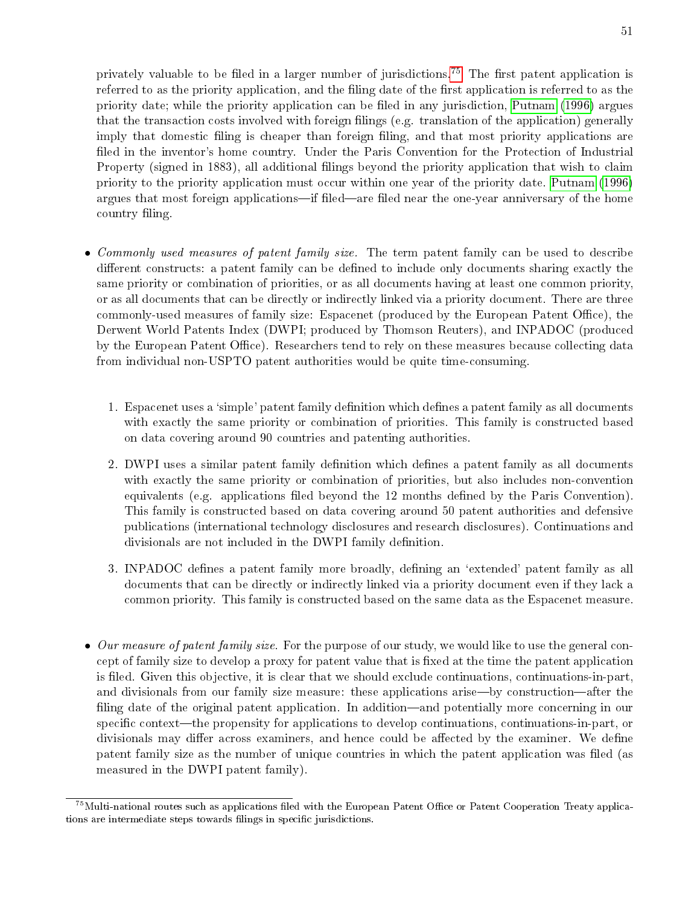privately valuable to be filed in a larger number of jurisdictions.<sup>[75](#page-52-0)</sup> The first patent application is referred to as the priority application, and the filing date of the first application is referred to as the priority date; while the priority application can be led in any jurisdiction, [Putnam](#page-34-13) [\(1996\)](#page-34-13) argues that the transaction costs involved with foreign lings (e.g. translation of the application) generally imply that domestic filing is cheaper than foreign filing, and that most priority applications are filed in the inventor's home country. Under the Paris Convention for the Protection of Industrial Property (signed in 1883), all additional filings beyond the priority application that wish to claim priority to the priority application must occur within one year of the priority date. [Putnam](#page-34-13) [\(1996\)](#page-34-13) argues that most foreign applications—if filed—are filed near the one-year anniversary of the home country filing.

- Commonly used measures of patent family size. The term patent family can be used to describe different constructs: a patent family can be defined to include only documents sharing exactly the same priority or combination of priorities, or as all documents having at least one common priority, or as all documents that can be directly or indirectly linked via a priority document. There are three commonly-used measures of family size: Espacenet (produced by the European Patent Office), the Derwent World Patents Index (DWPI; produced by Thomson Reuters), and INPADOC (produced by the European Patent Office). Researchers tend to rely on these measures because collecting data from individual non-USPTO patent authorities would be quite time-consuming.
	- 1. Espacenet uses a 'simple' patent family definition which defines a patent family as all documents with exactly the same priority or combination of priorities. This family is constructed based on data covering around 90 countries and patenting authorities.
	- 2. DWPI uses a similar patent family definition which defines a patent family as all documents with exactly the same priority or combination of priorities, but also includes non-convention equivalents (e.g. applications filed beyond the  $12$  months defined by the Paris Convention). This family is constructed based on data covering around 50 patent authorities and defensive publications (international technology disclosures and research disclosures). Continuations and divisionals are not included in the DWPI family definition.
	- 3. INPADOC defines a patent family more broadly, defining an 'extended' patent family as all documents that can be directly or indirectly linked via a priority document even if they lack a common priority. This family is constructed based on the same data as the Espacenet measure.
- Our measure of patent family size. For the purpose of our study, we would like to use the general concept of family size to develop a proxy for patent value that is fixed at the time the patent application is filed. Given this objective, it is clear that we should exclude continuations, continuations-in-part, and divisionals from our family size measure: these applications arise—by construction—after the filing date of the original patent application. In addition—and potentially more concerning in our specific context—the propensity for applications to develop continuations, continuations-in-part, or divisionals may differ across examiners, and hence could be affected by the examiner. We define patent family size as the number of unique countries in which the patent application was filed (as measured in the DWPI patent family).

<span id="page-52-0"></span> $^{75}$ Multi-national routes such as applications filed with the European Patent Office or Patent Cooperation Treaty applications are intermediate steps towards filings in specific jurisdictions.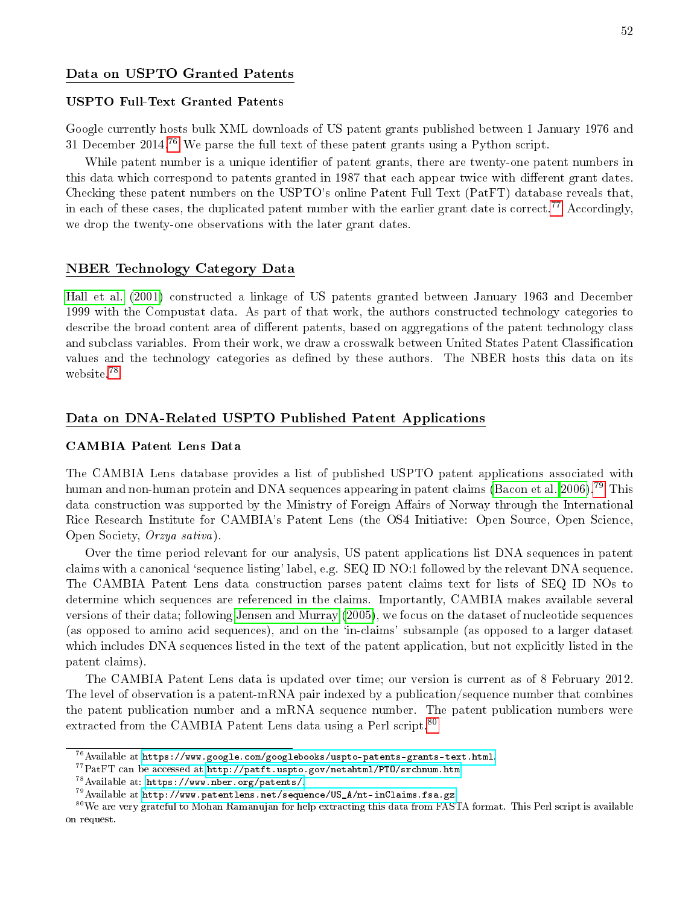## USPTO Full-Text Granted Patents

Google currently hosts bulk XML downloads of US patent grants published between 1 January 1976 and 31 December 2014.[76](#page-53-0) We parse the full text of these patent grants using a Python script.

While patent number is a unique identifier of patent grants, there are twenty-one patent numbers in this data which correspond to patents granted in 1987 that each appear twice with different grant dates. Checking these patent numbers on the USPTO's online Patent Full Text (PatFT) database reveals that, in each of these cases, the duplicated patent number with the earlier grant date is correct.<sup>[77](#page-53-1)</sup> Accordingly, we drop the twenty-one observations with the later grant dates.

#### NBER Technology Category Data

[Hall et al.](#page-32-18) [\(2001\)](#page-32-18) constructed a linkage of US patents granted between January 1963 and December 1999 with the Compustat data. As part of that work, the authors constructed technology categories to describe the broad content area of different patents, based on aggregations of the patent technology class and subclass variables. From their work, we draw a crosswalk between United States Patent Classification values and the technology categories as defined by these authors. The NBER hosts this data on its website.[78](#page-53-2)

# Data on DNA-Related USPTO Published Patent Applications

### CAMBIA Patent Lens Data

The CAMBIA Lens database provides a list of published USPTO patent applications associated with human and non-human protein and DNA sequences appearing in patent claims [\(Bacon et al. 2006\)](#page-31-6).<sup>[79](#page-53-3)</sup> This data construction was supported by the Ministry of Foreign Affairs of Norway through the International Rice Research Institute for CAMBIA's Patent Lens (the OS4 Initiative: Open Source, Open Science, Open Society, Orzya sativa).

Over the time period relevant for our analysis, US patent applications list DNA sequences in patent claims with a canonical `sequence listing' label, e.g. SEQ ID NO:1 followed by the relevant DNA sequence. The CAMBIA Patent Lens data construction parses patent claims text for lists of SEQ ID NOs to determine which sequences are referenced in the claims. Importantly, CAMBIA makes available several versions of their data; following [Jensen and Murray](#page-33-0) [\(2005\)](#page-33-0), we focus on the dataset of nucleotide sequences (as opposed to amino acid sequences), and on the `in-claims' subsample (as opposed to a larger dataset which includes DNA sequences listed in the text of the patent application, but not explicitly listed in the patent claims).

The CAMBIA Patent Lens data is updated over time; our version is current as of 8 February 2012. The level of observation is a patent-mRNA pair indexed by a publication/sequence number that combines the patent publication number and a mRNA sequence number. The patent publication numbers were extracted from the CAMBIA Patent Lens data using a Perl script.<sup>[80](#page-53-4)</sup>

<span id="page-53-0"></span> $^{76}\rm{Available~at~https://www.google.com/googlebooks/uspto-patents-grants-text.html.}$  $^{76}\rm{Available~at~https://www.google.com/googlebooks/uspto-patents-grants-text.html.}$  $^{76}\rm{Available~at~https://www.google.com/googlebooks/uspto-patents-grants-text.html.}$ 

<span id="page-53-1"></span> $^{77}\mathrm{PatFT}$  can be accessed at  $\mathrm{http://path.t.uspto.gov/netahtml/PT0/srchnum.htm}$ 

<span id="page-53-2"></span><sup>78</sup>Available at: [https://www.nber.org/patents/.](https://www.nber.org/patents/)

<span id="page-53-4"></span><span id="page-53-3"></span> $^{79}$ Available at [http://www.patentlens.net/sequence/US\\_A/nt-inClaims.fsa.gz.](http://www.patentlens.net/sequence/US_A/nt-inClaims.fsa.gz)

<sup>&</sup>lt;sup>80</sup>We are very grateful to Mohan Ramanujan for help extracting this data from FASTA format. This Perl script is available on request.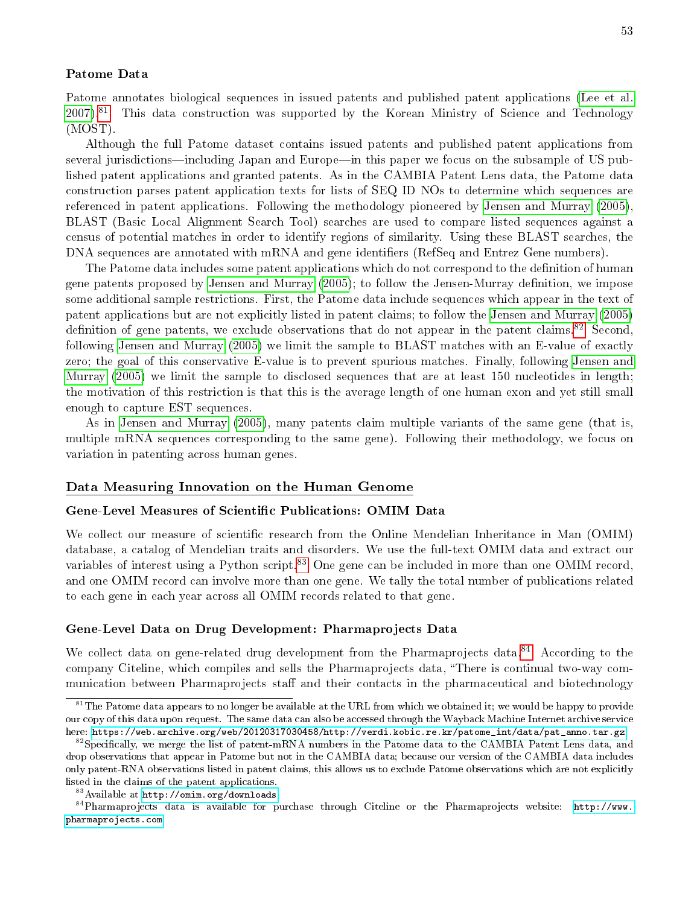#### Patome Data

Patome annotates biological sequences in issued patents and published patent applications [\(Lee et al.](#page-33-8)  $2007$ <sup>[81](#page-54-0)</sup> This data construction was supported by the Korean Ministry of Science and Technology (MOST).

Although the full Patome dataset contains issued patents and published patent applications from several jurisdictions—including Japan and Europe—in this paper we focus on the subsample of US published patent applications and granted patents. As in the CAMBIA Patent Lens data, the Patome data construction parses patent application texts for lists of SEQ ID NOs to determine which sequences are referenced in patent applications. Following the methodology pioneered by [Jensen and Murray](#page-33-0) [\(2005\)](#page-33-0), BLAST (Basic Local Alignment Search Tool) searches are used to compare listed sequences against a census of potential matches in order to identify regions of similarity. Using these BLAST searches, the DNA sequences are annotated with mRNA and gene identifiers (RefSeq and Entrez Gene numbers).

The Patome data includes some patent applications which do not correspond to the definition of human gene patents proposed by [Jensen and Murray](#page-33-0) [\(2005\)](#page-33-0); to follow the Jensen-Murray denition, we impose some additional sample restrictions. First, the Patome data include sequences which appear in the text of patent applications but are not explicitly listed in patent claims; to follow the [Jensen and Murray](#page-33-0) [\(2005\)](#page-33-0) definition of gene patents, we exclude observations that do not appear in the patent claims.<sup>[82](#page-54-1)</sup> Second, following [Jensen and Murray](#page-33-0) [\(2005\)](#page-33-0) we limit the sample to BLAST matches with an E-value of exactly zero; the goal of this conservative E-value is to prevent spurious matches. Finally, following [Jensen and](#page-33-0) [Murray](#page-33-0) [\(2005\)](#page-33-0) we limit the sample to disclosed sequences that are at least 150 nucleotides in length; the motivation of this restriction is that this is the average length of one human exon and yet still small enough to capture EST sequences.

As in [Jensen and Murray](#page-33-0) [\(2005\)](#page-33-0), many patents claim multiple variants of the same gene (that is, multiple mRNA sequences corresponding to the same gene). Following their methodology, we focus on variation in patenting across human genes.

#### Data Measuring Innovation on the Human Genome

#### Gene-Level Measures of Scientific Publications: OMIM Data

We collect our measure of scientific research from the Online Mendelian Inheritance in Man (OMIM) database, a catalog of Mendelian traits and disorders. We use the full-text OMIM data and extract our variables of interest using a Python script.<sup>[83](#page-54-2)</sup> One gene can be included in more than one OMIM record, and one OMIM record can involve more than one gene. We tally the total number of publications related to each gene in each year across all OMIM records related to that gene.

#### Gene-Level Data on Drug Development: Pharmaprojects Data

We collect data on gene-related drug development from the Pharmaprojects data.<sup>[84](#page-54-3)</sup> According to the company Citeline, which compiles and sells the Pharmaprojects data, There is continual two-way communication between Pharmaprojects staff and their contacts in the pharmaceutical and biotechnology

<span id="page-54-0"></span> $81$ The Patome data appears to no longer be available at the URL from which we obtained it; we would be happy to provide our copy of this data upon request. The same data can also be accessed through the Wayback Machine Internet archive service here: [https://web.archive.org/web/20120317030458/http://verdi.kobic.re.kr/patome\\_int/data/pat\\_anno.tar.gz.](https://web.archive.org/web/20120317030458/http://verdi.kobic.re.kr/patome_int/data/pat_anno.tar.gz)

<span id="page-54-1"></span> ${}^{82}$ Specifically, we merge the list of patent-mRNA numbers in the Patome data to the CAMBIA Patent Lens data, and drop observations that appear in Patome but not in the CAMBIA data; because our version of the CAMBIA data includes only patent-RNA observations listed in patent claims, this allows us to exclude Patome observations which are not explicitly listed in the claims of the patent applications.

<span id="page-54-3"></span><span id="page-54-2"></span> $83\,\mathrm{Available}$  at [http://omim.org/downloads.](http://omim.org/downloads)

<sup>84</sup>Pharmaprojects data is available for purchase through Citeline or the Pharmaprojects website: [http://www.](http://www.pharmaprojects.com) [pharmaprojects.com.](http://www.pharmaprojects.com)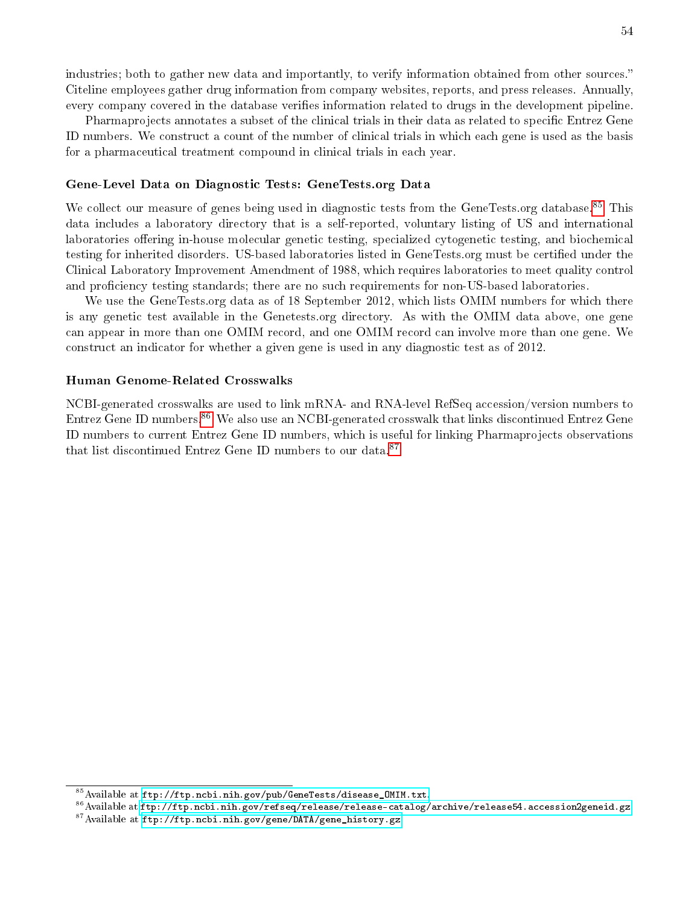industries; both to gather new data and importantly, to verify information obtained from other sources. Citeline employees gather drug information from company websites, reports, and press releases. Annually, every company covered in the database verifies information related to drugs in the development pipeline.

Pharmaprojects annotates a subset of the clinical trials in their data as related to specific Entrez Gene ID numbers. We construct a count of the number of clinical trials in which each gene is used as the basis for a pharmaceutical treatment compound in clinical trials in each year.

#### Gene-Level Data on Diagnostic Tests: GeneTests.org Data

We collect our measure of genes being used in diagnostic tests from the GeneTests.org database.<sup>[85](#page-55-0)</sup> This data includes a laboratory directory that is a self-reported, voluntary listing of US and international laboratories offering in-house molecular genetic testing, specialized cytogenetic testing, and biochemical testing for inherited disorders. US-based laboratories listed in GeneTests.org must be certied under the Clinical Laboratory Improvement Amendment of 1988, which requires laboratories to meet quality control and proficiency testing standards; there are no such requirements for non-US-based laboratories.

We use the GeneTests.org data as of 18 September 2012, which lists OMIM numbers for which there is any genetic test available in the Genetests.org directory. As with the OMIM data above, one gene can appear in more than one OMIM record, and one OMIM record can involve more than one gene. We construct an indicator for whether a given gene is used in any diagnostic test as of 2012.

#### Human Genome-Related Crosswalks

NCBI-generated crosswalks are used to link mRNA- and RNA-level RefSeq accession/version numbers to Entrez Gene ID numbers.<sup>[86](#page-55-1)</sup> We also use an NCBI-generated crosswalk that links discontinued Entrez Gene ID numbers to current Entrez Gene ID numbers, which is useful for linking Pharmaprojects observations that list discontinued Entrez Gene ID numbers to our data.<sup>[87](#page-55-2)</sup>

<span id="page-55-0"></span> $85$ Available at [ftp://ftp.ncbi.nih.gov/pub/GeneTests/disease\\_OMIM.txt.](ftp://ftp.ncbi.nih.gov/pub/GeneTests/disease_OMIM.txt)

<span id="page-55-1"></span><sup>86</sup>Available at [ftp://ftp.ncbi.nih.gov/refseq/release/release-catalog/archive/release54.accession2geneid.gz.](ftp://ftp.ncbi.nih.gov/refseq/release/release-catalog/archive/release54.accession2geneid.gz)

<span id="page-55-2"></span> $87$ Available at [ftp://ftp.ncbi.nih.gov/gene/DATA/gene\\_history.gz.](ftp://ftp.ncbi.nih.gov/gene/DATA/gene_history.gz)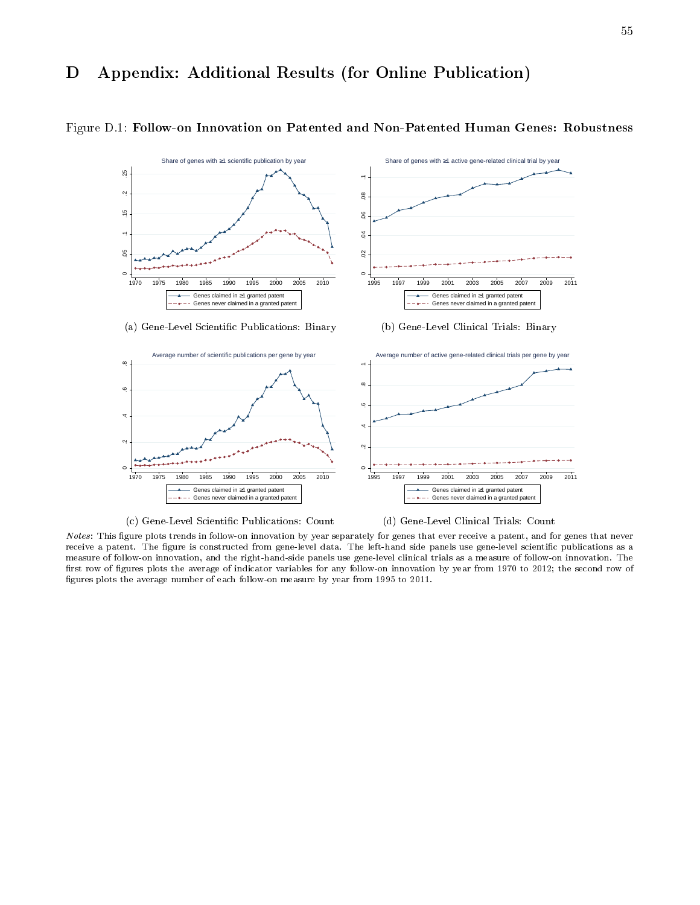<span id="page-56-0"></span>

#### Figure D.1: Follow-on Innovation on Patented and Non-Patented Human Genes: Robustness



(d) Gene-Level Clinical Trials: Count

Notes: This figure plots trends in follow-on innovation by year separately for genes that ever receive a patent, and for genes that never receive a patent. The figure is constructed from gene-level data. The left-hand side panels use gene-level scientific publications as a measure of follow-on innovation, and the right-hand-side panels use gene-level clinical trials as a measure of follow-on innovation. The first row of figures plots the average of indicator variables for any follow-on innovation by year from 1970 to 2012; the second row of figures plots the average number of each follow-on measure by year from 1995 to 2011.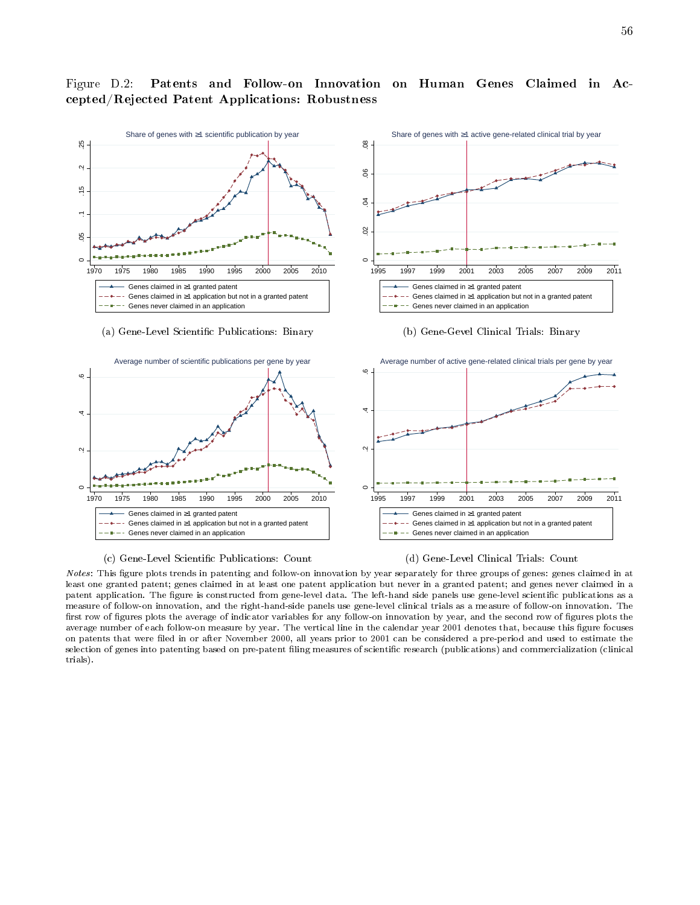

# <span id="page-57-0"></span>Figure D.2: Patents and Follow-on Innovation on Human Genes Claimed in Accepted/Rejected Patent Applications: Robustness

(c) Gene-Level Scientific Publications: Count



Notes: This figure plots trends in patenting and follow-on innovation by year separately for three groups of genes: genes claimed in at least one granted patent; genes claimed in at least one patent application but never in a granted patent; and genes never claimed in a patent application. The figure is constructed from gene-level data. The left-hand side panels use gene-level scientific publications as a measure of follow-on innovation, and the right-hand-side panels use gene-level clinical trials as a measure of follow-on innovation. The first row of figures plots the average of indicator variables for any follow-on innovation by year, and the second row of figures plots the average number of each follow-on measure by year. The vertical line in the calendar year 2001 denotes that, because this figure focuses on patents that were led in or after November 2000, all years prior to 2001 can be considered a pre-period and used to estimate the selection of genes into patenting based on pre-patent filing measures of scientific research (publications) and commercialization (clinical trials).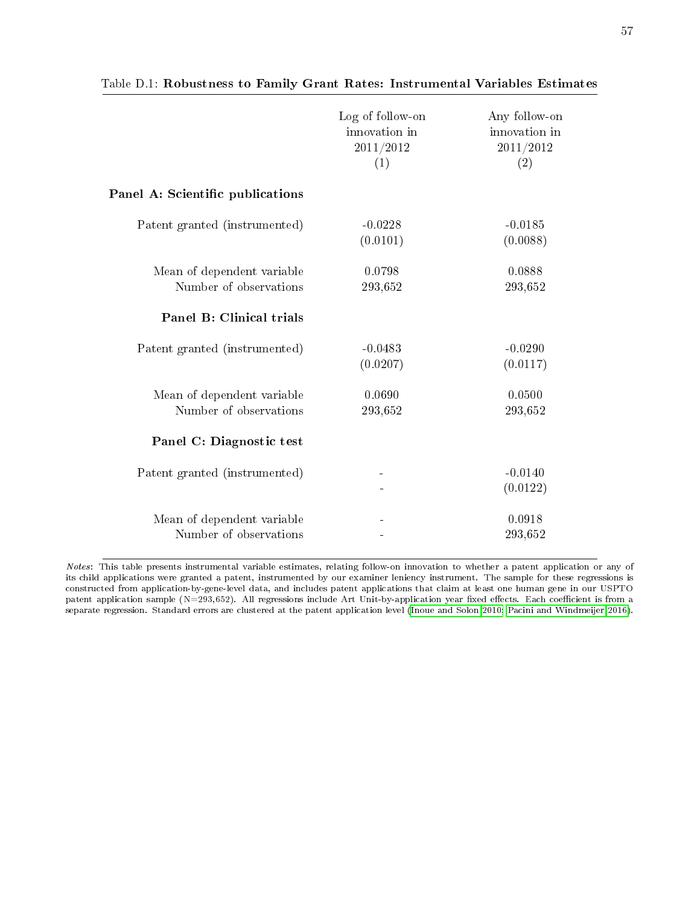|                                                      | Log of follow-on<br>innovation in<br>2011/2012<br>(1) | Any follow-on<br>innovation in<br>2011/2012<br>(2) |
|------------------------------------------------------|-------------------------------------------------------|----------------------------------------------------|
| Panel A: Scientific publications                     |                                                       |                                                    |
| Patent granted (instrumented)                        | $-0.0228$<br>(0.0101)                                 | $-0.0185$<br>(0.0088)                              |
| Mean of dependent variable<br>Number of observations | 0.0798<br>293,652                                     | 0.0888<br>293,652                                  |
| Panel B: Clinical trials                             |                                                       |                                                    |
| Patent granted (instrumented)                        | $-0.0483$<br>(0.0207)                                 | $-0.0290$<br>(0.0117)                              |
| Mean of dependent variable<br>Number of observations | 0.0690<br>293,652                                     | 0.0500<br>293,652                                  |
| Panel C: Diagnostic test                             |                                                       |                                                    |
| Patent granted (instrumented)                        |                                                       | $-0.0140$<br>(0.0122)                              |
| Mean of dependent variable<br>Number of observations |                                                       | 0.0918<br>293,652                                  |

## <span id="page-58-0"></span>Table D.1: Robustness to Family Grant Rates: Instrumental Variables Estimates

Notes: This table presents instrumental variable estimates, relating follow-on innovation to whether a patent application or any of its child applications were granted a patent, instrumented by our examiner leniency instrument. The sample for these regressions is constructed from application-by-gene-level data, and includes patent applications that claim at least one human gene in our USPTO patent application sample (N=293,652). All regressions include Art Unit-by-application year fixed effects. Each coefficient is from a separate regression. Standard errors are clustered at the patent application level [\(Inoue and Solon 2010;](#page-33-12) [Pacini and Windmeijer 2016\)](#page-34-10).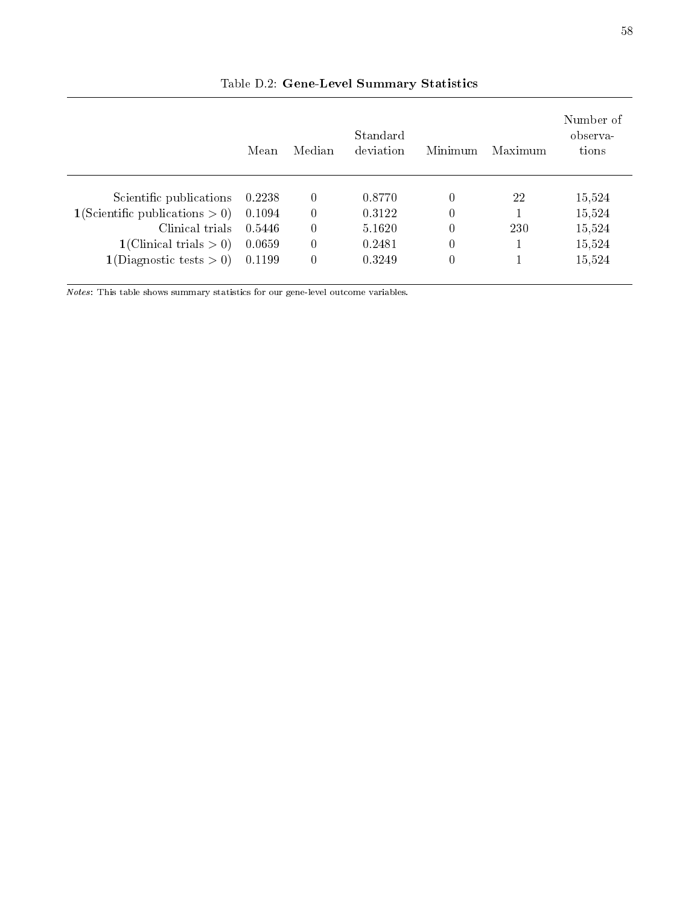|                                      | Mean   | Median         | Standard<br>deviation | Minimum  | Maximum | Number of<br>observa-<br>tions |
|--------------------------------------|--------|----------------|-----------------------|----------|---------|--------------------------------|
| Scientific publications              | 0.2238 | 0              | 0.8770                | $\theta$ | 22      | 15,524                         |
| $1$ (Scientific publications $> 0$ ) | 0.1094 | $\theta$       | 0.3122                | $\theta$ |         | 15,524                         |
| Clinical trials                      | 0.5446 | $\overline{0}$ | 5.1620                | $\theta$ | 230     | 15,524                         |
| $1$ (Clinical trials $> 0$ )         | 0.0659 | $\overline{0}$ | 0.2481                | $\theta$ |         | 15,524                         |
| 1(Diagnostic tests > 0)              | 0.1199 | 0              | 0.3249                | $\cup$   |         | 15,524                         |

<span id="page-59-0"></span>Table D.2: Gene-Level Summary Statistics

Notes: This table shows summary statistics for our gene-level outcome variables.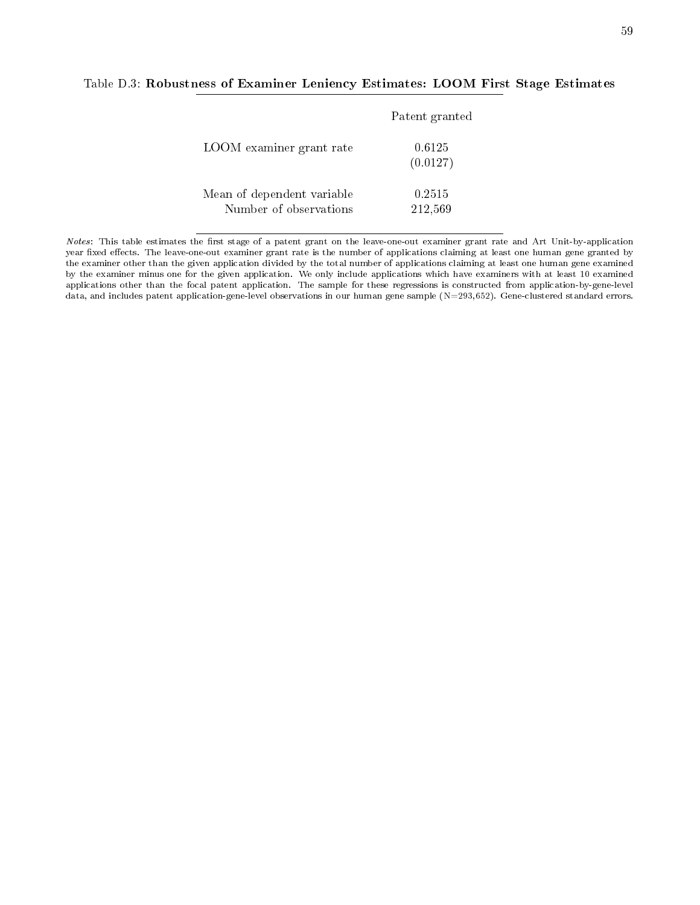#### <span id="page-60-0"></span>Table D.3: Robustness of Examiner Leniency Estimates: LOOM First Stage Estimates

|                                                      | Patent granted     |
|------------------------------------------------------|--------------------|
| LOOM examiner grant rate                             | 0.6125<br>(0.0127) |
| Mean of dependent variable<br>Number of observations | 0.2515<br>212,569  |

Notes: This table estimates the first stage of a patent grant on the leave-one-out examiner grant rate and Art Unit-by-application year fixed effects. The leave-one-out examiner grant rate is the number of applications claiming at least one human gene granted by the examiner other than the given application divided by the total number of applications claiming at least one human gene examined by the examiner minus one for the given application. We only include applications which have examiners with at least 10 examined applications other than the focal patent application. The sample for these regressions is constructed from application-by-gene-level data, and includes patent application-gene-level observations in our human gene sample (N=293,652). Gene-clustered standard errors.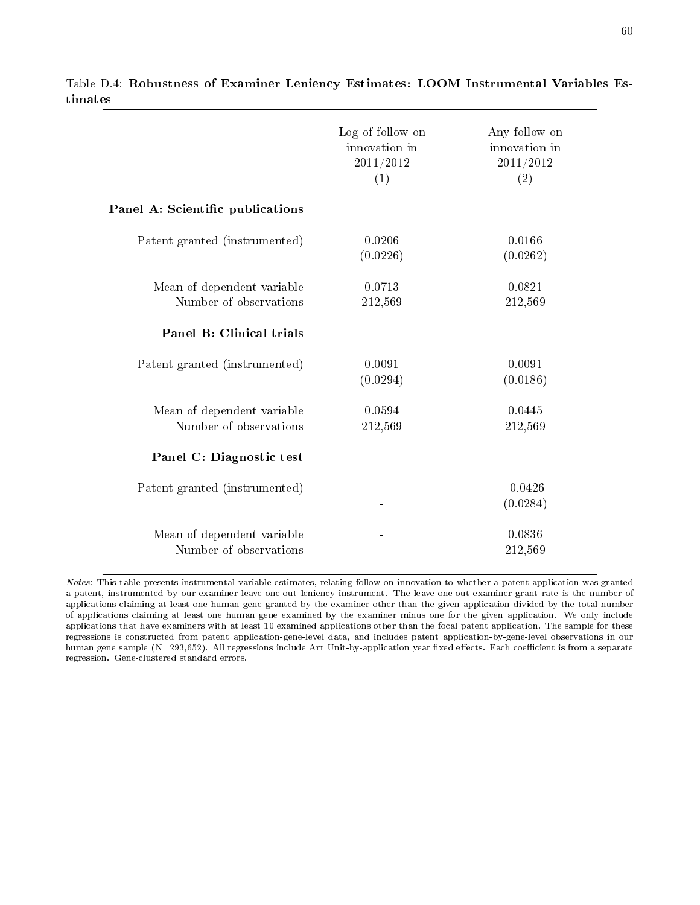|                                                      | Log of follow-on<br>innovation in<br>2011/2012<br>(1) | Any follow-on<br>innovation in<br>2011/2012<br>(2) |
|------------------------------------------------------|-------------------------------------------------------|----------------------------------------------------|
| Panel A: Scientific publications                     |                                                       |                                                    |
| Patent granted (instrumented)                        | 0.0206<br>(0.0226)                                    | 0.0166<br>(0.0262)                                 |
| Mean of dependent variable<br>Number of observations | 0.0713<br>212,569                                     | 0.0821<br>212,569                                  |
| Panel B: Clinical trials                             |                                                       |                                                    |
| Patent granted (instrumented)                        | 0.0091<br>(0.0294)                                    | 0.0091<br>(0.0186)                                 |
| Mean of dependent variable<br>Number of observations | 0.0594<br>212,569                                     | 0.0445<br>212,569                                  |
| Panel C: Diagnostic test                             |                                                       |                                                    |
| Patent granted (instrumented)                        |                                                       | $-0.0426$<br>(0.0284)                              |
| Mean of dependent variable<br>Number of observations |                                                       | 0.0836<br>212,569                                  |

<span id="page-61-0"></span>Table D.4: Robustness of Examiner Leniency Estimates: LOOM Instrumental Variables Estimates

Notes: This table presents instrumental variable estimates, relating follow-on innovation to whether a patent application was granted a patent, instrumented by our examiner leave-one-out leniency instrument. The leave-one-out examiner grant rate is the number of applications claiming at least one human gene granted by the examiner other than the given application divided by the total number of applications claiming at least one human gene examined by the examiner minus one for the given application. We only include applications that have examiners with at least 10 examined applications other than the focal patent application. The sample for these regressions is constructed from patent application-gene-level data, and includes patent application-by-gene-level observations in our human gene sample (N=293,652). All regressions include Art Unit-by-application year fixed effects. Each coefficient is from a separate regression. Gene-clustered standard errors.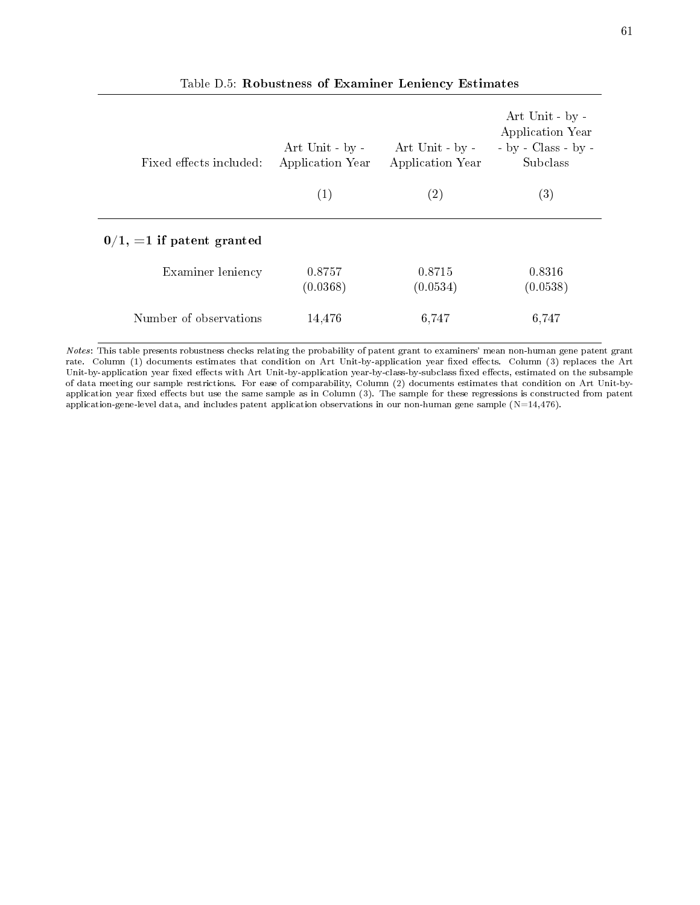| Fixed effects included:     | Art Unit - by -<br>Application Year<br>(1) | Art Unit - by -<br>Application Year<br>$\left( 2\right)$ | Art Unit - by -<br>Application Year<br>$-$ by $-$ Class $-$ by $-$<br>Subclass<br>(3) |
|-----------------------------|--------------------------------------------|----------------------------------------------------------|---------------------------------------------------------------------------------------|
| $0/1, =1$ if patent granted |                                            |                                                          |                                                                                       |
| Examiner leniency           | 0.8757<br>(0.0368)                         | 0.8715<br>(0.0534)                                       | 0.8316<br>(0.0538)                                                                    |
| Number of observations      | 14,476                                     | 6,747                                                    | 6,747                                                                                 |

#### <span id="page-62-0"></span>Table D.5: Robustness of Examiner Leniency Estimates

Notes: This table presents robustness checks relating the probability of patent grant to examiners' mean non-human gene patent grant rate. Column (1) documents estimates that condition on Art Unit-by-application year fixed effects. Column (3) replaces the Art Unit-by-application year fixed effects with Art Unit-by-application year-by-class-by-subclass fixed effects, estimated on the subsample of data meeting our sample restrictions. For ease of comparability, Column (2) documents estimates that condition on Art Unit-byapplication year fixed effects but use the same sample as in Column (3). The sample for these regressions is constructed from patent application-gene-level data, and includes patent application observations in our non-human gene sample  $(N=14,476)$ .